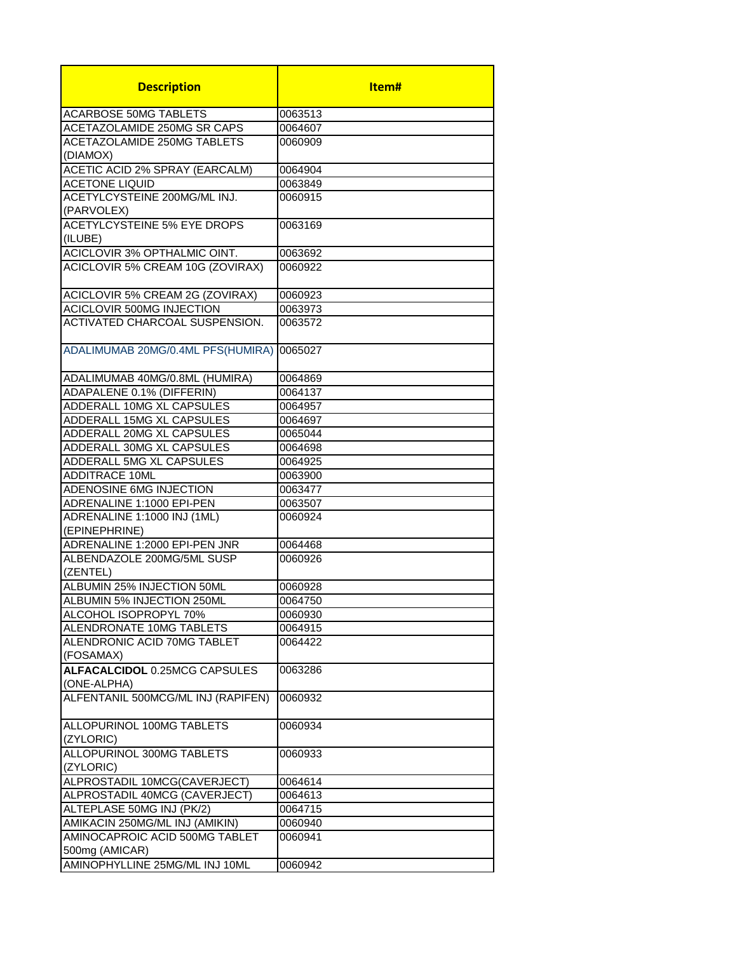| <b>Description</b>                        | ltem#   |
|-------------------------------------------|---------|
| <b>ACARBOSE 50MG TABLETS</b>              | 0063513 |
| ACETAZOLAMIDE 250MG SR CAPS               | 0064607 |
| <b>ACETAZOLAMIDE 250MG TABLETS</b>        | 0060909 |
| (DIAMOX)                                  |         |
| <b>ACETIC ACID 2% SPRAY (EARCALM)</b>     | 0064904 |
| <b>ACETONE LIQUID</b>                     | 0063849 |
| ACETYLCYSTEINE 200MG/ML INJ.              | 0060915 |
| (PARVOLEX)                                |         |
| <b>ACETYLCYSTEINE 5% EYE DROPS</b>        | 0063169 |
| (ILUBE)                                   |         |
| ACICLOVIR 3% OPTHALMIC OINT.              | 0063692 |
| ACICLOVIR 5% CREAM 10G (ZOVIRAX)          | 0060922 |
|                                           |         |
| <b>ACICLOVIR 5% CREAM 2G (ZOVIRAX)</b>    | 0060923 |
| <b>ACICLOVIR 500MG INJECTION</b>          | 0063973 |
| ACTIVATED CHARCOAL SUSPENSION.            | 0063572 |
|                                           |         |
| ADALIMUMAB 20MG/0.4ML PFS(HUMIRA) 0065027 |         |
|                                           |         |
| ADALIMUMAB 40MG/0.8ML (HUMIRA)            | 0064869 |
| ADAPALENE 0.1% (DIFFERIN)                 | 0064137 |
| <b>ADDERALL 10MG XL CAPSULES</b>          | 0064957 |
| ADDERALL 15MG XL CAPSULES                 | 0064697 |
| ADDERALL 20MG XL CAPSULES                 | 0065044 |
| ADDERALL 30MG XL CAPSULES                 | 0064698 |
| ADDERALL 5MG XL CAPSULES                  | 0064925 |
| <b>ADDITRACE 10ML</b>                     | 0063900 |
| ADENOSINE 6MG INJECTION                   | 0063477 |
| ADRENALINE 1:1000 EPI-PEN                 | 0063507 |
| ADRENALINE 1:1000 INJ (1ML)               | 0060924 |
| (EPINEPHRINE)                             |         |
| ADRENALINE 1:2000 EPI-PEN JNR             | 0064468 |
| ALBENDAZOLE 200MG/5ML SUSP                | 0060926 |
| (ZENTEL)                                  |         |
| ALBUMIN 25% INJECTION 50ML                | 0060928 |
| ALBUMIN 5% INJECTION 250ML                | 0064750 |
| ALCOHOL ISOPROPYL 70%                     | 0060930 |
| ALENDRONATE 10MG TABLETS                  | 0064915 |
| ALENDRONIC ACID 70MG TABLET               | 0064422 |
| (FOSAMAX)                                 |         |
| <b>ALFACALCIDOL 0.25MCG CAPSULES</b>      | 0063286 |
| (ONE-ALPHA)                               |         |
| ALFENTANIL 500MCG/ML INJ (RAPIFEN)        | 0060932 |
| ALLOPURINOL 100MG TABLETS<br>(ZYLORIC)    | 0060934 |
| ALLOPURINOL 300MG TABLETS<br>(ZYLORIC)    | 0060933 |
| ALPROSTADIL 10MCG(CAVERJECT)              | 0064614 |
| ALPROSTADIL 40MCG (CAVERJECT)             | 0064613 |
| ALTEPLASE 50MG INJ (PK/2)                 | 0064715 |
| AMIKACIN 250MG/ML INJ (AMIKIN)            | 0060940 |
| AMINOCAPROIC ACID 500MG TABLET            | 0060941 |
| 500mg (AMICAR)                            |         |
| AMINOPHYLLINE 25MG/ML INJ 10ML            | 0060942 |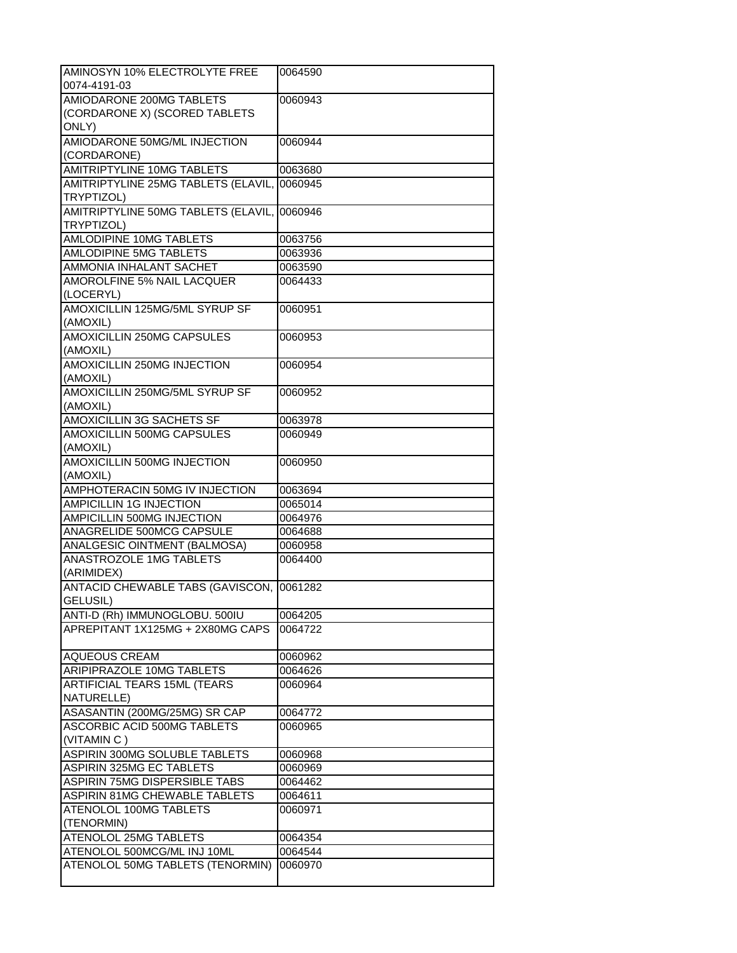| AMINOSYN 10% ELECTROLYTE FREE       | 0064590 |
|-------------------------------------|---------|
| 0074-4191-03                        |         |
| <b>AMIODARONE 200MG TABLETS</b>     | 0060943 |
| (CORDARONE X) (SCORED TABLETS       |         |
| ONLY)                               |         |
| AMIODARONE 50MG/ML INJECTION        | 0060944 |
| (CORDARONE)                         |         |
| <b>AMITRIPTYLINE 10MG TABLETS</b>   | 0063680 |
| AMITRIPTYLINE 25MG TABLETS (ELAVIL, | 0060945 |
| TRYPTIZOL)                          |         |
| AMITRIPTYLINE 50MG TABLETS (ELAVIL, | 0060946 |
| TRYPTIZOL)                          |         |
| AMLODIPINE 10MG TABLETS             | 0063756 |
| AMLODIPINE 5MG TABLETS              | 0063936 |
| AMMONIA INHALANT SACHET             | 0063590 |
| <b>AMOROLFINE 5% NAIL LACQUER</b>   | 0064433 |
| (LOCERYL)                           |         |
| AMOXICILLIN 125MG/5ML SYRUP SF      | 0060951 |
| (AMOXIL)                            |         |
| AMOXICILLIN 250MG CAPSULES          | 0060953 |
| (AMOXIL)                            |         |
| AMOXICILLIN 250MG INJECTION         | 0060954 |
| (AMOXIL)                            |         |
| AMOXICILLIN 250MG/5ML SYRUP SF      | 0060952 |
| (AMOXIL)                            |         |
| AMOXICILLIN 3G SACHETS SF           | 0063978 |
| AMOXICILLIN 500MG CAPSULES          | 0060949 |
| (AMOXIL)                            |         |
| AMOXICILLIN 500MG INJECTION         | 0060950 |
| (AMOXIL)                            |         |
| AMPHOTERACIN 50MG IV INJECTION      | 0063694 |
| AMPICILLIN 1G INJECTION             | 0065014 |
| AMPICILLIN 500MG INJECTION          | 0064976 |
| ANAGRELIDE 500MCG CAPSULE           | 0064688 |
| ANALGESIC OINTMENT (BALMOSA)        | 0060958 |
| ANASTROZOLE 1MG TABLETS             | 0064400 |
| (ARIMIDEX)                          |         |
| ANTACID CHEWABLE TABS (GAVISCON,    | 0061282 |
| GELUSIL)                            |         |
| ANTI-D (Rh) IMMUNOGLOBU. 500IU      | 0064205 |
| APREPITANT 1X125MG + 2X80MG CAPS    | 0064722 |
|                                     |         |
| <b>AQUEOUS CREAM</b>                | 0060962 |
| ARIPIPRAZOLE 10MG TABLETS           | 0064626 |
| <b>ARTIFICIAL TEARS 15ML (TEARS</b> | 0060964 |
| NATURELLE)                          |         |
| ASASANTIN (200MG/25MG) SR CAP       | 0064772 |
| ASCORBIC ACID 500MG TABLETS         | 0060965 |
| (VITAMIN C)                         |         |
| ASPIRIN 300MG SOLUBLE TABLETS       | 0060968 |
| <b>ASPIRIN 325MG EC TABLETS</b>     | 0060969 |
| ASPIRIN 75MG DISPERSIBLE TABS       | 0064462 |
| ASPIRIN 81MG CHEWABLE TABLETS       | 0064611 |
| ATENOLOL 100MG TABLETS              | 0060971 |
| (TENORMIN)                          |         |
| ATENOLOL 25MG TABLETS               | 0064354 |
| ATENOLOL 500MCG/ML INJ 10ML         | 0064544 |
| ATENOLOL 50MG TABLETS (TENORMIN)    | 0060970 |
|                                     |         |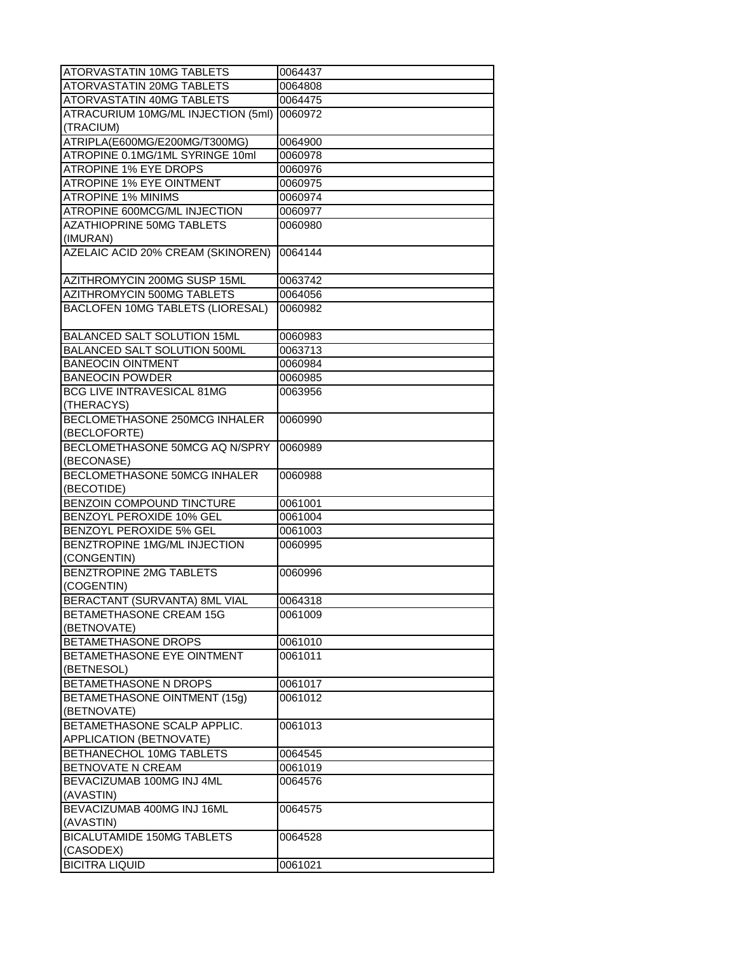| ATORVASTATIN 10MG TABLETS                | 0064437 |
|------------------------------------------|---------|
| ATORVASTATIN 20MG TABLETS                | 0064808 |
| <b>ATORVASTATIN 40MG TABLETS</b>         | 0064475 |
| ATRACURIUM 10MG/ML INJECTION (5ml)       | 0060972 |
| (TRACIUM)                                |         |
| ATRIPLA(E600MG/E200MG/T300MG)            | 0064900 |
| ATROPINE 0.1MG/1ML SYRINGE 10ml          | 0060978 |
| <b>ATROPINE 1% EYE DROPS</b>             | 0060976 |
| <b>ATROPINE 1% EYE OINTMENT</b>          | 0060975 |
| <b>ATROPINE 1% MINIMS</b>                | 0060974 |
| ATROPINE 600MCG/ML INJECTION             | 0060977 |
| <b>AZATHIOPRINE 50MG TABLETS</b>         | 0060980 |
| (IMURAN)                                 |         |
| <b>AZELAIC ACID 20% CREAM (SKINOREN)</b> | 0064144 |
|                                          |         |
| AZITHROMYCIN 200MG SUSP 15ML             | 0063742 |
| AZITHROMYCIN 500MG TABLETS               | 0064056 |
| BACLOFEN 10MG TABLETS (LIORESAL)         | 0060982 |
|                                          |         |
| BALANCED SALT SOLUTION 15ML              | 0060983 |
| <b>BALANCED SALT SOLUTION 500ML</b>      | 0063713 |
| <b>BANEOCIN OINTMENT</b>                 | 0060984 |
| <b>BANEOCIN POWDER</b>                   | 0060985 |
| <b>BCG LIVE INTRAVESICAL 81MG</b>        | 0063956 |
| (THERACYS)                               |         |
| <b>BECLOMETHASONE 250MCG INHALER</b>     | 0060990 |
| (BECLOFORTE)                             |         |
| BECLOMETHASONE 50MCG AQ N/SPRY           | 0060989 |
| (BECONASE)                               |         |
| BECLOMETHASONE 50MCG INHALER             | 0060988 |
| (BECOTIDE)                               |         |
| <b>BENZOIN COMPOUND TINCTURE</b>         | 0061001 |
| <b>BENZOYL PEROXIDE 10% GEL</b>          | 0061004 |
| BENZOYL PEROXIDE 5% GEL                  | 0061003 |
| BENZTROPINE 1MG/ML INJECTION             | 0060995 |
| (CONGENTIN)                              |         |
| BENZTROPINE 2MG TABLETS                  | 0060996 |
| (COGENTIN)                               |         |
| BERACTANT (SURVANTA) 8ML VIAL            | 0064318 |
| BETAMETHASONE CREAM 15G                  | 0061009 |
| (BETNOVATE)                              |         |
| <b>BETAMETHASONE DROPS</b>               | 0061010 |
| <b>BETAMETHASONE EYE OINTMENT</b>        | 0061011 |
| (BETNESOL)                               |         |
| BETAMETHASONE N DROPS                    | 0061017 |
| <b>BETAMETHASONE OINTMENT (15g)</b>      | 0061012 |
| (BETNOVATE)                              |         |
| BETAMETHASONE SCALP APPLIC.              | 0061013 |
| APPLICATION (BETNOVATE)                  |         |
| BETHANECHOL 10MG TABLETS                 | 0064545 |
| BETNOVATE N CREAM                        | 0061019 |
| BEVACIZUMAB 100MG INJ 4ML                | 0064576 |
| (AVASTIN)                                |         |
| BEVACIZUMAB 400MG INJ 16ML               | 0064575 |
| (AVASTIN)                                |         |
| <b>BICALUTAMIDE 150MG TABLETS</b>        | 0064528 |
| (CASODEX)                                |         |
| <b>BICITRA LIQUID</b>                    | 0061021 |
|                                          |         |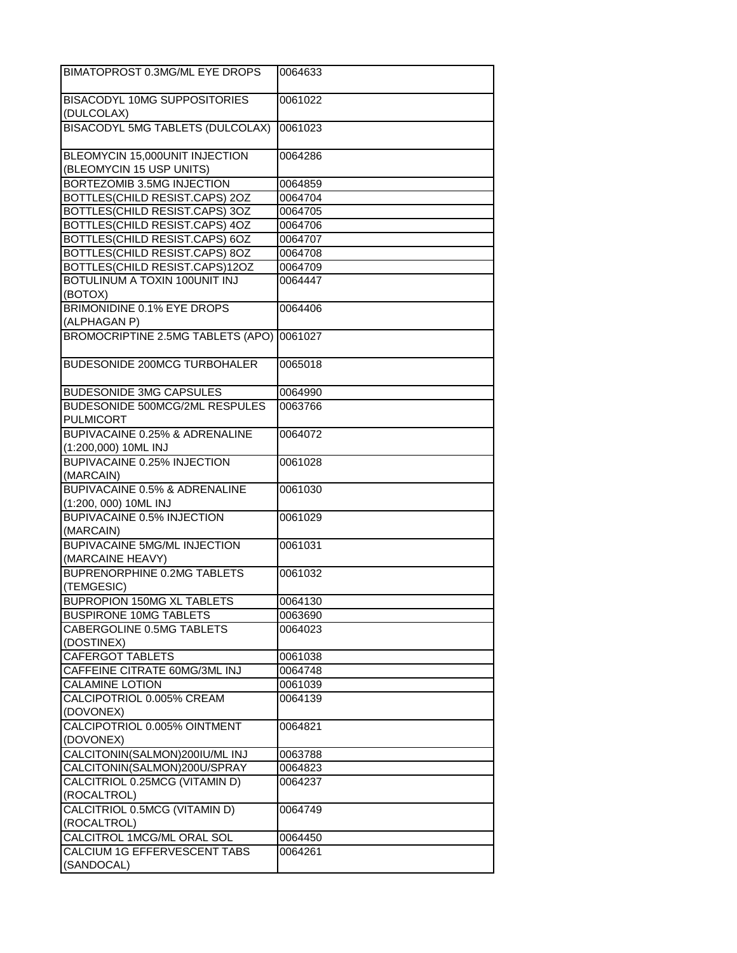| BIMATOPROST 0.3MG/ML EYE DROPS                             | 0064633 |
|------------------------------------------------------------|---------|
| <b>BISACODYL 10MG SUPPOSITORIES</b>                        | 0061022 |
| (DULCOLAX)                                                 |         |
| <b>BISACODYL 5MG TABLETS (DULCOLAX)</b>                    | 0061023 |
| BLEOMYCIN 15,000UNIT INJECTION<br>(BLEOMYCIN 15 USP UNITS) | 0064286 |
| BORTEZOMIB 3.5MG INJECTION                                 | 0064859 |
| BOTTLES(CHILD RESIST.CAPS) 2OZ                             | 0064704 |
| BOTTLES(CHILD RESIST.CAPS) 3OZ                             | 0064705 |
| BOTTLES(CHILD RESIST.CAPS) 4OZ                             | 0064706 |
| BOTTLES(CHILD RESIST.CAPS) 6OZ                             | 0064707 |
| BOTTLES(CHILD RESIST.CAPS) 8OZ                             | 0064708 |
| BOTTLES(CHILD RESIST.CAPS)12OZ                             | 0064709 |
| BOTULINUM A TOXIN 100UNIT INJ<br>(BOTOX)                   | 0064447 |
| <b>BRIMONIDINE 0.1% EYE DROPS</b><br>(ALPHAGAN P)          | 0064406 |
| BROMOCRIPTINE 2.5MG TABLETS (APO)                          | 0061027 |
| BUDESONIDE 200MCG TURBOHALER                               | 0065018 |
| <b>BUDESONIDE 3MG CAPSULES</b>                             | 0064990 |
| BUDESONIDE 500MCG/2ML RESPULES<br><b>PULMICORT</b>         | 0063766 |
| BUPIVACAINE 0.25% & ADRENALINE<br>(1:200,000) 10ML INJ     | 0064072 |
| <b>BUPIVACAINE 0.25% INJECTION</b><br>(MARCAIN)            | 0061028 |
| <b>BUPIVACAINE 0.5% &amp; ADRENALINE</b>                   | 0061030 |
| (1:200, 000) 10ML INJ                                      |         |
| <b>BUPIVACAINE 0.5% INJECTION</b><br>(MARCAIN)             | 0061029 |
| <b>BUPIVACAINE 5MG/ML INJECTION</b><br>(MARCAINE HEAVY)    | 0061031 |
| <b>BUPRENORPHINE 0.2MG TABLETS</b><br>(TEMGESIC)           | 0061032 |
| BUPROPION 150MG XL TABLETS                                 | 0064130 |
| <b>BUSPIRONE 10MG TABLETS</b>                              | 0063690 |
| CABERGOLINE 0.5MG TABLETS<br>(DOSTINEX)                    | 0064023 |
| <b>CAFERGOT TABLETS</b>                                    | 0061038 |
| CAFFEINE CITRATE 60MG/3ML INJ                              | 0064748 |
| <b>CALAMINE LOTION</b>                                     | 0061039 |
| CALCIPOTRIOL 0.005% CREAM                                  | 0064139 |
| (DOVONEX)                                                  |         |
| CALCIPOTRIOL 0.005% OINTMENT<br>(DOVONEX)                  | 0064821 |
| CALCITONIN(SALMON)200IU/ML INJ                             | 0063788 |
| CALCITONIN(SALMON)200U/SPRAY                               | 0064823 |
| CALCITRIOL 0.25MCG (VITAMIN D)                             | 0064237 |
| (ROCALTROL)                                                |         |
| CALCITRIOL 0.5MCG (VITAMIN D)                              | 0064749 |
| (ROCALTROL)                                                |         |
| CALCITROL 1MCG/ML ORAL SOL                                 | 0064450 |
| CALCIUM 1G EFFERVESCENT TABS<br>(SANDOCAL)                 | 0064261 |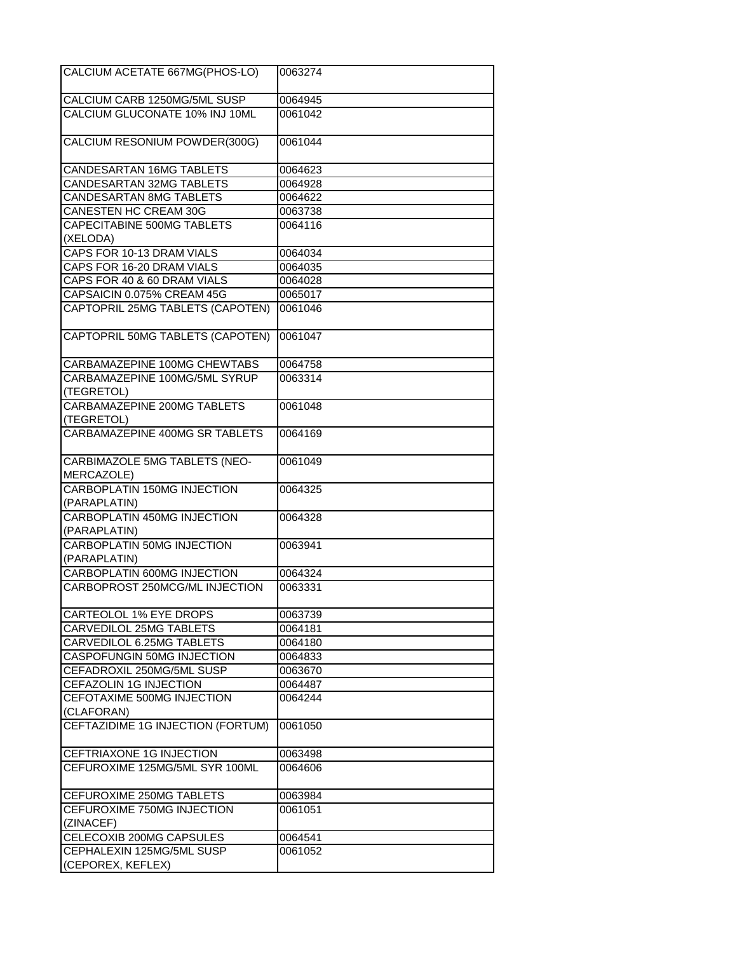| CALCIUM ACETATE 667MG(PHOS-LO)                     | 0063274 |
|----------------------------------------------------|---------|
| CALCIUM CARB 1250MG/5ML SUSP                       | 0064945 |
| CALCIUM GLUCONATE 10% INJ 10ML                     | 0061042 |
| CALCIUM RESONIUM POWDER(300G)                      | 0061044 |
| CANDESARTAN 16MG TABLETS                           | 0064623 |
| <b>CANDESARTAN 32MG TABLETS</b>                    | 0064928 |
| CANDESARTAN 8MG TABLETS                            | 0064622 |
| CANESTEN HC CREAM 30G                              | 0063738 |
| CAPECITABINE 500MG TABLETS<br>(XELODA)             | 0064116 |
| CAPS FOR 10-13 DRAM VIALS                          | 0064034 |
| CAPS FOR 16-20 DRAM VIALS                          | 0064035 |
| CAPS FOR 40 & 60 DRAM VIALS                        | 0064028 |
| CAPSAICIN 0.075% CREAM 45G                         | 0065017 |
| CAPTOPRIL 25MG TABLETS (CAPOTEN)                   | 0061046 |
| CAPTOPRIL 50MG TABLETS (CAPOTEN)                   | 0061047 |
| CARBAMAZEPINE 100MG CHEWTABS                       | 0064758 |
| CARBAMAZEPINE 100MG/5ML SYRUP<br>(TEGRETOL)        | 0063314 |
| CARBAMAZEPINE 200MG TABLETS<br>(TEGRETOL)          | 0061048 |
| CARBAMAZEPINE 400MG SR TABLETS                     | 0064169 |
| CARBIMAZOLE 5MG TABLETS (NEO-<br>MERCAZOLE)        | 0061049 |
| CARBOPLATIN 150MG INJECTION<br>(PARAPLATIN)        | 0064325 |
| <b>CARBOPLATIN 450MG INJECTION</b><br>(PARAPLATIN) | 0064328 |
| <b>CARBOPLATIN 50MG INJECTION</b><br>(PARAPLATIN)  | 0063941 |
| CARBOPLATIN 600MG INJECTION                        | 0064324 |
| CARBOPROST 250MCG/ML INJECTION                     | 0063331 |
| <b>CARTEOLOL 1% EYE DROPS</b>                      | 0063739 |
| CARVEDILOL 25MG TABLETS                            | 0064181 |
| CARVEDILOL 6.25MG TABLETS                          | 0064180 |
| CASPOFUNGIN 50MG INJECTION                         | 0064833 |
| CEFADROXIL 250MG/5ML SUSP                          | 0063670 |
| CEFAZOLIN 1G INJECTION                             | 0064487 |
| CEFOTAXIME 500MG INJECTION<br>(CLAFORAN)           | 0064244 |
| CEFTAZIDIME 1G INJECTION (FORTUM)                  | 0061050 |
| CEFTRIAXONE 1G INJECTION                           | 0063498 |
| CEFUROXIME 125MG/5ML SYR 100ML                     | 0064606 |
| CEFUROXIME 250MG TABLETS                           | 0063984 |
| CEFUROXIME 750MG INJECTION<br>(ZINACEF)            | 0061051 |
| CELECOXIB 200MG CAPSULES                           | 0064541 |
| CEPHALEXIN 125MG/5ML SUSP                          | 0061052 |
| (CEPOREX, KEFLEX)                                  |         |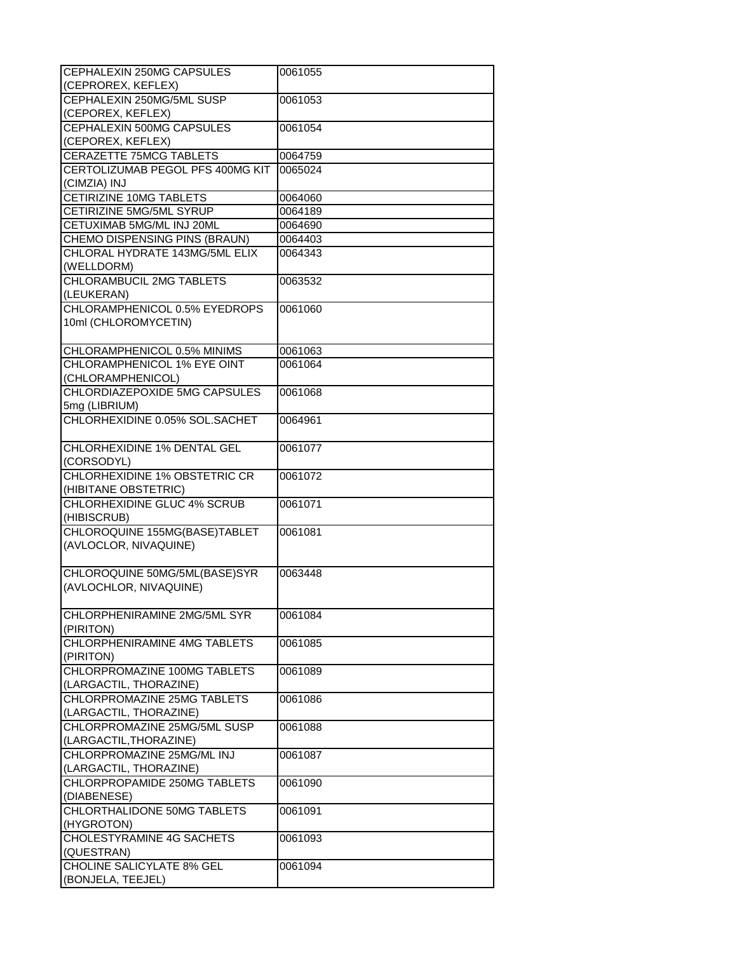| CEPHALEXIN 250MG CAPSULES<br>(CEPROREX, KEFLEX)            | 0061055            |
|------------------------------------------------------------|--------------------|
| CEPHALEXIN 250MG/5ML SUSP                                  | 0061053            |
| (CEPOREX, KEFLEX)                                          |                    |
| <b>CEPHALEXIN 500MG CAPSULES</b>                           | 0061054            |
| (CEPOREX, KEFLEX)                                          |                    |
| <b>CERAZETTE 75MCG TABLETS</b>                             | 0064759            |
| CERTOLIZUMAB PEGOL PFS 400MG KIT                           | 0065024            |
| (CIMZIA) INJ                                               |                    |
| <b>CETIRIZINE 10MG TABLETS</b>                             | 0064060            |
| CETIRIZINE 5MG/5ML SYRUP                                   | 0064189            |
| CETUXIMAB 5MG/ML INJ 20ML                                  | 0064690            |
| CHEMO DISPENSING PINS (BRAUN)                              | 0064403            |
| CHLORAL HYDRATE 143MG/5ML ELIX                             | 0064343            |
| (WELLDORM)                                                 |                    |
| CHLORAMBUCIL 2MG TABLETS                                   | 0063532            |
| (LEUKERAN)                                                 |                    |
| CHLORAMPHENICOL 0.5% EYEDROPS                              | 0061060            |
| 10ml (CHLOROMYCETIN)                                       |                    |
|                                                            |                    |
|                                                            |                    |
| CHLORAMPHENICOL 0.5% MINIMS<br>CHLORAMPHENICOL 1% EYE OINT | 0061063<br>0061064 |
| (CHLORAMPHENICOL)                                          |                    |
| CHLORDIAZEPOXIDE 5MG CAPSULES                              | 0061068            |
| 5mg (LIBRIUM)                                              |                    |
| CHLORHEXIDINE 0.05% SOL.SACHET                             | 0064961            |
|                                                            |                    |
| CHLORHEXIDINE 1% DENTAL GEL                                | 0061077            |
| (CORSODYL)                                                 |                    |
| CHLORHEXIDINE 1% OBSTETRIC CR                              | 0061072            |
| (HIBITANE OBSTETRIC)                                       |                    |
| CHLORHEXIDINE GLUC 4% SCRUB                                | 0061071            |
| (HIBISCRUB)                                                |                    |
| CHLOROQUINE 155MG(BASE)TABLET                              | 0061081            |
| (AVLOCLOR, NIVAQUINE)                                      |                    |
|                                                            |                    |
| CHLOROQUINE 50MG/5ML(BASE)SYR                              | 0063448            |
| (AVLOCHLOR, NIVAQUINE)                                     |                    |
|                                                            |                    |
| CHLORPHENIRAMINE 2MG/5ML SYR                               | 0061084            |
| (PIRITON)                                                  |                    |
| CHLORPHENIRAMINE 4MG TABLETS                               | 0061085            |
| (PIRITON)                                                  |                    |
| CHLORPROMAZINE 100MG TABLETS                               | 0061089            |
| (LARGACTIL, THORAZINE)                                     |                    |
| CHLORPROMAZINE 25MG TABLETS                                | 0061086            |
| (LARGACTIL, THORAZINE)                                     |                    |
| CHLORPROMAZINE 25MG/5ML SUSP                               | 0061088            |
| (LARGACTIL, THORAZINE)                                     |                    |
| CHLORPROMAZINE 25MG/ML INJ                                 | 0061087            |
| (LARGACTIL, THORAZINE)                                     |                    |
| CHLORPROPAMIDE 250MG TABLETS                               | 0061090            |
| (DIABENESE)                                                |                    |
| CHLORTHALIDONE 50MG TABLETS                                | 0061091            |
| (HYGROTON)                                                 |                    |
| CHOLESTYRAMINE 4G SACHETS                                  | 0061093            |
| (QUESTRAN)                                                 |                    |
| <b>CHOLINE SALICYLATE 8% GEL</b>                           | 0061094            |
| (BONJELA, TEEJEL)                                          |                    |
|                                                            |                    |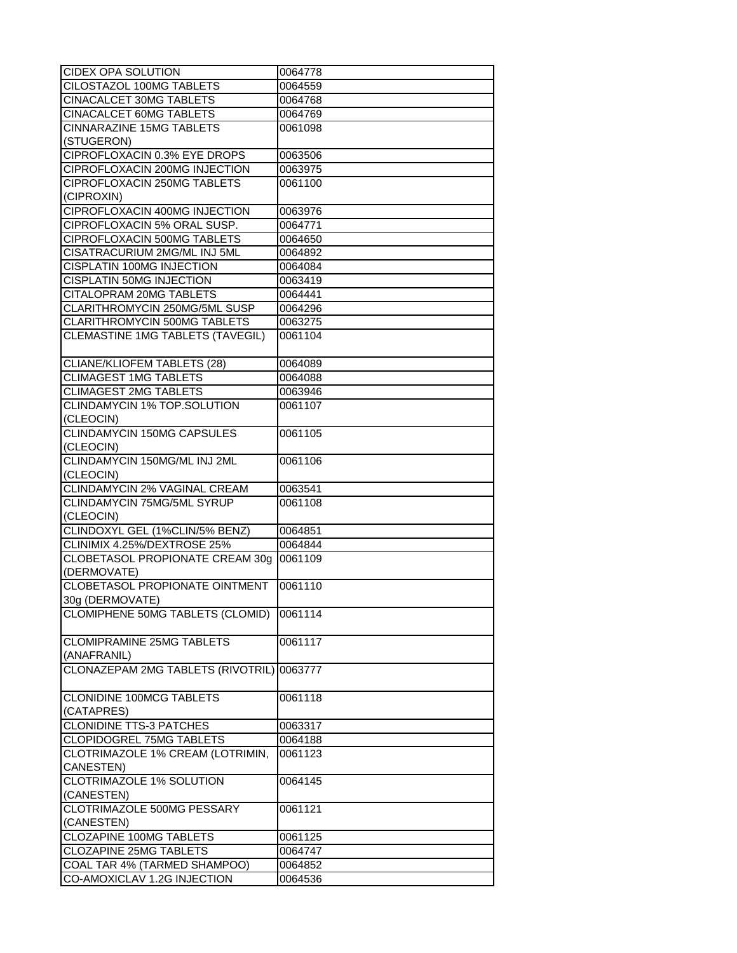| CIDEX OPA SOLUTION                    | 0064778 |
|---------------------------------------|---------|
| CILOSTAZOL 100MG TABLETS              | 0064559 |
| <b>CINACALCET 30MG TABLETS</b>        | 0064768 |
| CINACALCET 60MG TABLETS               | 0064769 |
| <b>CINNARAZINE 15MG TABLETS</b>       | 0061098 |
| (STUGERON)                            |         |
| CIPROFLOXACIN 0.3% EYE DROPS          | 0063506 |
| CIPROFLOXACIN 200MG INJECTION         | 0063975 |
| CIPROFLOXACIN 250MG TABLETS           | 0061100 |
| (CIPROXIN)                            |         |
| CIPROFLOXACIN 400MG INJECTION         | 0063976 |
| CIPROFLOXACIN 5% ORAL SUSP.           | 0064771 |
| CIPROFLOXACIN 500MG TABLETS           |         |
|                                       | 0064650 |
| CISATRACURIUM 2MG/ML INJ 5ML          | 0064892 |
| <b>CISPLATIN 100MG INJECTION</b>      | 0064084 |
| CISPLATIN 50MG INJECTION              | 0063419 |
| <b>CITALOPRAM 20MG TABLETS</b>        | 0064441 |
| CLARITHROMYCIN 250MG/5ML SUSP         | 0064296 |
| CLARITHROMYCIN 500MG TABLETS          | 0063275 |
| CLEMASTINE 1MG TABLETS (TAVEGIL)      | 0061104 |
|                                       |         |
| CLIANE/KLIOFEM TABLETS (28)           | 0064089 |
| <b>CLIMAGEST 1MG TABLETS</b>          | 0064088 |
| <b>CLIMAGEST 2MG TABLETS</b>          | 0063946 |
| CLINDAMYCIN 1% TOP.SOLUTION           | 0061107 |
| (CLEOCIN)                             |         |
| <b>CLINDAMYCIN 150MG CAPSULES</b>     | 0061105 |
| (CLEOCIN)                             |         |
| CLINDAMYCIN 150MG/ML INJ 2ML          | 0061106 |
| (CLEOCIN)                             |         |
| CLINDAMYCIN 2% VAGINAL CREAM          | 0063541 |
| CLINDAMYCIN 75MG/5ML SYRUP            | 0061108 |
| (CLEOCIN)                             |         |
| CLINDOXYL GEL (1%CLIN/5% BENZ)        | 0064851 |
| CLINIMIX 4.25%/DEXTROSE 25%           | 0064844 |
| CLOBETASOL PROPIONATE CREAM 30g       | 0061109 |
| (DERMOVATE)                           |         |
| <b>CLOBETASOL PROPIONATE OINTMENT</b> | 0061110 |
| 30g (DERMOVATE)                       |         |
| CLOMIPHENE 50MG TABLETS (CLOMID)      | 0061114 |
|                                       |         |
| <b>CLOMIPRAMINE 25MG TABLETS</b>      | 0061117 |
| (ANAFRANIL)                           |         |
| CLONAZEPAM 2MG TABLETS (RIVOTRIL)     |         |
|                                       | 0063777 |
|                                       |         |
| <b>CLONIDINE 100MCG TABLETS</b>       | 0061118 |
| (CATAPRES)                            |         |
| <b>CLONIDINE TTS-3 PATCHES</b>        | 0063317 |
| <b>CLOPIDOGREL 75MG TABLETS</b>       | 0064188 |
| CLOTRIMAZOLE 1% CREAM (LOTRIMIN,      | 0061123 |
| CANESTEN)                             |         |
| <b>CLOTRIMAZOLE 1% SOLUTION</b>       | 0064145 |
| (CANESTEN)                            |         |
| CLOTRIMAZOLE 500MG PESSARY            | 0061121 |
| (CANESTEN)                            |         |
| CLOZAPINE 100MG TABLETS               | 0061125 |
| <b>CLOZAPINE 25MG TABLETS</b>         | 0064747 |
| COAL TAR 4% (TARMED SHAMPOO)          | 0064852 |
| CO-AMOXICLAV 1.2G INJECTION           | 0064536 |
|                                       |         |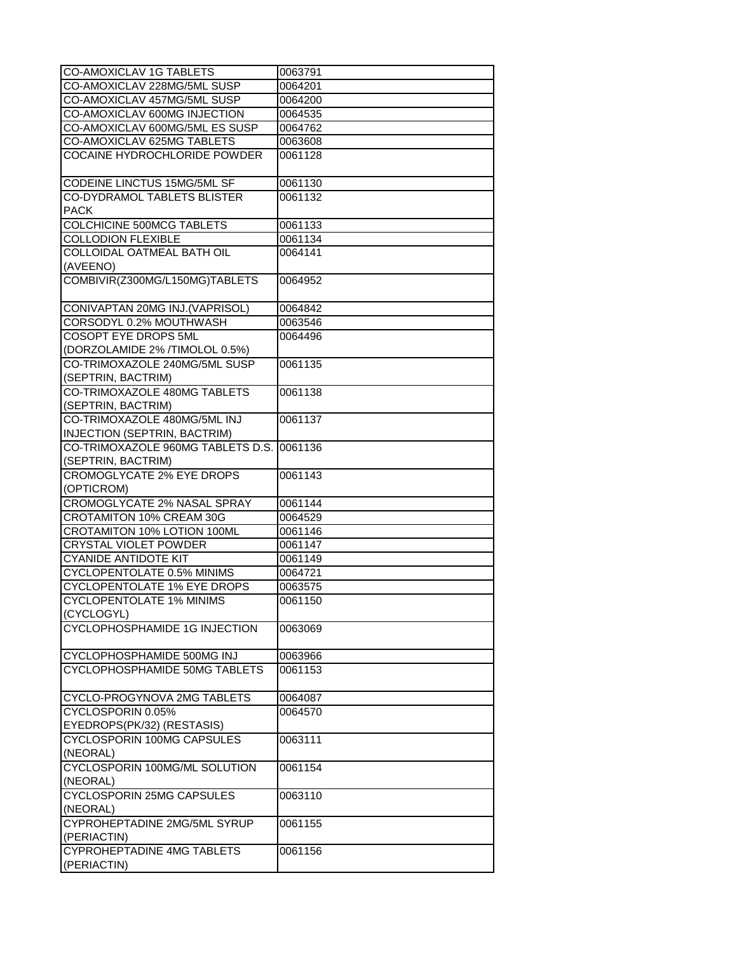| CO-AMOXICLAV 1G TABLETS                                         | 0063791 |
|-----------------------------------------------------------------|---------|
| CO-AMOXICLAV 228MG/5ML SUSP                                     | 0064201 |
| CO-AMOXICLAV 457MG/5ML SUSP                                     | 0064200 |
| CO-AMOXICLAV 600MG INJECTION                                    | 0064535 |
| CO-AMOXICLAV 600MG/5ML ES SUSP                                  | 0064762 |
| CO-AMOXICLAV 625MG TABLETS                                      | 0063608 |
| COCAINE HYDROCHLORIDE POWDER                                    | 0061128 |
| CODEINE LINCTUS 15MG/5ML SF                                     | 0061130 |
| <b>CO-DYDRAMOL TABLETS BLISTER</b><br><b>PACK</b>               | 0061132 |
| COLCHICINE 500MCG TABLETS                                       | 0061133 |
| <b>COLLODION FLEXIBLE</b>                                       | 0061134 |
| COLLOIDAL OATMEAL BATH OIL                                      | 0064141 |
| (AVEENO)                                                        |         |
| COMBIVIR(Z300MG/L150MG)TABLETS                                  | 0064952 |
| CONIVAPTAN 20MG INJ.(VAPRISOL)                                  | 0064842 |
| CORSODYL 0.2% MOUTHWASH                                         | 0063546 |
| COSOPT EYE DROPS 5ML                                            | 0064496 |
| (DORZOLAMIDE 2% /TIMOLOL 0.5%)                                  |         |
| CO-TRIMOXAZOLE 240MG/5ML SUSP                                   | 0061135 |
| (SEPTRIN, BACTRIM)                                              |         |
| CO-TRIMOXAZOLE 480MG TABLETS                                    | 0061138 |
| (SEPTRIN, BACTRIM)                                              |         |
| CO-TRIMOXAZOLE 480MG/5ML INJ                                    | 0061137 |
| <b>INJECTION (SEPTRIN, BACTRIM)</b>                             |         |
| CO-TRIMOXAZOLE 960MG TABLETS D.S. 0061136<br>(SEPTRIN, BACTRIM) |         |
| <b>CROMOGLYCATE 2% EYE DROPS</b><br>(OPTICROM)                  | 0061143 |
| <b>CROMOGLYCATE 2% NASAL SPRAY</b>                              | 0061144 |
| CROTAMITON 10% CREAM 30G                                        | 0064529 |
| CROTAMITON 10% LOTION 100ML                                     | 0061146 |
| <b>CRYSTAL VIOLET POWDER</b>                                    | 0061147 |
| <b>CYANIDE ANTIDOTE KIT</b>                                     | 0061149 |
| CYCLOPENTOLATE 0.5% MINIMS                                      | 0064721 |
| <b>CYCLOPENTOLATE 1% EYE DROPS</b>                              | 0063575 |
| <b>CYCLOPENTOLATE 1% MINIMS</b>                                 | 0061150 |
| (CYCLOGYL)                                                      |         |
| CYCLOPHOSPHAMIDE 1G INJECTION                                   | 0063069 |
| CYCLOPHOSPHAMIDE 500MG INJ                                      | 0063966 |
| CYCLOPHOSPHAMIDE 50MG TABLETS                                   | 0061153 |
| CYCLO-PROGYNOVA 2MG TABLETS                                     | 0064087 |
| CYCLOSPORIN 0.05%                                               | 0064570 |
| EYEDROPS(PK/32) (RESTASIS)                                      |         |
| CYCLOSPORIN 100MG CAPSULES                                      | 0063111 |
| (NEORAL)                                                        |         |
| CYCLOSPORIN 100MG/ML SOLUTION<br>(NEORAL)                       | 0061154 |
| CYCLOSPORIN 25MG CAPSULES                                       | 0063110 |
| (NEORAL)                                                        |         |
| CYPROHEPTADINE 2MG/5ML SYRUP<br>(PERIACTIN)                     | 0061155 |
| <b>CYPROHEPTADINE 4MG TABLETS</b>                               | 0061156 |
| (PERIACTIN)                                                     |         |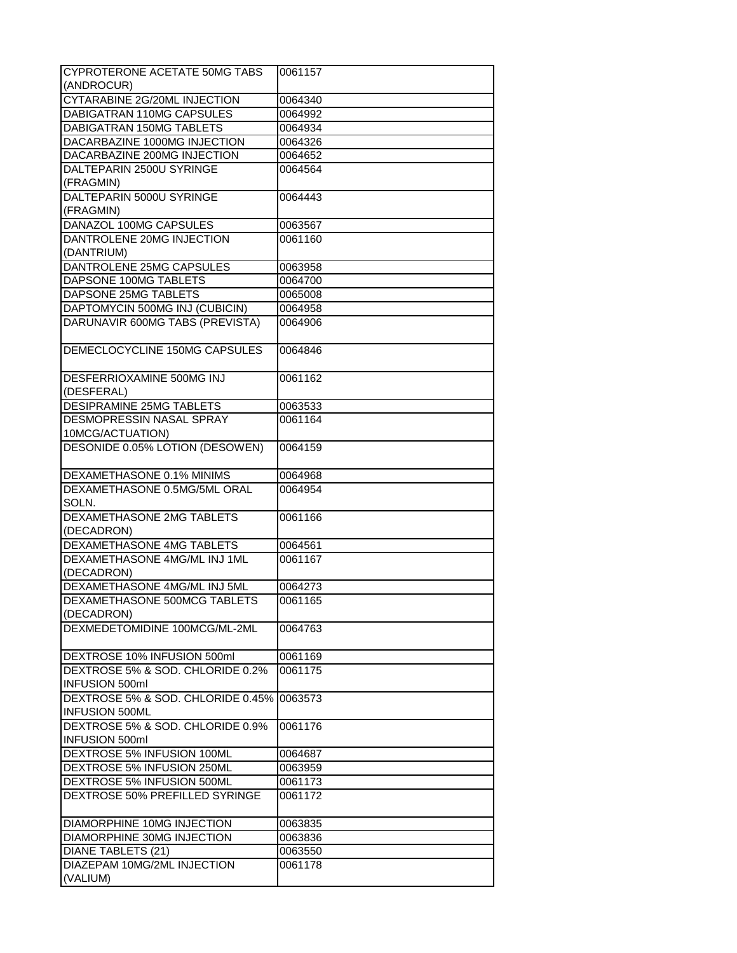| CYPROTERONE ACETATE 50MG TABS     | 0061157 |
|-----------------------------------|---------|
| (ANDROCUR)                        |         |
| CYTARABINE 2G/20ML INJECTION      | 0064340 |
| DABIGATRAN 110MG CAPSULES         | 0064992 |
| <b>DABIGATRAN 150MG TABLETS</b>   |         |
|                                   | 0064934 |
| DACARBAZINE 1000MG INJECTION      | 0064326 |
| DACARBAZINE 200MG INJECTION       | 0064652 |
| DALTEPARIN 2500U SYRINGE          | 0064564 |
| (FRAGMIN)                         |         |
| DALTEPARIN 5000U SYRINGE          | 0064443 |
| (FRAGMIN)                         |         |
| DANAZOL 100MG CAPSULES            | 0063567 |
| DANTROLENE 20MG INJECTION         | 0061160 |
| (DANTRIUM)                        |         |
| DANTROLENE 25MG CAPSULES          | 0063958 |
| DAPSONE 100MG TABLETS             | 0064700 |
| DAPSONE 25MG TABLETS              | 0065008 |
| DAPTOMYCIN 500MG INJ (CUBICIN)    | 0064958 |
| DARUNAVIR 600MG TABS (PREVISTA)   | 0064906 |
|                                   |         |
| DEMECLOCYCLINE 150MG CAPSULES     | 0064846 |
|                                   |         |
| DESFERRIOXAMINE 500MG INJ         | 0061162 |
|                                   |         |
| (DESFERAL)                        |         |
| DESIPRAMINE 25MG TABLETS          | 0063533 |
| DESMOPRESSIN NASAL SPRAY          | 0061164 |
| 10MCG/ACTUATION)                  |         |
| DESONIDE 0.05% LOTION (DESOWEN)   | 0064159 |
|                                   |         |
| DEXAMETHASONE 0.1% MINIMS         | 0064968 |
| DEXAMETHASONE 0.5MG/5ML ORAL      | 0064954 |
| SOLN.                             |         |
| DEXAMETHASONE 2MG TABLETS         | 0061166 |
| (DECADRON)                        |         |
| <b>DEXAMETHASONE 4MG TABLETS</b>  | 0064561 |
| DEXAMETHASONE 4MG/ML INJ 1ML      | 0061167 |
| (DECADRON)                        |         |
| DEXAMETHASONE 4MG/ML INJ 5ML      | 0064273 |
| DEXAMETHASONE 500MCG TABLETS      | 0061165 |
| (DECADRON)                        |         |
| DEXMEDETOMIDINE 100MCG/ML-2ML     | 0064763 |
|                                   |         |
|                                   |         |
| DEXTROSE 10% INFUSION 500ml       | 0061169 |
| DEXTROSE 5% & SOD. CHLORIDE 0.2%  | 0061175 |
| <b>INFUSION 500ml</b>             |         |
| DEXTROSE 5% & SOD. CHLORIDE 0.45% | 0063573 |
| <b>INFUSION 500ML</b>             |         |
| DEXTROSE 5% & SOD, CHLORIDE 0.9%  | 0061176 |
| <b>INFUSION 500ml</b>             |         |
| DEXTROSE 5% INFUSION 100ML        | 0064687 |
| DEXTROSE 5% INFUSION 250ML        | 0063959 |
| DEXTROSE 5% INFUSION 500ML        | 0061173 |
| DEXTROSE 50% PREFILLED SYRINGE    | 0061172 |
|                                   |         |
| DIAMORPHINE 10MG INJECTION        | 0063835 |
| DIAMORPHINE 30MG INJECTION        | 0063836 |
| DIANE TABLETS (21)                | 0063550 |
| DIAZEPAM 10MG/2ML INJECTION       | 0061178 |
| (VALIUM)                          |         |
|                                   |         |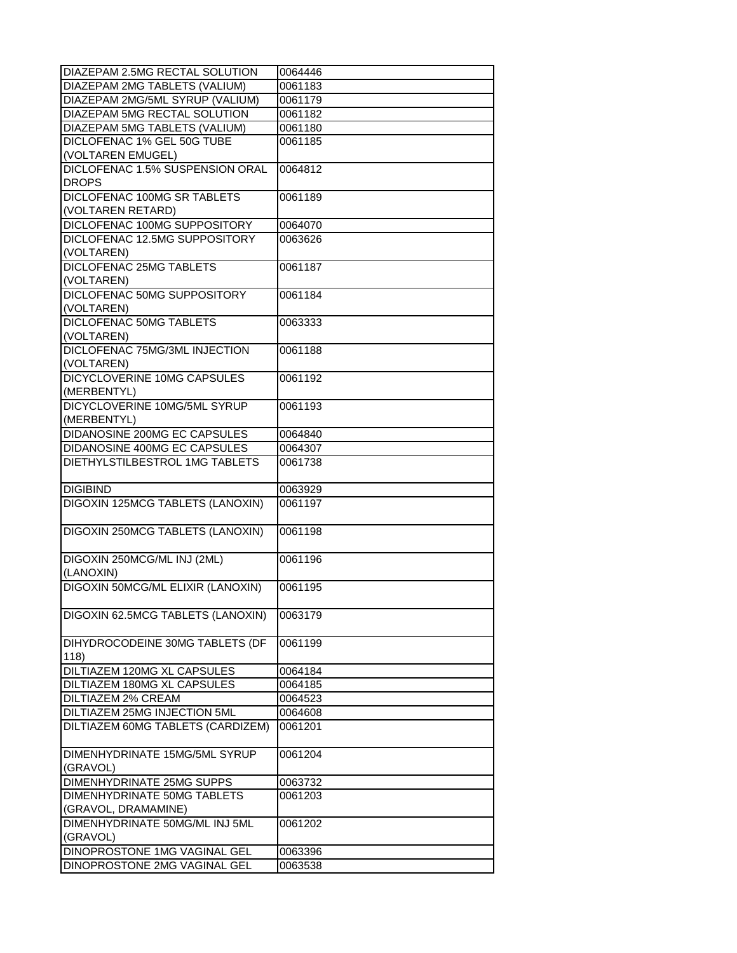| DIAZEPAM 2.5MG RECTAL SOLUTION       | 0064446 |
|--------------------------------------|---------|
| DIAZEPAM 2MG TABLETS (VALIUM)        | 0061183 |
| DIAZEPAM 2MG/5ML SYRUP (VALIUM)      | 0061179 |
| DIAZEPAM 5MG RECTAL SOLUTION         | 0061182 |
| <b>DIAZEPAM 5MG TABLETS (VALIUM)</b> | 0061180 |
| DICLOFENAC 1% GEL 50G TUBE           | 0061185 |
| (VOLTAREN EMUGEL)                    |         |
| DICLOFENAC 1.5% SUSPENSION ORAL      | 0064812 |
| <b>DROPS</b>                         |         |
| DICLOFENAC 100MG SR TABLETS          | 0061189 |
| (VOLTAREN RETARD)                    |         |
| DICLOFENAC 100MG SUPPOSITORY         | 0064070 |
| DICLOFENAC 12.5MG SUPPOSITORY        | 0063626 |
| (VOLTAREN)                           |         |
| DICLOFENAC 25MG TABLETS              | 0061187 |
| (VOLTAREN)                           |         |
| DICLOFENAC 50MG SUPPOSITORY          | 0061184 |
| (VOLTAREN)                           |         |
| <b>DICLOFENAC 50MG TABLETS</b>       | 0063333 |
| (VOLTAREN)                           |         |
| DICLOFENAC 75MG/3ML INJECTION        | 0061188 |
| (VOLTAREN)                           |         |
| DICYCLOVERINE 10MG CAPSULES          | 0061192 |
| (MERBENTYL)                          |         |
| DICYCLOVERINE 10MG/5ML SYRUP         | 0061193 |
| (MERBENTYL)                          |         |
| DIDANOSINE 200MG EC CAPSULES         | 0064840 |
| DIDANOSINE 400MG EC CAPSULES         | 0064307 |
| DIETHYLSTILBESTROL 1MG TABLETS       | 0061738 |
|                                      |         |
| <b>DIGIBIND</b>                      | 0063929 |
| DIGOXIN 125MCG TABLETS (LANOXIN)     | 0061197 |
|                                      |         |
| DIGOXIN 250MCG TABLETS (LANOXIN)     | 0061198 |
|                                      |         |
| DIGOXIN 250MCG/ML INJ (2ML)          | 0061196 |
| (LANOXIN)                            |         |
| DIGOXIN 50MCG/ML ELIXIR (LANOXIN)    | 0061195 |
|                                      |         |
| DIGOXIN 62.5MCG TABLETS (LANOXIN)    | 0063179 |
|                                      |         |
| DIHYDROCODEINE 30MG TABLETS (DF      | 0061199 |
| 118)                                 |         |
| DILTIAZEM 120MG XL CAPSULES          | 0064184 |
| DILTIAZEM 180MG XL CAPSULES          | 0064185 |
| <b>DILTIAZEM 2% CREAM</b>            | 0064523 |
| <b>DILTIAZEM 25MG INJECTION 5ML</b>  | 0064608 |
| DILTIAZEM 60MG TABLETS (CARDIZEM)    | 0061201 |
|                                      |         |
| DIMENHYDRINATE 15MG/5ML SYRUP        | 0061204 |
| (GRAVOL)                             |         |
| DIMENHYDRINATE 25MG SUPPS            | 0063732 |
| DIMENHYDRINATE 50MG TABLETS          | 0061203 |
|                                      |         |
| (GRAVOL, DRAMAMINE)                  |         |
| DIMENHYDRINATE 50MG/ML INJ 5ML       | 0061202 |
| (GRAVOL)                             |         |
| DINOPROSTONE 1MG VAGINAL GEL         | 0063396 |
| DINOPROSTONE 2MG VAGINAL GEL         | 0063538 |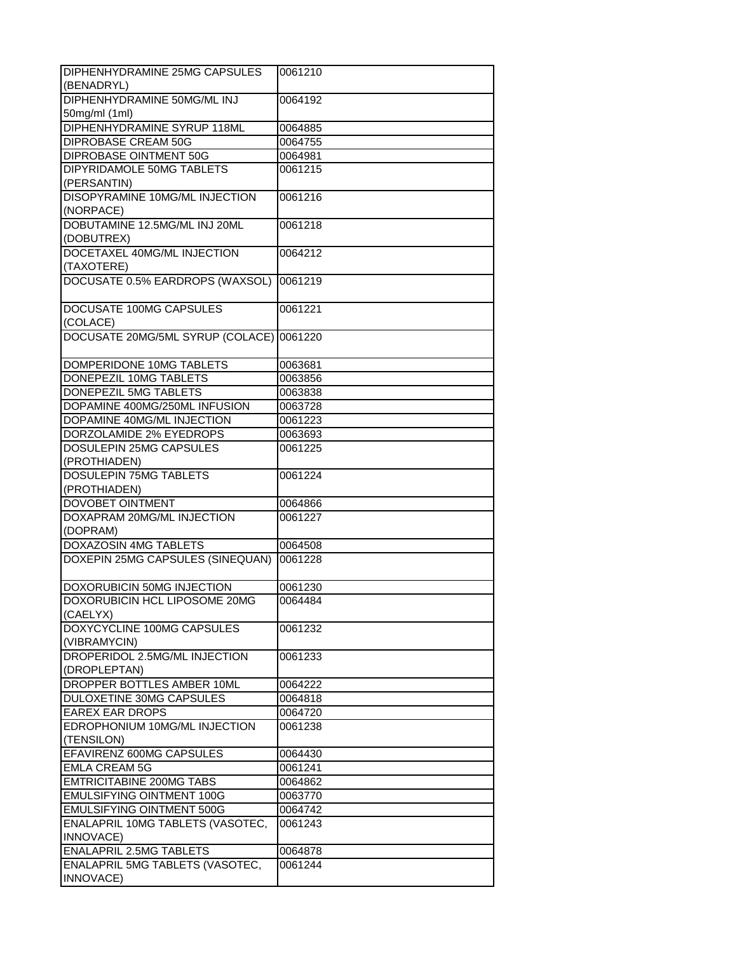| DIPHENHYDRAMINE 25MG CAPSULES    | 0061210 |
|----------------------------------|---------|
| (BENADRYL)                       |         |
| DIPHENHYDRAMINE 50MG/ML INJ      | 0064192 |
| 50mg/ml (1ml)                    |         |
| DIPHENHYDRAMINE SYRUP 118ML      |         |
|                                  | 0064885 |
| <b>DIPROBASE CREAM 50G</b>       | 0064755 |
| DIPROBASE OINTMENT 50G           | 0064981 |
| <b>DIPYRIDAMOLE 50MG TABLETS</b> | 0061215 |
| (PERSANTIN)                      |         |
| DISOPYRAMINE 10MG/ML INJECTION   | 0061216 |
| (NORPACE)                        |         |
| DOBUTAMINE 12.5MG/ML INJ 20ML    | 0061218 |
| (DOBUTREX)                       |         |
| DOCETAXEL 40MG/ML INJECTION      | 0064212 |
| (TAXOTERE)                       |         |
| DOCUSATE 0.5% EARDROPS (WAXSOL)  | 0061219 |
|                                  |         |
| DOCUSATE 100MG CAPSULES          | 0061221 |
| (COLACE)                         |         |
| DOCUSATE 20MG/5ML SYRUP (COLACE) | 0061220 |
|                                  |         |
|                                  |         |
| DOMPERIDONE 10MG TABLETS         | 0063681 |
| DONEPEZIL 10MG TABLETS           | 0063856 |
| DONEPEZIL 5MG TABLETS            | 0063838 |
| DOPAMINE 400MG/250ML INFUSION    | 0063728 |
| DOPAMINE 40MG/ML INJECTION       | 0061223 |
| DORZOLAMIDE 2% EYEDROPS          | 0063693 |
| DOSULEPIN 25MG CAPSULES          | 0061225 |
| (PROTHIADEN)                     |         |
| <b>DOSULEPIN 75MG TABLETS</b>    | 0061224 |
| (PROTHIADEN)                     |         |
| <b>DOVOBET OINTMENT</b>          | 0064866 |
| DOXAPRAM 20MG/ML INJECTION       | 0061227 |
| (DOPRAM)                         |         |
| <b>DOXAZOSIN 4MG TABLETS</b>     | 0064508 |
| DOXEPIN 25MG CAPSULES (SINEQUAN) | 0061228 |
|                                  |         |
|                                  |         |
| DOXORUBICIN 50MG INJECTION       | 0061230 |
| DOXORUBICIN HCL LIPOSOME 20MG    | 0064484 |
| (CAELYX)                         |         |
| DOXYCYCLINE 100MG CAPSULES       | 0061232 |
| (VIBRAMYCIN)                     |         |
| DROPERIDOL 2.5MG/ML INJECTION    | 0061233 |
| (DROPLEPTAN)                     |         |
| DROPPER BOTTLES AMBER 10ML       | 0064222 |
| <b>DULOXETINE 30MG CAPSULES</b>  | 0064818 |
| <b>EAREX EAR DROPS</b>           | 0064720 |
| EDROPHONIUM 10MG/ML INJECTION    | 0061238 |
| (TENSILON)                       |         |
| EFAVIRENZ 600MG CAPSULES         | 0064430 |
| <b>EMLA CREAM 5G</b>             | 0061241 |
| <b>EMTRICITABINE 200MG TABS</b>  | 0064862 |
| EMULSIFYING OINTMENT 100G        | 0063770 |
|                                  |         |
| <b>EMULSIFYING OINTMENT 500G</b> | 0064742 |
| ENALAPRIL 10MG TABLETS (VASOTEC, | 0061243 |
| INNOVACE)                        |         |
| <b>ENALAPRIL 2.5MG TABLETS</b>   | 0064878 |
| ENALAPRIL 5MG TABLETS (VASOTEC,  | 0061244 |
| INNOVACE)                        |         |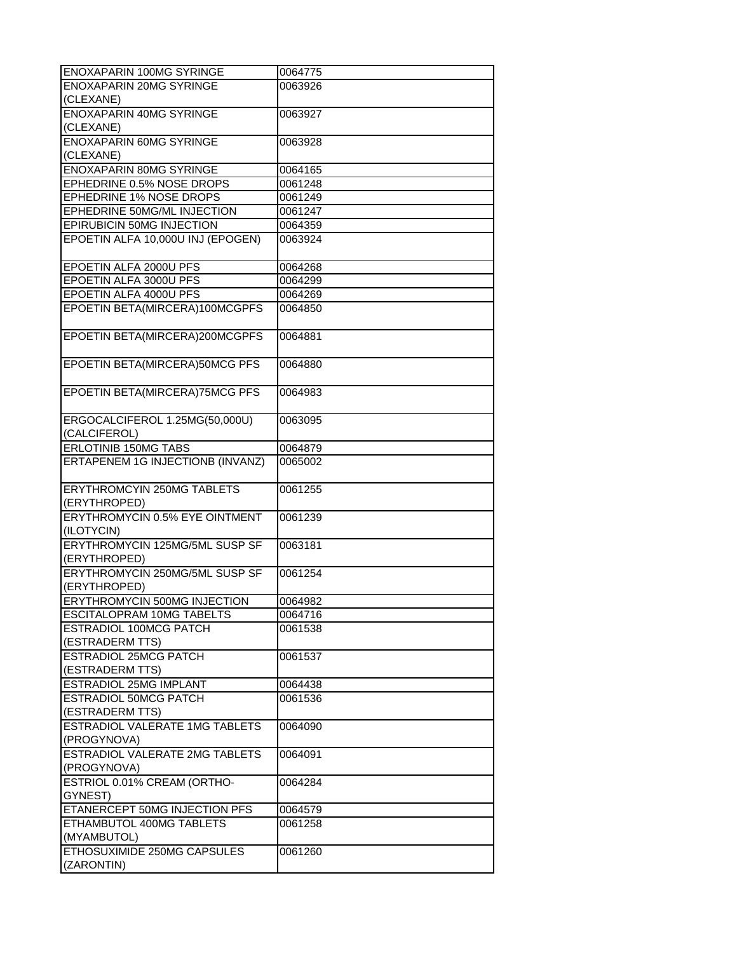| ENOXAPARIN 100MG SYRINGE                  | 0064775 |
|-------------------------------------------|---------|
| <b>ENOXAPARIN 20MG SYRINGE</b>            | 0063926 |
| (CLEXANE)                                 |         |
| <b>ENOXAPARIN 40MG SYRINGE</b>            | 0063927 |
| (CLEXANE)                                 |         |
| <b>ENOXAPARIN 60MG SYRINGE</b>            | 0063928 |
| (CLEXANE)                                 |         |
| <b>ENOXAPARIN 80MG SYRINGE</b>            | 0064165 |
| EPHEDRINE 0.5% NOSE DROPS                 | 0061248 |
| EPHEDRINE 1% NOSE DROPS                   | 0061249 |
| EPHEDRINE 50MG/ML INJECTION               | 0061247 |
| EPIRUBICIN 50MG INJECTION                 | 0064359 |
| EPOETIN ALFA 10,000U INJ (EPOGEN)         | 0063924 |
|                                           |         |
| EPOETIN ALFA 2000U PFS                    | 0064268 |
| EPOETIN ALFA 3000U PFS                    | 0064299 |
| EPOETIN ALFA 4000U PFS                    | 0064269 |
| EPOETIN BETA(MIRCERA)100MCGPFS            | 0064850 |
|                                           |         |
| EPOETIN BETA(MIRCERA)200MCGPFS            | 0064881 |
|                                           |         |
| EPOETIN BETA(MIRCERA)50MCG PFS            | 0064880 |
|                                           |         |
| EPOETIN BETA(MIRCERA) 75MCG PFS           | 0064983 |
|                                           |         |
| ERGOCALCIFEROL 1.25MG(50,000U)            | 0063095 |
| (CALCIFEROL)                              |         |
| <b>ERLOTINIB 150MG TABS</b>               | 0064879 |
| ERTAPENEM 1G INJECTIONB (INVANZ)          | 0065002 |
|                                           |         |
|                                           |         |
|                                           |         |
| <b>ERYTHROMCYIN 250MG TABLETS</b>         | 0061255 |
| (ERYTHROPED)                              |         |
| ERYTHROMYCIN 0.5% EYE OINTMENT            | 0061239 |
| (ILOTYCIN)                                |         |
| ERYTHROMYCIN 125MG/5ML SUSP SF            | 0063181 |
| (ERYTHROPED)                              |         |
| ERYTHROMYCIN 250MG/5ML SUSP SF            | 0061254 |
| (ERYTHROPED)                              |         |
| <b>ERYTHROMYCIN 500MG INJECTION</b>       | 0064982 |
| ESCITALOPRAM 10MG TABELTS                 | 0064716 |
| <b>ESTRADIOL 100MCG PATCH</b>             | 0061538 |
| (ESTRADERM TTS)                           |         |
| <b>ESTRADIOL 25MCG PATCH</b>              | 0061537 |
| (ESTRADERM TTS)                           |         |
| ESTRADIOL 25MG IMPLANT                    | 0064438 |
| <b>ESTRADIOL 50MCG PATCH</b>              | 0061536 |
| (ESTRADERM TTS)                           |         |
| <b>ESTRADIOL VALERATE 1MG TABLETS</b>     | 0064090 |
| (PROGYNOVA)                               |         |
| <b>ESTRADIOL VALERATE 2MG TABLETS</b>     | 0064091 |
| (PROGYNOVA)                               |         |
| ESTRIOL 0.01% CREAM (ORTHO-               | 0064284 |
| GYNEST)                                   |         |
| ETANERCEPT 50MG INJECTION PFS             | 0064579 |
| ETHAMBUTOL 400MG TABLETS                  | 0061258 |
| (MYAMBUTOL)                               |         |
| ETHOSUXIMIDE 250MG CAPSULES<br>(ZARONTIN) | 0061260 |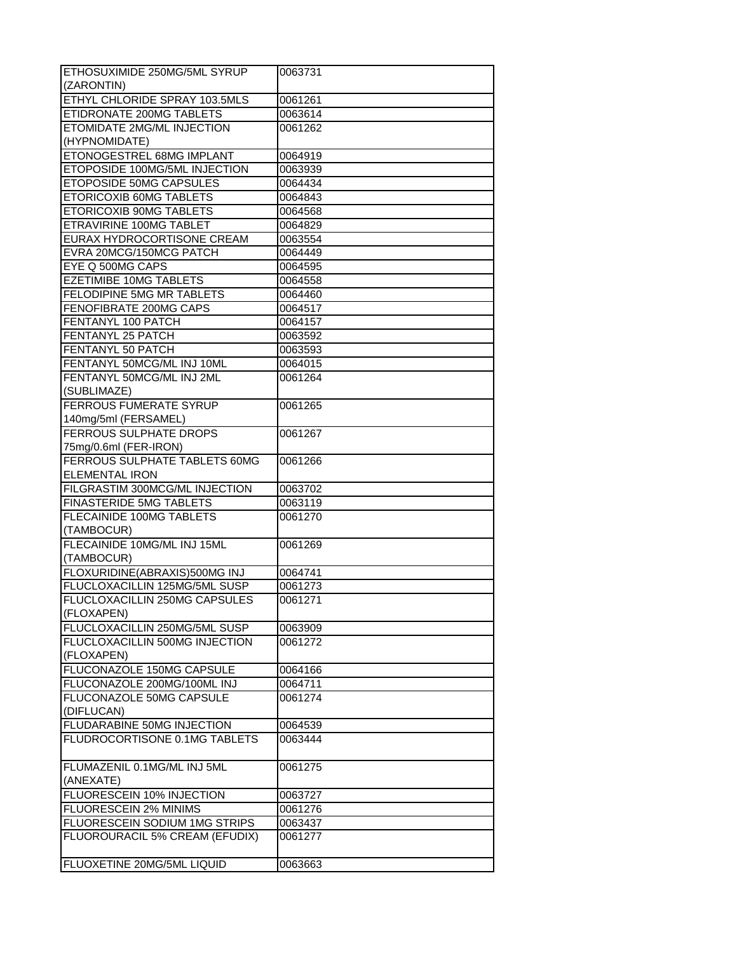| ETHOSUXIMIDE 250MG/5ML SYRUP    | 0063731 |
|---------------------------------|---------|
| (ZARONTIN)                      |         |
| ETHYL CHLORIDE SPRAY 103.5MLS   | 0061261 |
| ETIDRONATE 200MG TABLETS        | 0063614 |
| ETOMIDATE 2MG/ML INJECTION      | 0061262 |
| (HYPNOMIDATE)                   |         |
| ETONOGESTREL 68MG IMPLANT       | 0064919 |
| ETOPOSIDE 100MG/5ML INJECTION   | 0063939 |
| ETOPOSIDE 50MG CAPSULES         | 0064434 |
| ETORICOXIB 60MG TABLETS         | 0064843 |
| ETORICOXIB 90MG TABLETS         | 0064568 |
| ETRAVIRINE 100MG TABLET         | 0064829 |
| EURAX HYDROCORTISONE CREAM      | 0063554 |
| EVRA 20MCG/150MCG PATCH         | 0064449 |
| EYE Q 500MG CAPS                | 0064595 |
| <b>EZETIMIBE 10MG TABLETS</b>   | 0064558 |
| FELODIPINE 5MG MR TABLETS       | 0064460 |
| FENOFIBRATE 200MG CAPS          | 0064517 |
| FENTANYL 100 PATCH              | 0064157 |
| FENTANYL 25 PATCH               | 0063592 |
| FENTANYL 50 PATCH               | 0063593 |
| FENTANYL 50MCG/ML INJ 10ML      | 0064015 |
| FENTANYL 50MCG/ML INJ 2ML       | 0061264 |
| (SUBLIMAZE)                     |         |
| <b>FERROUS FUMERATE SYRUP</b>   | 0061265 |
| 140mg/5ml (FERSAMEL)            |         |
| FERROUS SULPHATE DROPS          | 0061267 |
| 75mg/0.6ml (FER-IRON)           |         |
| FERROUS SULPHATE TABLETS 60MG   | 0061266 |
| <b>ELEMENTAL IRON</b>           |         |
| FILGRASTIM 300MCG/ML INJECTION  | 0063702 |
| <b>FINASTERIDE 5MG TABLETS</b>  | 0063119 |
| <b>FLECAINIDE 100MG TABLETS</b> | 0061270 |
| (TAMBOCUR)                      |         |
| FLECAINIDE 10MG/ML INJ 15ML     | 0061269 |
| (TAMBOCUR)                      |         |
| FLOXURIDINE(ABRAXIS)500MG INJ   | 0064741 |
| FLUCLOXACILLIN 125MG/5ML SUSP   | 0061273 |
| FLUCLOXACILLIN 250MG CAPSULES   | 0061271 |
| (FLOXAPEN)                      |         |
| FLUCLOXACILLIN 250MG/5ML SUSP   | 0063909 |
| FLUCLOXACILLIN 500MG INJECTION  | 0061272 |
| (FLOXAPEN)                      |         |
| FLUCONAZOLE 150MG CAPSULE       | 0064166 |
| FLUCONAZOLE 200MG/100ML INJ     | 0064711 |
| <b>FLUCONAZOLE 50MG CAPSULE</b> | 0061274 |
| (DIFLUCAN)                      |         |
| FLUDARABINE 50MG INJECTION      | 0064539 |
| FLUDROCORTISONE 0.1MG TABLETS   | 0063444 |
|                                 |         |
| FLUMAZENIL 0.1MG/ML INJ 5ML     | 0061275 |
| (ANEXATE)                       |         |
| FLUORESCEIN 10% INJECTION       | 0063727 |
| FLUORESCEIN 2% MINIMS           | 0061276 |
| FLUORESCEIN SODIUM 1MG STRIPS   | 0063437 |
| FLUOROURACIL 5% CREAM (EFUDIX)  | 0061277 |
|                                 |         |
| FLUOXETINE 20MG/5ML LIQUID      | 0063663 |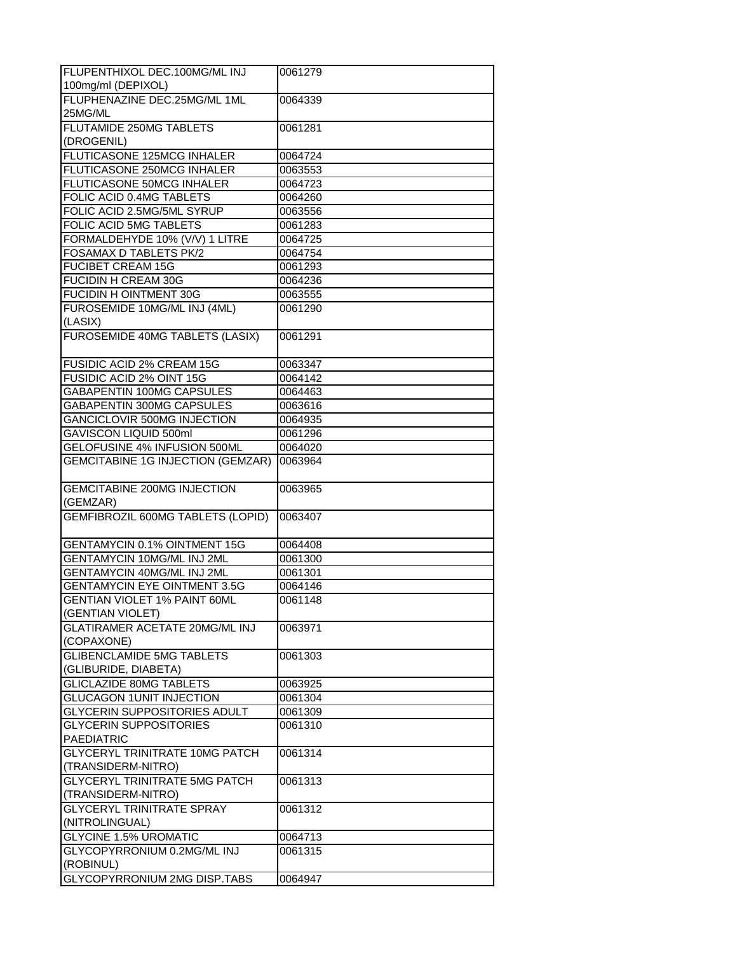| FLUPENTHIXOL DEC.100MG/ML INJ            | 0061279 |
|------------------------------------------|---------|
| 100mg/ml (DEPIXOL)                       |         |
| FLUPHENAZINE DEC.25MG/ML 1ML             | 0064339 |
| 25MG/ML                                  |         |
| <b>FLUTAMIDE 250MG TABLETS</b>           | 0061281 |
| (DROGENIL)                               |         |
| FLUTICASONE 125MCG INHALER               | 0064724 |
| FLUTICASONE 250MCG INHALER               | 0063553 |
| FLUTICASONE 50MCG INHALER                | 0064723 |
| FOLIC ACID 0.4MG TABLETS                 | 0064260 |
| FOLIC ACID 2.5MG/5ML SYRUP               | 0063556 |
| <b>FOLIC ACID 5MG TABLETS</b>            | 0061283 |
| FORMALDEHYDE 10% (V/V) 1 LITRE           | 0064725 |
| FOSAMAX D TABLETS PK/2                   | 0064754 |
| <b>FUCIBET CREAM 15G</b>                 | 0061293 |
| <b>FUCIDIN H CREAM 30G</b>               | 0064236 |
| FUCIDIN H OINTMENT 30G                   | 0063555 |
| FUROSEMIDE 10MG/ML INJ (4ML)             | 0061290 |
| (LASIX)                                  |         |
| FUROSEMIDE 40MG TABLETS (LASIX)          | 0061291 |
|                                          |         |
| FUSIDIC ACID 2% CREAM 15G                | 0063347 |
| FUSIDIC ACID 2% OINT 15G                 | 0064142 |
| <b>GABAPENTIN 100MG CAPSULES</b>         | 0064463 |
| GABAPENTIN 300MG CAPSULES                | 0063616 |
| GANCICLOVIR 500MG INJECTION              | 0064935 |
| GAVISCON LIQUID 500ml                    | 0061296 |
| GELOFUSINE 4% INFUSION 500ML             | 0064020 |
| <b>GEMCITABINE 1G INJECTION (GEMZAR)</b> | 0063964 |
|                                          |         |
| <b>GEMCITABINE 200MG INJECTION</b>       | 0063965 |
| (GEMZAR)                                 |         |
| <b>GEMFIBROZIL 600MG TABLETS (LOPID)</b> | 0063407 |
|                                          |         |
| <b>GENTAMYCIN 0.1% OINTMENT 15G</b>      | 0064408 |
| <b>GENTAMYCIN 10MG/ML INJ 2ML</b>        | 0061300 |
| GENTAMYCIN 40MG/ML INJ 2ML               | 0061301 |
| <b>GENTAMYCIN EYE OINTMENT 3.5G</b>      | 0064146 |
| <b>GENTIAN VIOLET 1% PAINT 60ML</b>      | 0061148 |
| (GENTIAN VIOLET)                         |         |
| GLATIRAMER ACETATE 20MG/ML INJ           | 0063971 |
| (COPAXONE)                               |         |
| <b>GLIBENCLAMIDE 5MG TABLETS</b>         | 0061303 |
| (GLIBURIDE, DIABETA)                     |         |
| <b>GLICLAZIDE 80MG TABLETS</b>           | 0063925 |
| <b>GLUCAGON 1UNIT INJECTION</b>          | 0061304 |
| <b>GLYCERIN SUPPOSITORIES ADULT</b>      | 0061309 |
| <b>GLYCERIN SUPPOSITORIES</b>            | 0061310 |
| PAEDIATRIC                               |         |
| <b>GLYCERYL TRINITRATE 10MG PATCH</b>    | 0061314 |
| (TRANSIDERM-NITRO)                       |         |
| <b>GLYCERYL TRINITRATE 5MG PATCH</b>     | 0061313 |
| (TRANSIDERM-NITRO)                       |         |
| <b>GLYCERYL TRINITRATE SPRAY</b>         | 0061312 |
| (NITROLINGUAL)                           |         |
| <b>GLYCINE 1.5% UROMATIC</b>             | 0064713 |
| GLYCOPYRRONIUM 0.2MG/ML INJ              | 0061315 |
| (ROBINUL)                                |         |
| GLYCOPYRRONIUM 2MG DISP.TABS             | 0064947 |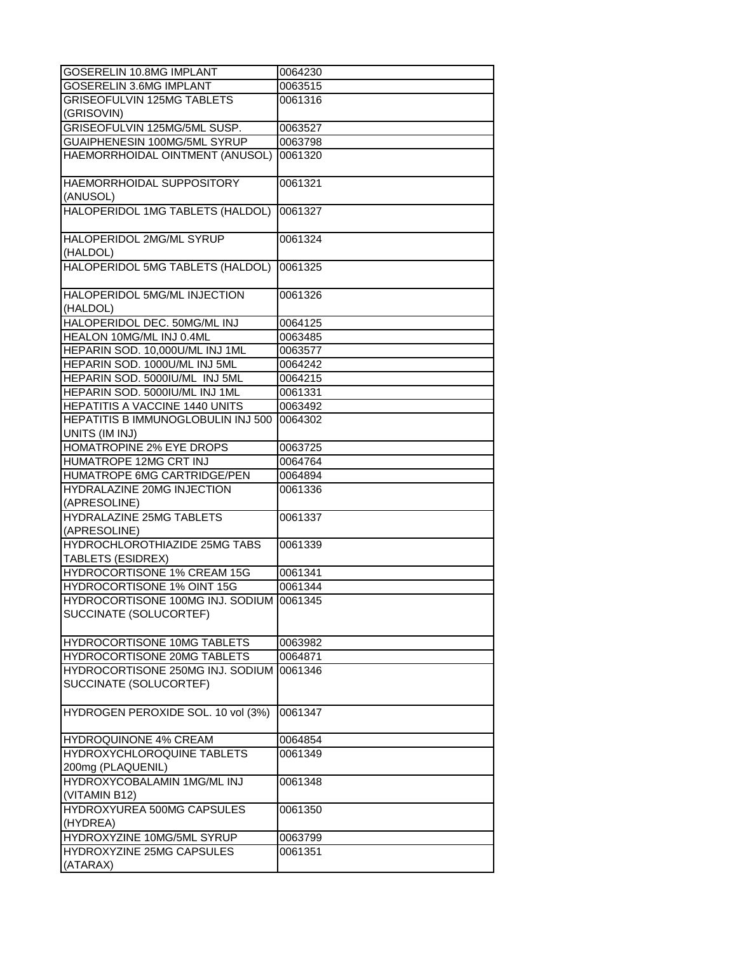| GOSERELIN 10.8MG IMPLANT                     | 0064230 |
|----------------------------------------------|---------|
| GOSERELIN 3.6MG IMPLANT                      | 0063515 |
| <b>GRISEOFULVIN 125MG TABLETS</b>            | 0061316 |
| (GRISOVIN)                                   |         |
| GRISEOFULVIN 125MG/5ML SUSP.                 | 0063527 |
| GUAIPHENESIN 100MG/5ML SYRUP                 | 0063798 |
| HAEMORRHOIDAL OINTMENT (ANUSOL)              | 0061320 |
|                                              |         |
| HAEMORRHOIDAL SUPPOSITORY                    | 0061321 |
| (ANUSOL)                                     |         |
| HALOPERIDOL 1MG TABLETS (HALDOL)             | 0061327 |
|                                              |         |
| HALOPERIDOL 2MG/ML SYRUP                     | 0061324 |
|                                              |         |
| (HALDOL)<br>HALOPERIDOL 5MG TABLETS (HALDOL) |         |
|                                              | 0061325 |
|                                              |         |
| HALOPERIDOL 5MG/ML INJECTION                 | 0061326 |
| (HALDOL)                                     |         |
| HALOPERIDOL DEC. 50MG/ML INJ                 | 0064125 |
| HEALON 10MG/ML INJ 0.4ML                     | 0063485 |
| HEPARIN SOD. 10,000U/ML INJ 1ML              | 0063577 |
| HEPARIN SOD. 1000U/ML INJ 5ML                | 0064242 |
| HEPARIN SOD. 5000IU/ML INJ 5ML               | 0064215 |
| HEPARIN SOD. 5000IU/ML INJ 1ML               | 0061331 |
| HEPATITIS A VACCINE 1440 UNITS               | 0063492 |
| HEPATITIS B IMMUNOGLOBULIN INJ 500           | 0064302 |
| UNITS (IM INJ)                               |         |
| <b>HOMATROPINE 2% EYE DROPS</b>              | 0063725 |
| HUMATROPE 12MG CRT INJ                       | 0064764 |
| HUMATROPE 6MG CARTRIDGE/PEN                  | 0064894 |
| <b>HYDRALAZINE 20MG INJECTION</b>            | 0061336 |
| (APRESOLINE)                                 |         |
| <b>HYDRALAZINE 25MG TABLETS</b>              | 0061337 |
| (APRESOLINE)                                 |         |
| <b>HYDROCHLOROTHIAZIDE 25MG TABS</b>         | 0061339 |
| TABLETS (ESIDREX)                            |         |
| HYDROCORTISONE 1% CREAM 15G                  | 0061341 |
| HYDROCORTISONE 1% OINT 15G                   | 0061344 |
| HYDROCORTISONE 100MG INJ. SODIUM 0061345     |         |
| SUCCINATE (SOLUCORTEF)                       |         |
|                                              |         |
| HYDROCORTISONE 10MG TABLETS                  | 0063982 |
| HYDROCORTISONE 20MG TABLETS                  | 0064871 |
| HYDROCORTISONE 250MG INJ. SODIUM             | 0061346 |
| SUCCINATE (SOLUCORTEF)                       |         |
|                                              |         |
| HYDROGEN PEROXIDE SOL. 10 vol (3%)           | 0061347 |
|                                              |         |
| HYDROQUINONE 4% CREAM                        | 0064854 |
| HYDROXYCHLOROQUINE TABLETS                   | 0061349 |
| 200mg (PLAQUENIL)                            |         |
|                                              |         |
| <b>HYDROXYCOBALAMIN 1MG/ML INJ</b>           | 0061348 |
| (VITAMIN B12)                                |         |
| <b>HYDROXYUREA 500MG CAPSULES</b>            | 0061350 |
| (HYDREA)                                     |         |
| HYDROXYZINE 10MG/5ML SYRUP                   | 0063799 |
| HYDROXYZINE 25MG CAPSULES                    | 0061351 |
| (ATARAX)                                     |         |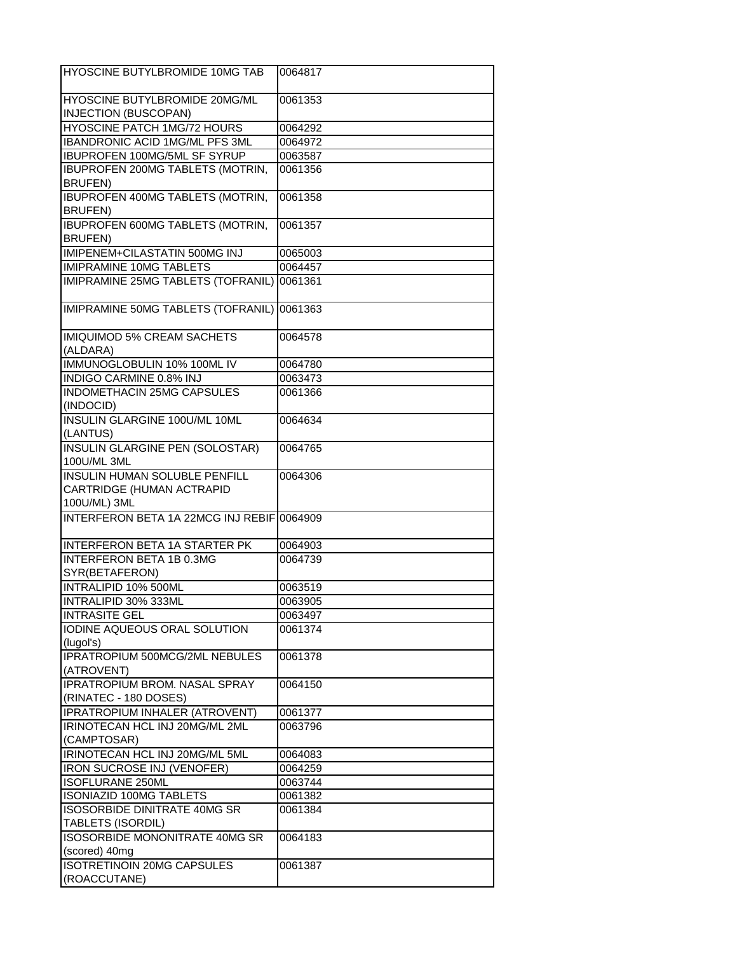| HYOSCINE BUTYLBROMIDE 10MG TAB                            | 0064817 |
|-----------------------------------------------------------|---------|
| HYOSCINE BUTYLBROMIDE 20MG/ML                             | 0061353 |
| <b>INJECTION (BUSCOPAN)</b>                               |         |
| HYOSCINE PATCH 1MG/72 HOURS                               | 0064292 |
| <b>IBANDRONIC ACID 1MG/ML PFS 3ML</b>                     | 0064972 |
| <b>IBUPROFEN 100MG/5ML SF SYRUP</b>                       | 0063587 |
| <b>IBUPROFEN 200MG TABLETS (MOTRIN,</b>                   | 0061356 |
| <b>BRUFEN)</b>                                            |         |
| <b>IBUPROFEN 400MG TABLETS (MOTRIN,</b><br><b>BRUFEN)</b> | 0061358 |
| <b>IBUPROFEN 600MG TABLETS (MOTRIN,</b><br><b>BRUFEN)</b> | 0061357 |
| IMIPENEM+CILASTATIN 500MG INJ                             | 0065003 |
| <b>IMIPRAMINE 10MG TABLETS</b>                            | 0064457 |
| IMIPRAMINE 25MG TABLETS (TOFRANIL)                        | 0061361 |
|                                                           |         |
| IMIPRAMINE 50MG TABLETS (TOFRANIL)                        | 0061363 |
| <b>IMIQUIMOD 5% CREAM SACHETS</b><br>(ALDARA)             | 0064578 |
| IMMUNOGLOBULIN 10% 100ML IV                               | 0064780 |
| <b>INDIGO CARMINE 0.8% INJ</b>                            | 0063473 |
| INDOMETHACIN 25MG CAPSULES                                | 0061366 |
| (INDOCID)                                                 |         |
| <b>INSULIN GLARGINE 100U/ML 10ML</b><br>(LANTUS)          | 0064634 |
| <b>INSULIN GLARGINE PEN (SOLOSTAR)</b><br>100U/ML 3ML     | 0064765 |
| <b>INSULIN HUMAN SOLUBLE PENFILL</b>                      | 0064306 |
| CARTRIDGE (HUMAN ACTRAPID                                 |         |
| 100U/ML) 3ML                                              |         |
| INTERFERON BETA 1A 22MCG INJ REBIF 0064909                |         |
|                                                           |         |
| <b>INTERFERON BETA 1A STARTER PK</b>                      | 0064903 |
| <b>INTERFERON BETA 1B 0.3MG</b>                           | 0064739 |
| SYR(BETAFERON)                                            |         |
| INTRALIPID 10% 500ML                                      | 0063519 |
| INTRALIPID 30% 333ML                                      | 0063905 |
| <b>INTRASITE GEL</b>                                      |         |
| IODINE AQUEOUS ORAL SOLUTION                              | 0063497 |
| (lugol's)                                                 | 0061374 |
| IPRATROPIUM 500MCG/2ML NEBULES<br>(ATROVENT)              | 0061378 |
| <b>IPRATROPIUM BROM. NASAL SPRAY</b>                      | 0064150 |
|                                                           |         |
| (RINATEC - 180 DOSES)                                     |         |
| IPRATROPIUM INHALER (ATROVENT)                            | 0061377 |
| IRINOTECAN HCL INJ 20MG/ML 2ML                            | 0063796 |
| (CAMPTOSAR)                                               |         |
| IRINOTECAN HCL INJ 20MG/ML 5ML                            | 0064083 |
| IRON SUCROSE INJ (VENOFER)                                | 0064259 |
| <b>ISOFLURANE 250ML</b>                                   | 0063744 |
| <b>ISONIAZID 100MG TABLETS</b>                            | 0061382 |
| <b>ISOSORBIDE DINITRATE 40MG SR</b>                       | 0061384 |
| TABLETS (ISORDIL)                                         |         |
| <b>ISOSORBIDE MONONITRATE 40MG SR</b><br>(scored) 40mg    | 0064183 |
| <b>ISOTRETINOIN 20MG CAPSULES</b>                         | 0061387 |
| (ROACCUTANE)                                              |         |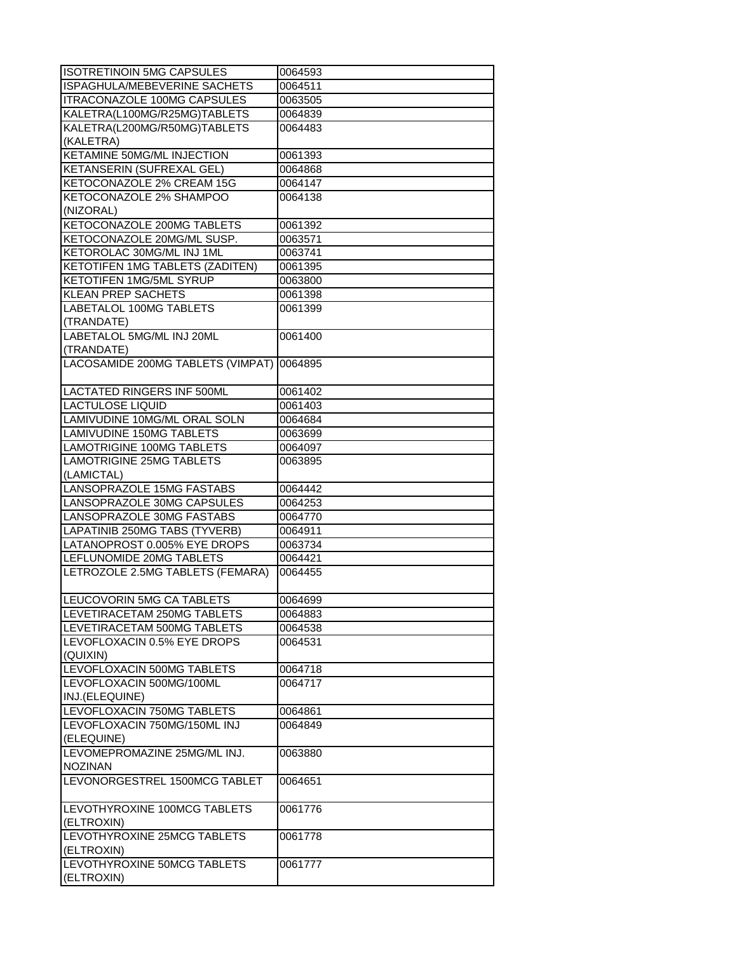| <b>ISOTRETINOIN 5MG CAPSULES</b>          | 0064593 |
|-------------------------------------------|---------|
| ISPAGHULA/MEBEVERINE SACHETS              | 0064511 |
| ITRACONAZOLE 100MG CAPSULES               | 0063505 |
| KALETRA(L100MG/R25MG)TABLETS              | 0064839 |
| KALETRA(L200MG/R50MG)TABLETS              | 0064483 |
| (KALETRA)                                 |         |
| <b>KETAMINE 50MG/ML INJECTION</b>         | 0061393 |
| KETANSERIN (SUFREXAL GEL)                 | 0064868 |
| KETOCONAZOLE 2% CREAM 15G                 | 0064147 |
| KETOCONAZOLE 2% SHAMPOO                   | 0064138 |
| (NIZORAL)                                 |         |
| KETOCONAZOLE 200MG TABLETS                | 0061392 |
| KETOCONAZOLE 20MG/ML SUSP.                | 0063571 |
| KETOROLAC 30MG/ML INJ 1ML                 | 0063741 |
| <b>KETOTIFEN 1MG TABLETS (ZADITEN)</b>    | 0061395 |
| KETOTIFEN 1MG/5ML SYRUP                   | 0063800 |
| <b>KLEAN PREP SACHETS</b>                 | 0061398 |
| <b>LABETALOL 100MG TABLETS</b>            | 0061399 |
| (TRANDATE)                                |         |
| LABETALOL 5MG/ML INJ 20ML                 | 0061400 |
| (TRANDATE)                                |         |
| LACOSAMIDE 200MG TABLETS (VIMPAT) 0064895 |         |
|                                           |         |
| LACTATED RINGERS INF 500ML                | 0061402 |
| <b>LACTULOSE LIQUID</b>                   | 0061403 |
| LAMIVUDINE 10MG/ML ORAL SOLN              | 0064684 |
| LAMIVUDINE 150MG TABLETS                  | 0063699 |
| LAMOTRIGINE 100MG TABLETS                 | 0064097 |
| <b>LAMOTRIGINE 25MG TABLETS</b>           | 0063895 |
| (LAMICTAL)                                |         |
| LANSOPRAZOLE 15MG FASTABS                 | 0064442 |
| LANSOPRAZOLE 30MG CAPSULES                | 0064253 |
| LANSOPRAZOLE 30MG FASTABS                 | 0064770 |
| LAPATINIB 250MG TABS (TYVERB)             | 0064911 |
| LATANOPROST 0.005% EYE DROPS              | 0063734 |
| LEFLUNOMIDE 20MG TABLETS                  | 0064421 |
|                                           |         |
| LETROZOLE 2.5MG TABLETS (FEMARA)          | 0064455 |
| LEUCOVORIN 5MG CA TABLETS                 | 0064699 |
| LEVETIRACETAM 250MG TABLETS               | 0064883 |
| LEVETIRACETAM 500MG TABLETS               | 0064538 |
| LEVOFLOXACIN 0.5% EYE DROPS               | 0064531 |
| (QUIXIN)                                  |         |
| LEVOFLOXACIN 500MG TABLETS                | 0064718 |
| LEVOFLOXACIN 500MG/100ML                  | 0064717 |
| INJ.(ELEQUINE)                            |         |
| LEVOFLOXACIN 750MG TABLETS                | 0064861 |
| LEVOFLOXACIN 750MG/150ML INJ              | 0064849 |
| (ELEQUINE)                                |         |
| LEVOMEPROMAZINE 25MG/ML INJ.              | 0063880 |
| <b>NOZINAN</b>                            |         |
| LEVONORGESTREL 1500MCG TABLET             | 0064651 |
|                                           |         |
| LEVOTHYROXINE 100MCG TABLETS              | 0061776 |
| (ELTROXIN)                                |         |
| LEVOTHYROXINE 25MCG TABLETS               | 0061778 |
| (ELTROXIN)                                |         |
| LEVOTHYROXINE 50MCG TABLETS               | 0061777 |
| (ELTROXIN)                                |         |
|                                           |         |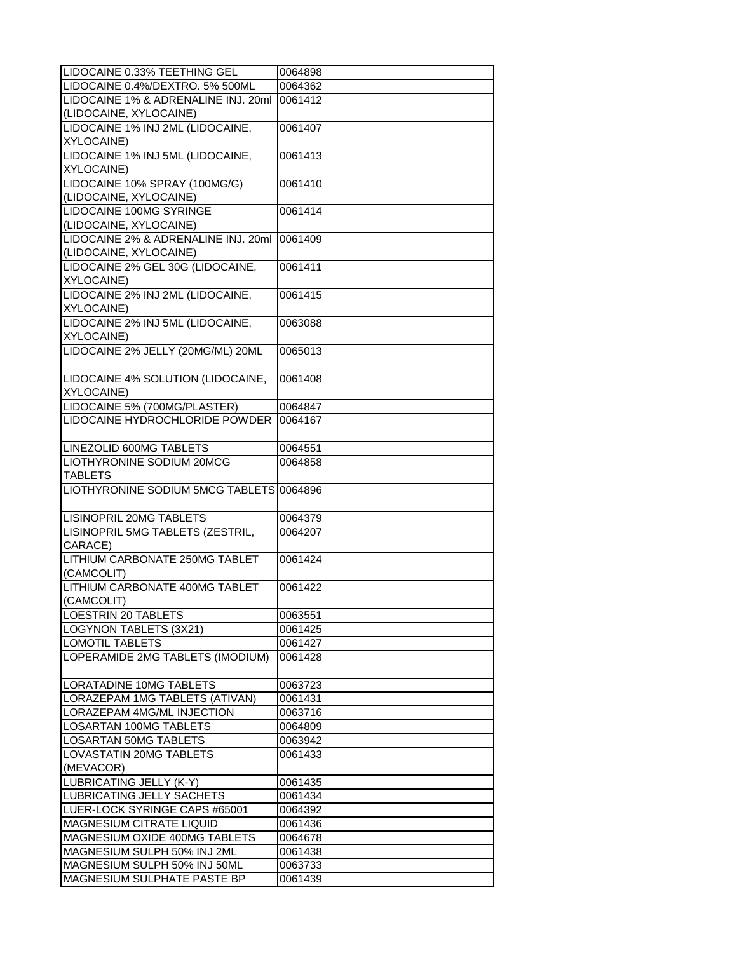| LIDOCAINE 0.33% TEETHING GEL                                | 0064898            |
|-------------------------------------------------------------|--------------------|
| LIDOCAINE 0.4%/DEXTRO. 5% 500ML                             | 0064362            |
| LIDOCAINE 1% & ADRENALINE INJ. 20ml                         | 0061412            |
| (LIDOCAINE, XYLOCAINE)                                      |                    |
| LIDOCAINE 1% INJ 2ML (LIDOCAINE,                            | 0061407            |
| XYLOCAINE)                                                  |                    |
| LIDOCAINE 1% INJ 5ML (LIDOCAINE,                            | 0061413            |
| XYLOCAINE)                                                  |                    |
| LIDOCAINE 10% SPRAY (100MG/G)                               | 0061410            |
| (LIDOCAINE, XYLOCAINE)                                      |                    |
| LIDOCAINE 100MG SYRINGE                                     | 0061414            |
| (LIDOCAINE, XYLOCAINE)                                      |                    |
| LIDOCAINE 2% & ADRENALINE INJ. 20ml                         | 0061409            |
| (LIDOCAINE, XYLOCAINE)                                      |                    |
| LIDOCAINE 2% GEL 30G (LIDOCAINE,                            | 0061411            |
| XYLOCAINE)                                                  |                    |
| LIDOCAINE 2% INJ 2ML (LIDOCAINE,                            | 0061415            |
| XYLOCAINE)                                                  |                    |
|                                                             |                    |
| LIDOCAINE 2% INJ 5ML (LIDOCAINE,                            | 0063088            |
| XYLOCAINE)                                                  |                    |
| LIDOCAINE 2% JELLY (20MG/ML) 20ML                           | 0065013            |
|                                                             |                    |
| LIDOCAINE 4% SOLUTION (LIDOCAINE,                           | 0061408            |
| XYLOCAINE)                                                  |                    |
| LIDOCAINE 5% (700MG/PLASTER)                                | 0064847            |
| LIDOCAINE HYDROCHLORIDE POWDER                              | 0064167            |
|                                                             |                    |
| LINEZOLID 600MG TABLETS                                     | 0064551            |
| LIOTHYRONINE SODIUM 20MCG<br><b>TABLETS</b>                 | 0064858            |
|                                                             |                    |
|                                                             |                    |
| LIOTHYRONINE SODIUM 5MCG TABLETS 0064896                    |                    |
|                                                             |                    |
| LISINOPRIL 20MG TABLETS                                     | 0064379            |
| LISINOPRIL 5MG TABLETS (ZESTRIL,                            | 0064207            |
| CARACE)                                                     |                    |
| LITHIUM CARBONATE 250MG TABLET                              | 0061424            |
| (CAMCOLIT)                                                  |                    |
| LITHIUM CARBONATE 400MG TABLET                              | 0061422            |
| (CAMCOLIT)                                                  |                    |
| LOESTRIN 20 TABLETS                                         | 0063551            |
| LOGYNON TABLETS (3X21)                                      | 0061425            |
| <b>LOMOTIL TABLETS</b>                                      | 0061427            |
| LOPERAMIDE 2MG TABLETS (IMODIUM)                            | 0061428            |
|                                                             |                    |
| LORATADINE 10MG TABLETS                                     | 0063723            |
| LORAZEPAM 1MG TABLETS (ATIVAN)                              | 0061431            |
| LORAZEPAM 4MG/ML INJECTION                                  | 0063716            |
| <b>LOSARTAN 100MG TABLETS</b>                               | 0064809            |
| <b>LOSARTAN 50MG TABLETS</b>                                | 0063942            |
| LOVASTATIN 20MG TABLETS                                     | 0061433            |
| (MEVACOR)                                                   |                    |
| LUBRICATING JELLY (K-Y)                                     | 0061435            |
| LUBRICATING JELLY SACHETS                                   | 0061434            |
| LUER-LOCK SYRINGE CAPS #65001                               | 0064392            |
| MAGNESIUM CITRATE LIQUID                                    | 0061436            |
| MAGNESIUM OXIDE 400MG TABLETS                               | 0064678            |
| MAGNESIUM SULPH 50% INJ 2ML                                 | 0061438            |
| MAGNESIUM SULPH 50% INJ 50ML<br>MAGNESIUM SULPHATE PASTE BP | 0063733<br>0061439 |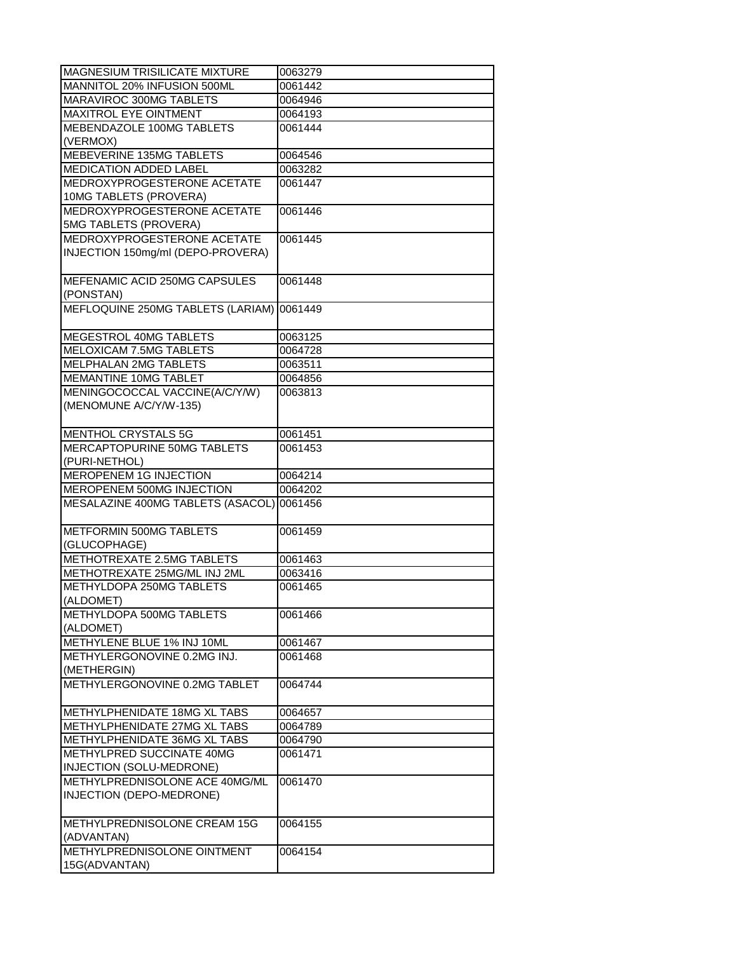| MAGNESIUM TRISILICATE MIXTURE             | 0063279 |
|-------------------------------------------|---------|
| MANNITOL 20% INFUSION 500ML               | 0061442 |
| MARAVIROC 300MG TABLETS                   | 0064946 |
| MAXITROL EYE OINTMENT                     | 0064193 |
| MEBENDAZOLE 100MG TABLETS                 | 0061444 |
| (VERMOX)                                  |         |
| <b>MEBEVERINE 135MG TABLETS</b>           | 0064546 |
| MEDICATION ADDED LABEL                    | 0063282 |
| MEDROXYPROGESTERONE ACETATE               | 0061447 |
| 10MG TABLETS (PROVERA)                    |         |
| MEDROXYPROGESTERONE ACETATE               | 0061446 |
| 5MG TABLETS (PROVERA)                     |         |
| MEDROXYPROGESTERONE ACETATE               | 0061445 |
| INJECTION 150mg/ml (DEPO-PROVERA)         |         |
|                                           |         |
| MEFENAMIC ACID 250MG CAPSULES             | 0061448 |
| (PONSTAN)                                 |         |
| MEFLOQUINE 250MG TABLETS (LARIAM) 0061449 |         |
|                                           |         |
| MEGESTROL 40MG TABLETS                    | 0063125 |
| MELOXICAM 7.5MG TABLETS                   | 0064728 |
| MELPHALAN 2MG TABLETS                     | 0063511 |
| MEMANTINE 10MG TABLET                     |         |
|                                           | 0064856 |
| MENINGOCOCCAL VACCINE(A/C/Y/W)            | 0063813 |
| (MENOMUNE A/C/Y/W-135)                    |         |
|                                           |         |
| MENTHOL CRYSTALS 5G                       | 0061451 |
| <b>MERCAPTOPURINE 50MG TABLETS</b>        | 0061453 |
| (PURI-NETHOL)                             |         |
| <b>MEROPENEM 1G INJECTION</b>             | 0064214 |
| MEROPENEM 500MG INJECTION                 | 0064202 |
| MESALAZINE 400MG TABLETS (ASACOL) 0061456 |         |
|                                           |         |
| METFORMIN 500MG TABLETS                   | 0061459 |
| (GLUCOPHAGE)                              |         |
| METHOTREXATE 2.5MG TABLETS                | 0061463 |
| METHOTREXATE 25MG/ML INJ 2ML              | 0063416 |
| METHYLDOPA 250MG TABLETS                  | 0061465 |
| (ALDOMET)                                 |         |
| METHYLDOPA 500MG TABLETS                  | 0061466 |
| (ALDOMET)                                 |         |
| METHYLENE BLUE 1% INJ 10ML                | 0061467 |
| METHYLERGONOVINE 0.2MG INJ.               | 0061468 |
| (METHERGIN)                               |         |
| METHYLERGONOVINE 0.2MG TABLET             | 0064744 |
|                                           |         |
| METHYLPHENIDATE 18MG XL TABS              | 0064657 |
| METHYLPHENIDATE 27MG XL TABS              | 0064789 |
| METHYLPHENIDATE 36MG XL TABS              | 0064790 |
| METHYLPRED SUCCINATE 40MG                 | 0061471 |
| INJECTION (SOLU-MEDRONE)                  |         |
| METHYLPREDNISOLONE ACE 40MG/ML            | 0061470 |
| INJECTION (DEPO-MEDRONE)                  |         |
|                                           |         |
| METHYLPREDNISOLONE CREAM 15G              | 0064155 |
| (ADVANTAN)                                |         |
| METHYLPREDNISOLONE OINTMENT               | 0064154 |
|                                           |         |
| 15G(ADVANTAN)                             |         |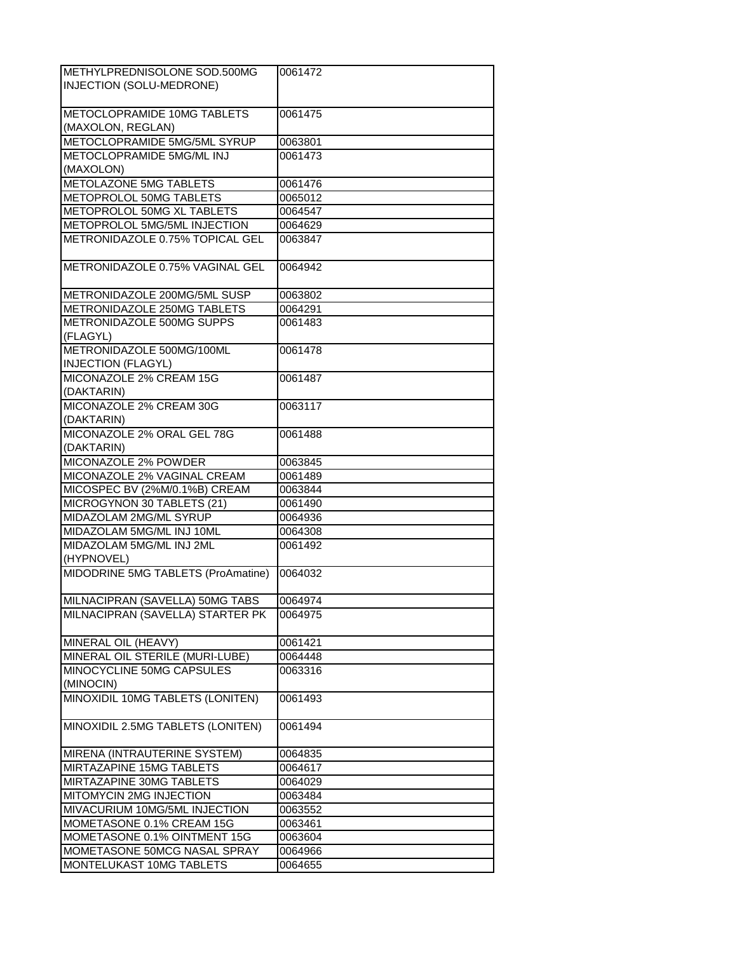| METHYLPREDNISOLONE SOD.500MG       | 0061472 |
|------------------------------------|---------|
| INJECTION (SOLU-MEDRONE)           |         |
|                                    |         |
| METOCLOPRAMIDE 10MG TABLETS        | 0061475 |
| (MAXOLON, REGLAN)                  |         |
| METOCLOPRAMIDE 5MG/5ML SYRUP       | 0063801 |
| METOCLOPRAMIDE 5MG/ML INJ          | 0061473 |
| (MAXOLON)                          |         |
| <b>METOLAZONE 5MG TABLETS</b>      |         |
|                                    | 0061476 |
| <b>METOPROLOL 50MG TABLETS</b>     | 0065012 |
| METOPROLOL 50MG XL TABLETS         | 0064547 |
| METOPROLOL 5MG/5ML INJECTION       | 0064629 |
| METRONIDAZOLE 0.75% TOPICAL GEL    | 0063847 |
|                                    |         |
| METRONIDAZOLE 0.75% VAGINAL GEL    | 0064942 |
|                                    |         |
| METRONIDAZOLE 200MG/5ML SUSP       | 0063802 |
| METRONIDAZOLE 250MG TABLETS        | 0064291 |
| METRONIDAZOLE 500MG SUPPS          | 0061483 |
| (FLAGYL)                           |         |
| METRONIDAZOLE 500MG/100ML          | 0061478 |
| <b>INJECTION (FLAGYL)</b>          |         |
| MICONAZOLE 2% CREAM 15G            | 0061487 |
| (DAKTARIN)                         |         |
| MICONAZOLE 2% CREAM 30G            | 0063117 |
|                                    |         |
| (DAKTARIN)                         |         |
| MICONAZOLE 2% ORAL GEL 78G         | 0061488 |
| (DAKTARIN)                         |         |
| MICONAZOLE 2% POWDER               | 0063845 |
| MICONAZOLE 2% VAGINAL CREAM        | 0061489 |
| MICOSPEC BV (2%M/0.1%B) CREAM      | 0063844 |
| MICROGYNON 30 TABLETS (21)         | 0061490 |
| MIDAZOLAM 2MG/ML SYRUP             | 0064936 |
| MIDAZOLAM 5MG/ML INJ 10ML          | 0064308 |
| MIDAZOLAM 5MG/ML INJ 2ML           | 0061492 |
| (HYPNOVEL)                         |         |
| MIDODRINE 5MG TABLETS (ProAmatine) | 0064032 |
|                                    |         |
| MILNACIPRAN (SAVELLA) 50MG TABS    | 0064974 |
| MILNACIPRAN (SAVELLA) STARTER PK   |         |
|                                    | 0064975 |
|                                    |         |
|                                    |         |
| MINERAL OIL (HEAVY)                | 0061421 |
| MINERAL OIL STERILE (MURI-LUBE)    | 0064448 |
| MINOCYCLINE 50MG CAPSULES          | 0063316 |
| (MINOCIN)                          |         |
| MINOXIDIL 10MG TABLETS (LONITEN)   | 0061493 |
|                                    |         |
| MINOXIDIL 2.5MG TABLETS (LONITEN)  | 0061494 |
|                                    |         |
| MIRENA (INTRAUTERINE SYSTEM)       | 0064835 |
| MIRTAZAPINE 15MG TABLETS           | 0064617 |
| MIRTAZAPINE 30MG TABLETS           | 0064029 |
| MITOMYCIN 2MG INJECTION            | 0063484 |
| MIVACURIUM 10MG/5ML INJECTION      | 0063552 |
| MOMETASONE 0.1% CREAM 15G          | 0063461 |
| MOMETASONE 0.1% OINTMENT 15G       | 0063604 |
| MOMETASONE 50MCG NASAL SPRAY       | 0064966 |
| MONTELUKAST 10MG TABLETS           | 0064655 |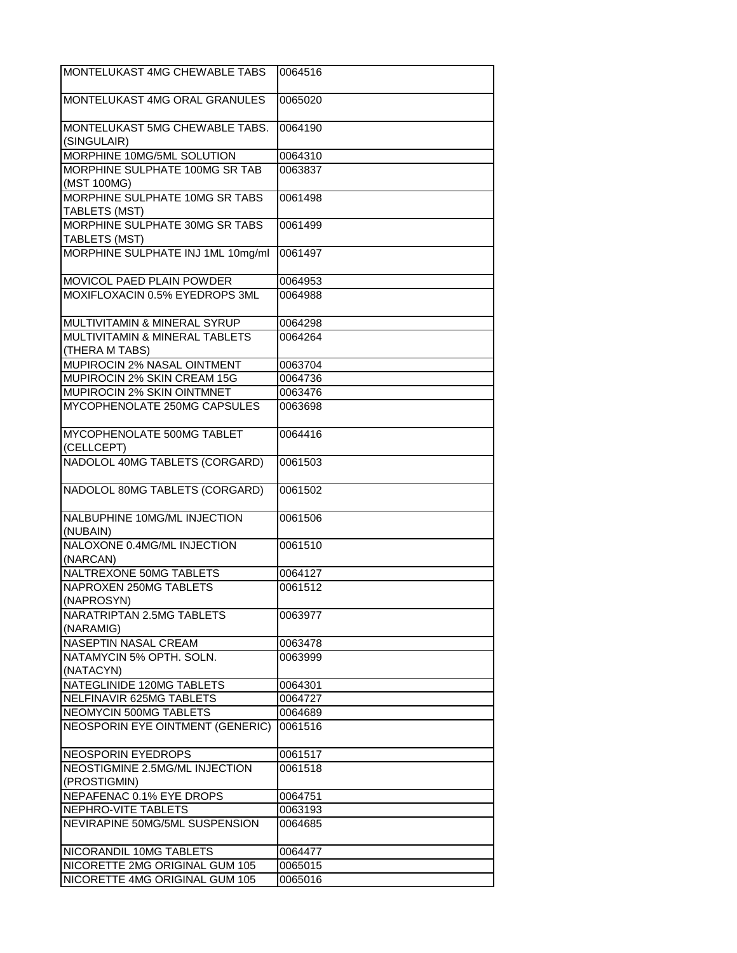| MONTELUKAST 4MG CHEWABLE TABS                    | 0064516 |
|--------------------------------------------------|---------|
| MONTELUKAST 4MG ORAL GRANULES                    | 0065020 |
| MONTELUKAST 5MG CHEWABLE TABS.<br>(SINGULAIR)    | 0064190 |
| MORPHINE 10MG/5ML SOLUTION                       | 0064310 |
| MORPHINE SULPHATE 100MG SR TAB                   | 0063837 |
| (MST 100MG)                                      |         |
| MORPHINE SULPHATE 10MG SR TABS<br>TABLETS (MST)  | 0061498 |
| MORPHINE SULPHATE 30MG SR TABS<br>TABLETS (MST)  | 0061499 |
| MORPHINE SULPHATE INJ 1ML 10mg/ml                | 0061497 |
| MOVICOL PAED PLAIN POWDER                        | 0064953 |
| MOXIFLOXACIN 0.5% EYEDROPS 3ML                   | 0064988 |
|                                                  |         |
| MULTIVITAMIN & MINERAL SYRUP                     | 0064298 |
| MULTIVITAMIN & MINERAL TABLETS<br>(THERA M TABS) | 0064264 |
| MUPIROCIN 2% NASAL OINTMENT                      | 0063704 |
| MUPIROCIN 2% SKIN CREAM 15G                      | 0064736 |
| MUPIROCIN 2% SKIN OINTMNET                       | 0063476 |
| MYCOPHENOLATE 250MG CAPSULES                     | 0063698 |
|                                                  |         |
| MYCOPHENOLATE 500MG TABLET<br>(CELLCEPT)         | 0064416 |
| NADOLOL 40MG TABLETS (CORGARD)                   | 0061503 |
| NADOLOL 80MG TABLETS (CORGARD)                   | 0061502 |
| NALBUPHINE 10MG/ML INJECTION<br>(NUBAIN)         | 0061506 |
| NALOXONE 0.4MG/ML INJECTION<br>(NARCAN)          | 0061510 |
| NALTREXONE 50MG TABLETS                          | 0064127 |
| NAPROXEN 250MG TABLETS                           | 0061512 |
| (NAPROSYN)                                       |         |
| NARATRIPTAN 2.5MG TABLETS<br>(NARAMIG)           | 0063977 |
| NASEPTIN NASAL CREAM                             | 0063478 |
| NATAMYCIN 5% OPTH. SOLN.<br>(NATACYN)            | 0063999 |
| NATEGLINIDE 120MG TABLETS                        | 0064301 |
| NELFINAVIR 625MG TABLETS                         | 0064727 |
|                                                  |         |
| NEOMYCIN 500MG TABLETS                           | 0064689 |
| <b>NEOSPORIN EYE OINTMENT (GENERIC)</b>          | 0061516 |
| NEOSPORIN EYEDROPS                               | 0061517 |
| NEOSTIGMINE 2.5MG/ML INJECTION<br>(PROSTIGMIN)   | 0061518 |
| NEPAFENAC 0.1% EYE DROPS                         | 0064751 |
|                                                  |         |
| NEPHRO-VITE TABLETS                              | 0063193 |
| NEVIRAPINE 50MG/5ML SUSPENSION                   | 0064685 |
| NICORANDIL 10MG TABLETS                          | 0064477 |
| NICORETTE 2MG ORIGINAL GUM 105                   | 0065015 |
| NICORETTE 4MG ORIGINAL GUM 105                   | 0065016 |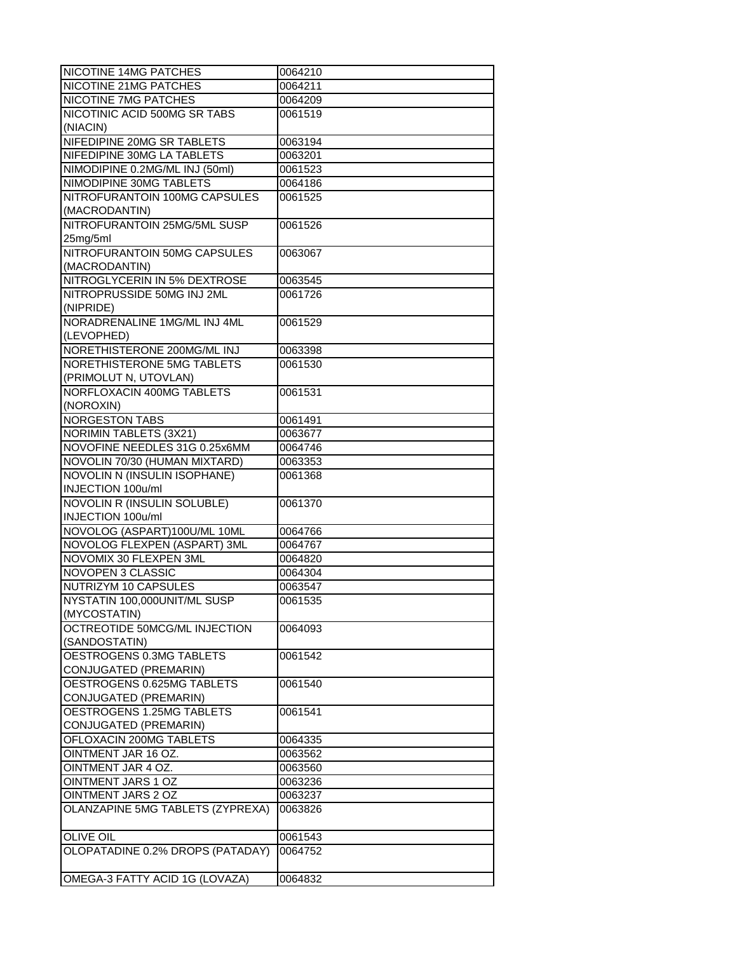| NICOTINE 14MG PATCHES                                  | 0064210            |
|--------------------------------------------------------|--------------------|
| NICOTINE 21MG PATCHES                                  | 0064211            |
| NICOTINE 7MG PATCHES                                   | 0064209            |
| NICOTINIC ACID 500MG SR TABS                           | 0061519            |
| (NIACIN)                                               |                    |
| NIFEDIPINE 20MG SR TABLETS                             | 0063194            |
| NIFEDIPINE 30MG LA TABLETS                             | 0063201            |
| NIMODIPINE 0.2MG/ML INJ (50ml)                         | 0061523            |
| NIMODIPINE 30MG TABLETS                                | 0064186            |
| NITROFURANTOIN 100MG CAPSULES                          | 0061525            |
| (MACRODANTIN)                                          |                    |
| NITROFURANTOIN 25MG/5ML SUSP                           | 0061526            |
| 25mg/5ml                                               |                    |
| NITROFURANTOIN 50MG CAPSULES                           | 0063067            |
| (MACRODANTIN)                                          |                    |
| NITROGLYCERIN IN 5% DEXTROSE                           | 0063545            |
| NITROPRUSSIDE 50MG INJ 2ML                             | 0061726            |
| (NIPRIDE)                                              |                    |
| NORADRENALINE 1MG/ML INJ 4ML                           | 0061529            |
| (LEVOPHED)                                             |                    |
| NORETHISTERONE 200MG/ML INJ                            | 0063398            |
| NORETHISTERONE 5MG TABLETS                             | 0061530            |
| (PRIMOLUT N, UTOVLAN)                                  |                    |
| NORFLOXACIN 400MG TABLETS                              | 0061531            |
| (NOROXIN)                                              |                    |
| NORGESTON TABS                                         | 0061491            |
| <b>NORIMIN TABLETS (3X21)</b>                          | 0063677            |
| NOVOFINE NEEDLES 31G 0.25x6MM                          | 0064746            |
| NOVOLIN 70/30 (HUMAN MIXTARD)                          | 0063353            |
| NOVOLIN N (INSULIN ISOPHANE)                           | 0061368            |
| INJECTION 100u/ml                                      |                    |
| NOVOLIN R (INSULIN SOLUBLE)                            | 0061370            |
| INJECTION 100u/ml                                      |                    |
| NOVOLOG (ASPART)100U/ML 10ML                           | 0064766            |
| NOVOLOG FLEXPEN (ASPART) 3ML                           | 0064767            |
| NOVOMIX 30 FLEXPEN 3ML                                 | 0064820            |
| NOVOPEN 3 CLASSIC                                      | 0064304            |
| NUTRIZYM 10 CAPSULES                                   | 0063547            |
| NYSTATIN 100,000UNIT/ML SUSP                           | 0061535            |
| (MYCOSTATIN)                                           |                    |
| OCTREOTIDE 50MCG/ML INJECTION                          | 0064093            |
| (SANDOSTATIN)                                          |                    |
| OESTROGENS 0.3MG TABLETS                               | 0061542            |
| CONJUGATED (PREMARIN)                                  |                    |
| OESTROGENS 0.625MG TABLETS                             | 0061540            |
| CONJUGATED (PREMARIN)                                  |                    |
| OESTROGENS 1.25MG TABLETS                              |                    |
| CONJUGATED (PREMARIN)                                  | 0061541            |
| OFLOXACIN 200MG TABLETS                                | 0064335            |
| OINTMENT JAR 16 OZ.                                    |                    |
|                                                        | 0063562            |
| OINTMENT JAR 4 OZ.<br>OINTMENT JARS 1 OZ               | 0063560            |
|                                                        | 0063236            |
| OINTMENT JARS 2 OZ<br>OLANZAPINE 5MG TABLETS (ZYPREXA) | 0063237<br>0063826 |
|                                                        |                    |
| <b>OLIVE OIL</b>                                       | 0061543            |
| OLOPATADINE 0.2% DROPS (PATADAY)                       | 0064752            |
|                                                        |                    |
| OMEGA-3 FATTY ACID 1G (LOVAZA)                         | 0064832            |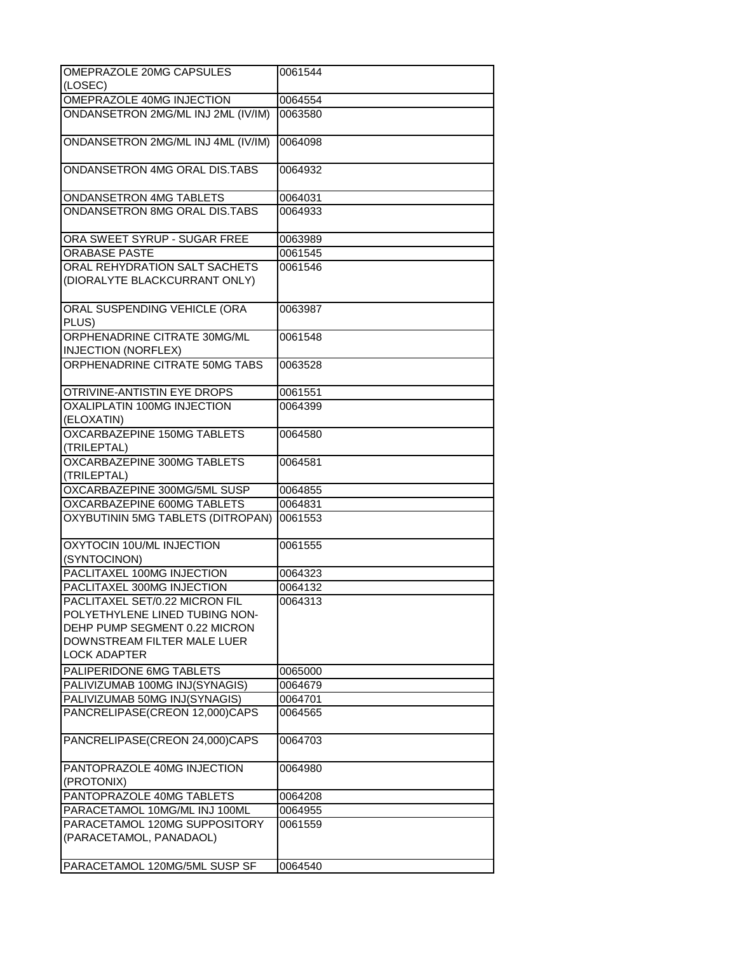| OMEPRAZOLE 20MG CAPSULES                                                                                                                                | 0061544 |
|---------------------------------------------------------------------------------------------------------------------------------------------------------|---------|
| (LOSEC)                                                                                                                                                 |         |
| OMEPRAZOLE 40MG INJECTION                                                                                                                               | 0064554 |
| ONDANSETRON 2MG/ML INJ 2ML (IV/IM)                                                                                                                      | 0063580 |
| ONDANSETRON 2MG/ML INJ 4ML (IV/IM)                                                                                                                      | 0064098 |
| ONDANSETRON 4MG ORAL DIS.TABS                                                                                                                           | 0064932 |
| ONDANSETRON 4MG TABLETS                                                                                                                                 | 0064031 |
| ONDANSETRON 8MG ORAL DIS.TABS                                                                                                                           | 0064933 |
| ORA SWEET SYRUP - SUGAR FREE                                                                                                                            | 0063989 |
| <b>ORABASE PASTE</b>                                                                                                                                    | 0061545 |
| ORAL REHYDRATION SALT SACHETS                                                                                                                           | 0061546 |
| (DIORALYTE BLACKCURRANT ONLY)                                                                                                                           |         |
| ORAL SUSPENDING VEHICLE (ORA<br>PLUS)                                                                                                                   | 0063987 |
| ORPHENADRINE CITRATE 30MG/ML<br><b>INJECTION (NORFLEX)</b>                                                                                              | 0061548 |
| ORPHENADRINE CITRATE 50MG TABS                                                                                                                          | 0063528 |
| OTRIVINE-ANTISTIN EYE DROPS                                                                                                                             | 0061551 |
| OXALIPLATIN 100MG INJECTION<br>(ELOXATIN)                                                                                                               | 0064399 |
| OXCARBAZEPINE 150MG TABLETS<br>(TRILEPTAL)                                                                                                              | 0064580 |
| OXCARBAZEPINE 300MG TABLETS<br>(TRILEPTAL)                                                                                                              | 0064581 |
| OXCARBAZEPINE 300MG/5ML SUSP                                                                                                                            | 0064855 |
| OXCARBAZEPINE 600MG TABLETS                                                                                                                             | 0064831 |
| OXYBUTININ 5MG TABLETS (DITROPAN)                                                                                                                       | 0061553 |
| OXYTOCIN 10U/ML INJECTION<br>(SYNTOCINON)                                                                                                               | 0061555 |
| PACLITAXEL 100MG INJECTION                                                                                                                              | 0064323 |
| PACLITAXEL 300MG INJECTION                                                                                                                              | 0064132 |
| PACLITAXEL SET/0.22 MICRON FIL<br>POLYETHYLENE LINED TUBING NON-<br>DEHP PUMP SEGMENT 0.22 MICRON<br>DOWNSTREAM FILTER MALE LUER<br><b>LOCK ADAPTER</b> | 0064313 |
| PALIPERIDONE 6MG TABLETS                                                                                                                                | 0065000 |
| PALIVIZUMAB 100MG INJ(SYNAGIS)                                                                                                                          | 0064679 |
| PALIVIZUMAB 50MG INJ(SYNAGIS)                                                                                                                           | 0064701 |
| PANCRELIPASE(CREON 12,000)CAPS                                                                                                                          | 0064565 |
| PANCRELIPASE(CREON 24,000)CAPS                                                                                                                          | 0064703 |
| PANTOPRAZOLE 40MG INJECTION<br>(PROTONIX)                                                                                                               | 0064980 |
| PANTOPRAZOLE 40MG TABLETS                                                                                                                               | 0064208 |
| PARACETAMOL 10MG/ML INJ 100ML                                                                                                                           | 0064955 |
| PARACETAMOL 120MG SUPPOSITORY<br>(PARACETAMOL, PANADAOL)                                                                                                | 0061559 |
| PARACETAMOL 120MG/5ML SUSP SF                                                                                                                           | 0064540 |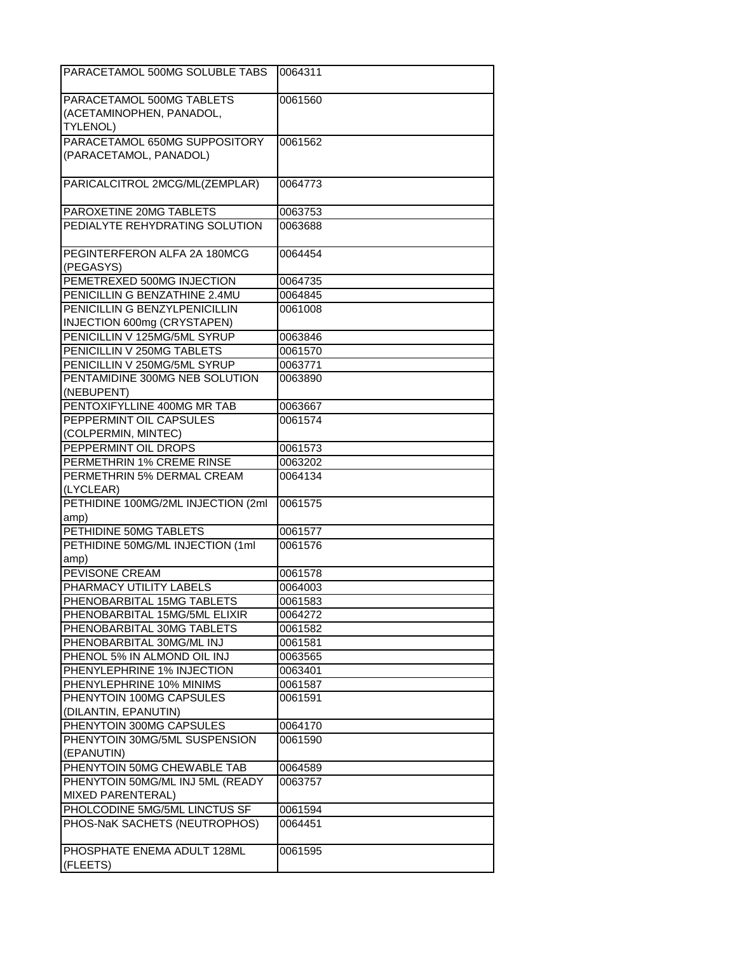| PARACETAMOL 500MG SOLUBLE TABS                        | 0064311 |
|-------------------------------------------------------|---------|
| PARACETAMOL 500MG TABLETS                             | 0061560 |
| (ACETAMINOPHEN, PANADOL,                              |         |
| <b>TYLENOL)</b>                                       |         |
| PARACETAMOL 650MG SUPPOSITORY                         | 0061562 |
| (PARACETAMOL, PANADOL)                                |         |
| PARICALCITROL 2MCG/ML(ZEMPLAR)                        | 0064773 |
| PAROXETINE 20MG TABLETS                               | 0063753 |
| PEDIALYTE REHYDRATING SOLUTION                        | 0063688 |
| PEGINTERFERON ALFA 2A 180MCG<br>(PEGASYS)             | 0064454 |
| PEMETREXED 500MG INJECTION                            | 0064735 |
| PENICILLIN G BENZATHINE 2.4MU                         | 0064845 |
| PENICILLIN G BENZYLPENICILLIN                         | 0061008 |
| INJECTION 600mg (CRYSTAPEN)                           |         |
| PENICILLIN V 125MG/5ML SYRUP                          | 0063846 |
| PENICILLIN V 250MG TABLETS                            | 0061570 |
| PENICILLIN V 250MG/5ML SYRUP                          | 0063771 |
| PENTAMIDINE 300MG NEB SOLUTION<br>(NEBUPENT)          | 0063890 |
| PENTOXIFYLLINE 400MG MR TAB                           | 0063667 |
| PEPPERMINT OIL CAPSULES                               | 0061574 |
| (COLPERMIN, MINTEC)                                   |         |
| PEPPERMINT OIL DROPS                                  | 0061573 |
| PERMETHRIN 1% CREME RINSE                             | 0063202 |
| PERMETHRIN 5% DERMAL CREAM<br>(LYCLEAR)               | 0064134 |
| PETHIDINE 100MG/2ML INJECTION (2ml<br>amp)            | 0061575 |
| PETHIDINE 50MG TABLETS                                | 0061577 |
| PETHIDINE 50MG/ML INJECTION (1ml                      | 0061576 |
| amp)                                                  |         |
| PEVISONE CREAM                                        | 0061578 |
| PHARMACY UTILITY LABELS                               | 0064003 |
| PHENOBARBITAL 15MG TABLETS                            | 0061583 |
| PHENOBARBITAL 15MG/5ML ELIXIR                         | 0064272 |
| PHENOBARBITAL 30MG TABLETS                            | 0061582 |
| PHENOBARBITAL 30MG/ML INJ                             | 0061581 |
| PHENOL 5% IN ALMOND OIL INJ                           | 0063565 |
| PHENYLEPHRINE 1% INJECTION                            | 0063401 |
| PHENYLEPHRINE 10% MINIMS                              | 0061587 |
| PHENYTOIN 100MG CAPSULES<br>(DILANTIN, EPANUTIN)      | 0061591 |
| PHENYTOIN 300MG CAPSULES                              | 0064170 |
| PHENYTOIN 30MG/5ML SUSPENSION                         | 0061590 |
| (EPANUTIN)                                            |         |
| PHENYTOIN 50MG CHEWABLE TAB                           | 0064589 |
| PHENYTOIN 50MG/ML INJ 5ML (READY<br>MIXED PARENTERAL) | 0063757 |
| PHOLCODINE 5MG/5ML LINCTUS SF                         | 0061594 |
| PHOS-NaK SACHETS (NEUTROPHOS)                         | 0064451 |
| PHOSPHATE ENEMA ADULT 128ML<br>(FLEETS)               | 0061595 |
|                                                       |         |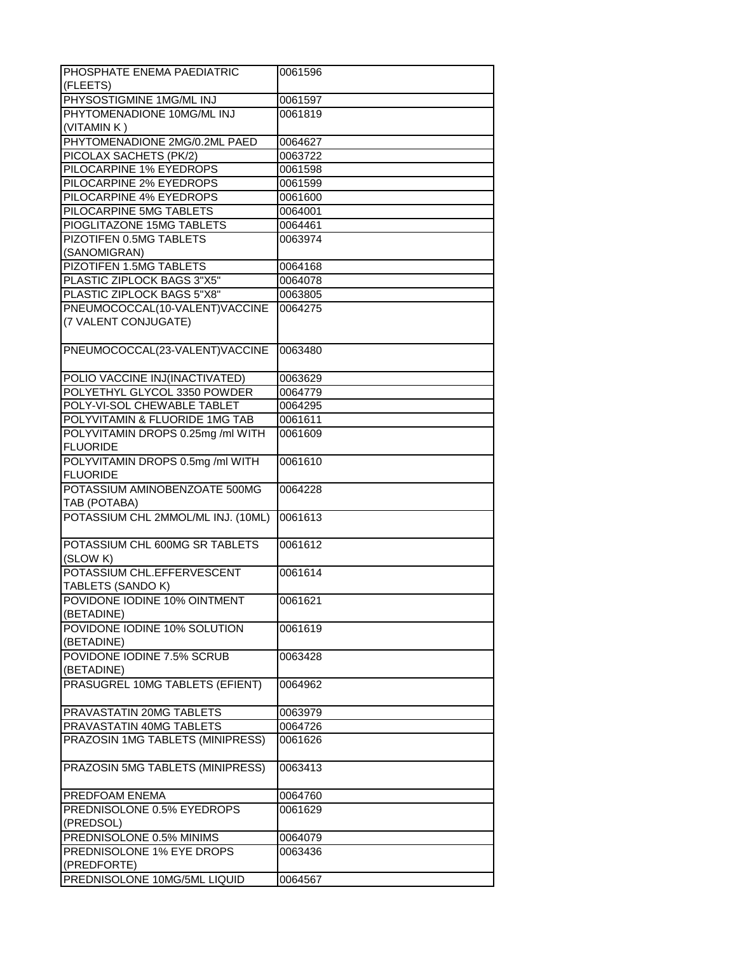| PHOSPHATE ENEMA PAEDIATRIC<br>(FLEETS)    | 0061596 |
|-------------------------------------------|---------|
| PHYSOSTIGMINE 1MG/ML INJ                  |         |
|                                           | 0061597 |
| PHYTOMENADIONE 10MG/ML INJ<br>(VITAMIN K) | 0061819 |
| PHYTOMENADIONE 2MG/0.2ML PAED             | 0064627 |
| PICOLAX SACHETS (PK/2)                    | 0063722 |
|                                           |         |
| PILOCARPINE 1% EYEDROPS                   | 0061598 |
| PILOCARPINE 2% EYEDROPS                   | 0061599 |
| PILOCARPINE 4% EYEDROPS                   | 0061600 |
| PILOCARPINE 5MG TABLETS                   | 0064001 |
| PIOGLITAZONE 15MG TABLETS                 | 0064461 |
| PIZOTIFEN 0.5MG TABLETS                   | 0063974 |
| (SANOMIGRAN)                              |         |
| PIZOTIFEN 1.5MG TABLETS                   | 0064168 |
| PLASTIC ZIPLOCK BAGS 3"X5"                | 0064078 |
| PLASTIC ZIPLOCK BAGS 5"X8"                | 0063805 |
| PNEUMOCOCCAL(10-VALENT)VACCINE            | 0064275 |
| (7 VALENT CONJUGATE)                      |         |
|                                           |         |
| PNEUMOCOCCAL(23-VALENT)VACCINE            | 0063480 |
|                                           |         |
| POLIO VACCINE INJ(INACTIVATED)            | 0063629 |
| POLYETHYL GLYCOL 3350 POWDER              | 0064779 |
| POLY-VI-SOL CHEWABLE TABLET               | 0064295 |
|                                           |         |
| POLYVITAMIN & FLUORIDE 1MG TAB            | 0061611 |
| POLYVITAMIN DROPS 0.25mg /ml WITH         | 0061609 |
| <b>FLUORIDE</b>                           |         |
| POLYVITAMIN DROPS 0.5mg /ml WITH          | 0061610 |
| <b>FLUORIDE</b>                           |         |
| POTASSIUM AMINOBENZOATE 500MG             | 0064228 |
| TAB (POTABA)                              |         |
| POTASSIUM CHL 2MMOL/ML INJ. (10ML)        | 0061613 |
|                                           |         |
| POTASSIUM CHL 600MG SR TABLETS            | 0061612 |
| (SLOW K)                                  |         |
| POTASSIUM CHL.EFFERVESCENT                | 0061614 |
| TABLETS (SANDO K)                         |         |
| POVIDONE IODINE 10% OINTMENT              | 0061621 |
| (BETADINE)                                |         |
| POVIDONE IODINE 10% SOLUTION              | 0061619 |
| (BETADINE)                                |         |
| POVIDONE IODINE 7.5% SCRUB                | 0063428 |
| (BETADINE)                                |         |
|                                           |         |
| PRASUGREL 10MG TABLETS (EFIENT)           | 0064962 |
|                                           |         |
| PRAVASTATIN 20MG TABLETS                  | 0063979 |
| PRAVASTATIN 40MG TABLETS                  | 0064726 |
| PRAZOSIN 1MG TABLETS (MINIPRESS)          | 0061626 |
|                                           |         |
| PRAZOSIN 5MG TABLETS (MINIPRESS)          | 0063413 |
|                                           |         |
| PREDFOAM ENEMA                            | 0064760 |
| PREDNISOLONE 0.5% EYEDROPS                | 0061629 |
| (PREDSOL)                                 |         |
| PREDNISOLONE 0.5% MINIMS                  | 0064079 |
| PREDNISOLONE 1% EYE DROPS                 | 0063436 |
| (PREDFORTE)                               |         |
| PREDNISOLONE 10MG/5ML LIQUID              | 0064567 |
|                                           |         |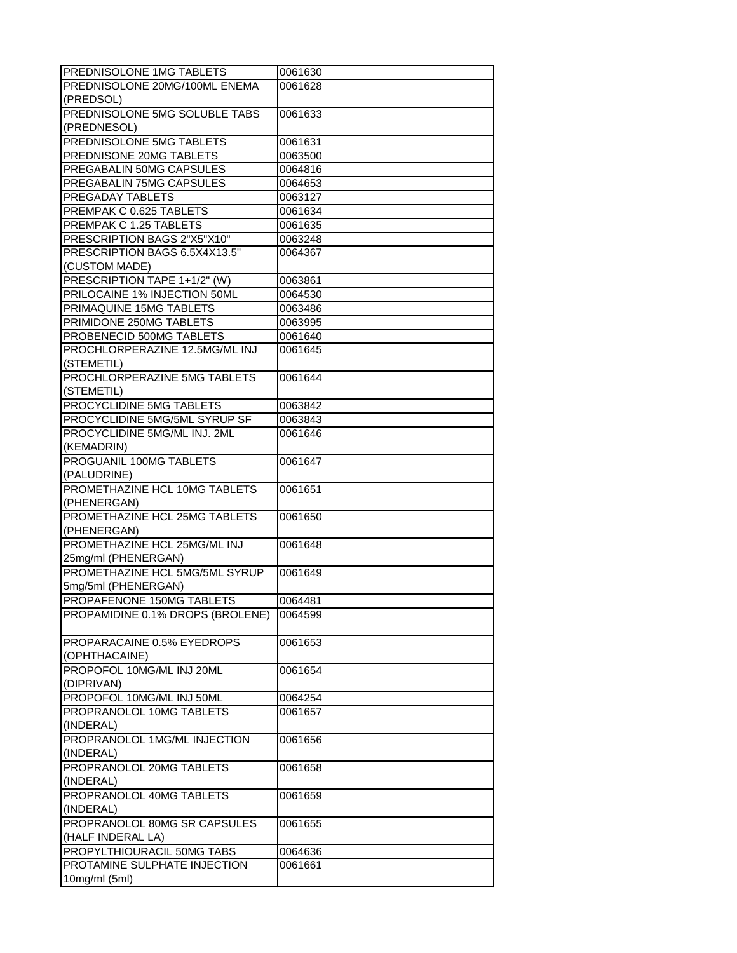| PREDNISOLONE 1MG TABLETS                                   | 0061630            |
|------------------------------------------------------------|--------------------|
| PREDNISOLONE 20MG/100ML ENEMA                              | 0061628            |
| (PREDSOL)                                                  |                    |
| PREDNISOLONE 5MG SOLUBLE TABS                              | 0061633            |
| (PREDNESOL)                                                |                    |
| PREDNISOLONE 5MG TABLETS                                   | 0061631            |
| PREDNISONE 20MG TABLETS                                    | 0063500            |
| PREGABALIN 50MG CAPSULES                                   | 0064816            |
| PREGABALIN 75MG CAPSULES                                   | 0064653            |
| <b>PREGADAY TABLETS</b>                                    | 0063127            |
| PREMPAK C 0.625 TABLETS                                    | 0061634            |
| PREMPAK C 1.25 TABLETS                                     | 0061635            |
| PRESCRIPTION BAGS 2"X5"X10"                                | 0063248            |
| PRESCRIPTION BAGS 6.5X4X13.5"                              | 0064367            |
| (CUSTOM MADE)                                              |                    |
| PRESCRIPTION TAPE 1+1/2" (W)                               | 0063861            |
| PRILOCAINE 1% INJECTION 50ML                               | 0064530            |
| PRIMAQUINE 15MG TABLETS                                    | 0063486            |
| PRIMIDONE 250MG TABLETS                                    |                    |
|                                                            | 0063995            |
| PROBENECID 500MG TABLETS<br>PROCHLORPERAZINE 12.5MG/ML INJ | 0061640<br>0061645 |
| (STEMETIL)                                                 |                    |
| PROCHLORPERAZINE 5MG TABLETS                               | 0061644            |
| (STEMETIL)                                                 |                    |
| PROCYCLIDINE 5MG TABLETS                                   | 0063842            |
| PROCYCLIDINE 5MG/5ML SYRUP SF                              | 0063843            |
| PROCYCLIDINE 5MG/ML INJ. 2ML                               | 0061646            |
| (KEMADRIN)                                                 |                    |
| PROGUANIL 100MG TABLETS                                    | 0061647            |
| (PALUDRINE)                                                |                    |
| PROMETHAZINE HCL 10MG TABLETS                              | 0061651            |
| (PHENERGAN)                                                |                    |
| PROMETHAZINE HCL 25MG TABLETS                              | 0061650            |
| (PHENERGAN)                                                |                    |
| PROMETHAZINE HCL 25MG/ML INJ                               | 0061648            |
| 25mg/ml (PHENERGAN)                                        |                    |
| PROMETHAZINE HCL 5MG/5ML SYRUP                             | 0061649            |
| 5mg/5ml (PHENERGAN)                                        |                    |
| PROPAFENONE 150MG TABLETS                                  | 0064481            |
| PROPAMIDINE 0.1% DROPS (BROLENE)                           | 0064599            |
|                                                            |                    |
| PROPARACAINE 0.5% EYEDROPS                                 | 0061653            |
| (OPHTHACAINE)                                              |                    |
| PROPOFOL 10MG/ML INJ 20ML                                  | 0061654            |
| (DIPRIVAN)                                                 |                    |
| PROPOFOL 10MG/ML INJ 50ML                                  |                    |
| PROPRANOLOL 10MG TABLETS                                   | 0064254<br>0061657 |
| (INDERAL)                                                  |                    |
| PROPRANOLOL 1MG/ML INJECTION                               | 0061656            |
|                                                            |                    |
| (INDERAL)                                                  |                    |
| PROPRANOLOL 20MG TABLETS                                   | 0061658            |
| (INDERAL)                                                  |                    |
| PROPRANOLOL 40MG TABLETS                                   | 0061659            |
| (INDERAL)                                                  |                    |
| PROPRANOLOL 80MG SR CAPSULES                               | 0061655            |
| (HALF INDERAL LA)                                          |                    |
| PROPYLTHIOURACIL 50MG TABS                                 | 0064636            |
| PROTAMINE SULPHATE INJECTION                               | 0061661            |
| 10mg/ml (5ml)                                              |                    |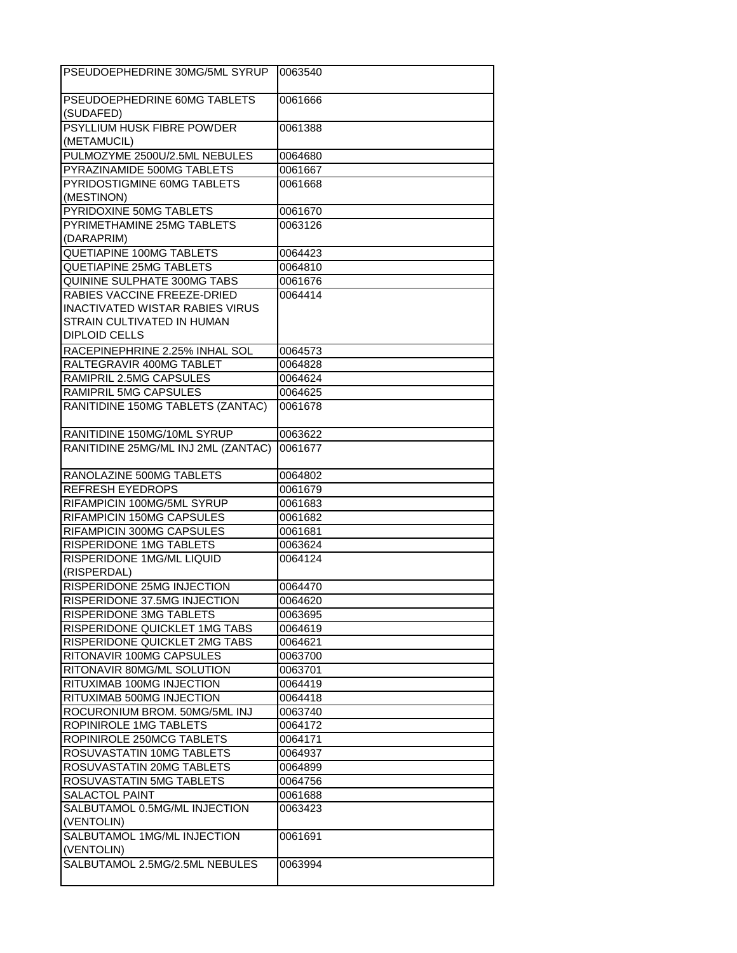| PSEUDOEPHEDRINE 30MG/5ML SYRUP         | 0063540 |
|----------------------------------------|---------|
| PSEUDOEPHEDRINE 60MG TABLETS           | 0061666 |
| (SUDAFED)                              |         |
| PSYLLIUM HUSK FIBRE POWDER             | 0061388 |
| (METAMUCIL)                            |         |
| PULMOZYME 2500U/2.5ML NEBULES          | 0064680 |
| PYRAZINAMIDE 500MG TABLETS             | 0061667 |
| PYRIDOSTIGMINE 60MG TABLETS            | 0061668 |
| (MESTINON)                             |         |
| PYRIDOXINE 50MG TABLETS                | 0061670 |
| PYRIMETHAMINE 25MG TABLETS             | 0063126 |
| (DARAPRIM)                             |         |
| QUETIAPINE 100MG TABLETS               | 0064423 |
| <b>QUETIAPINE 25MG TABLETS</b>         | 0064810 |
| QUININE SULPHATE 300MG TABS            | 0061676 |
| RABIES VACCINE FREEZE-DRIED            | 0064414 |
| <b>INACTIVATED WISTAR RABIES VIRUS</b> |         |
| STRAIN CULTIVATED IN HUMAN             |         |
| <b>DIPLOID CELLS</b>                   |         |
| RACEPINEPHRINE 2.25% INHAL SOL         | 0064573 |
| RALTEGRAVIR 400MG TABLET               | 0064828 |
| RAMIPRIL 2.5MG CAPSULES                | 0064624 |
| RAMIPRIL 5MG CAPSULES                  | 0064625 |
| RANITIDINE 150MG TABLETS (ZANTAC)      | 0061678 |
|                                        |         |
| RANITIDINE 150MG/10ML SYRUP            | 0063622 |
| RANITIDINE 25MG/ML INJ 2ML (ZANTAC)    | 0061677 |
|                                        |         |
| RANOLAZINE 500MG TABLETS               | 0064802 |
| REFRESH EYEDROPS                       | 0061679 |
| RIFAMPICIN 100MG/5ML SYRUP             | 0061683 |
| RIFAMPICIN 150MG CAPSULES              | 0061682 |
| RIFAMPICIN 300MG CAPSULES              | 0061681 |
| RISPERIDONE 1MG TABLETS                | 0063624 |
| RISPERIDONE 1MG/ML LIQUID              | 0064124 |
| (RISPERDAL)                            |         |
| RISPERIDONE 25MG INJECTION             | 0064470 |
| RISPERIDONE 37.5MG INJECTION           | 0064620 |
| RISPERIDONE 3MG TABLETS                | 0063695 |
| RISPERIDONE QUICKLET 1MG TABS          | 0064619 |
| RISPERIDONE QUICKLET 2MG TABS          | 0064621 |
| RITONAVIR 100MG CAPSULES               | 0063700 |
| RITONAVIR 80MG/ML SOLUTION             | 0063701 |
| RITUXIMAB 100MG INJECTION              | 0064419 |
| RITUXIMAB 500MG INJECTION              | 0064418 |
| ROCURONIUM BROM. 50MG/5ML INJ          | 0063740 |
| ROPINIROLE 1MG TABLETS                 | 0064172 |
| ROPINIROLE 250MCG TABLETS              | 0064171 |
| ROSUVASTATIN 10MG TABLETS              | 0064937 |
| ROSUVASTATIN 20MG TABLETS              | 0064899 |
| ROSUVASTATIN 5MG TABLETS               | 0064756 |
| SALACTOL PAINT                         | 0061688 |
| SALBUTAMOL 0.5MG/ML INJECTION          | 0063423 |
| (VENTOLIN)                             |         |
| SALBUTAMOL 1MG/ML INJECTION            | 0061691 |
| (VENTOLIN)                             |         |
| SALBUTAMOL 2.5MG/2.5ML NEBULES         | 0063994 |
|                                        |         |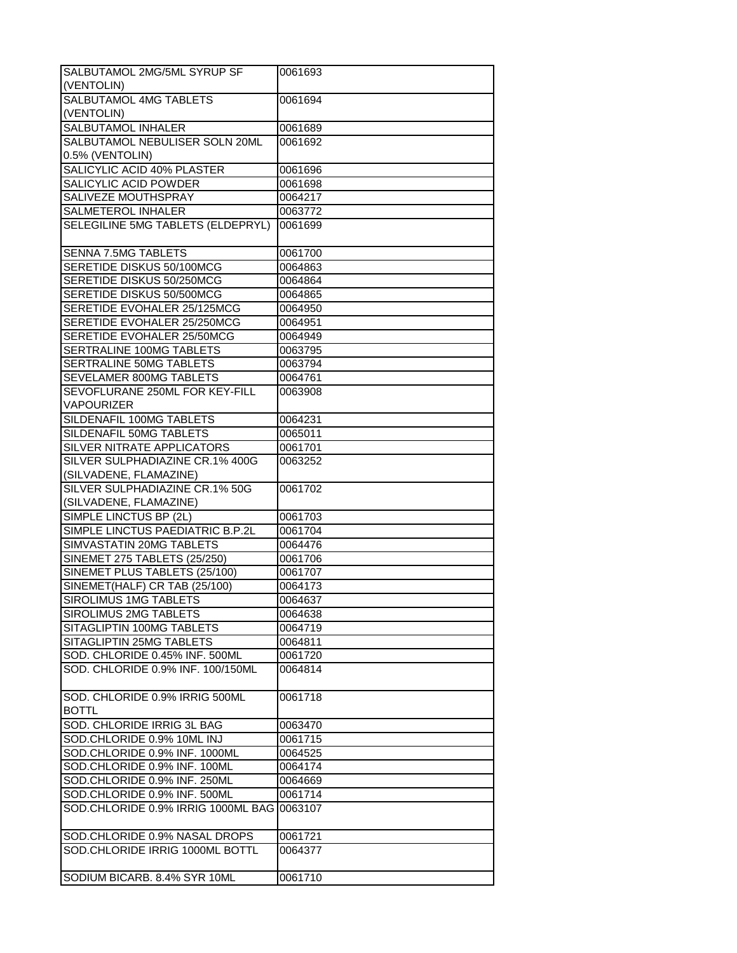| SALBUTAMOL 2MG/5ML SYRUP SF<br>(VENTOLIN)  | 0061693 |
|--------------------------------------------|---------|
| SALBUTAMOL 4MG TABLETS                     | 0061694 |
|                                            |         |
| (VENTOLIN)<br><b>SALBUTAMOL INHALER</b>    |         |
|                                            | 0061689 |
| SALBUTAMOL NEBULISER SOLN 20ML             | 0061692 |
| 0.5% (VENTOLIN)                            |         |
| SALICYLIC ACID 40% PLASTER                 | 0061696 |
| SALICYLIC ACID POWDER                      | 0061698 |
| SALIVEZE MOUTHSPRAY                        | 0064217 |
| SALMETEROL INHALER                         | 0063772 |
| SELEGILINE 5MG TABLETS (ELDEPRYL)          | 0061699 |
| SENNA 7.5MG TABLETS                        | 0061700 |
| SERETIDE DISKUS 50/100MCG                  | 0064863 |
| SERETIDE DISKUS 50/250MCG                  | 0064864 |
| SERETIDE DISKUS 50/500MCG                  | 0064865 |
| SERETIDE EVOHALER 25/125MCG                | 0064950 |
| SERETIDE EVOHALER 25/250MCG                | 0064951 |
| SERETIDE EVOHALER 25/50MCG                 | 0064949 |
| SERTRALINE 100MG TABLETS                   | 0063795 |
| SERTRALINE 50MG TABLETS                    | 0063794 |
| SEVELAMER 800MG TABLETS                    | 0064761 |
| SEVOFLURANE 250ML FOR KEY-FILL             | 0063908 |
| <b>VAPOURIZER</b>                          |         |
| SILDENAFIL 100MG TABLETS                   | 0064231 |
| SILDENAFIL 50MG TABLETS                    | 0065011 |
| SILVER NITRATE APPLICATORS                 | 0061701 |
| SILVER SULPHADIAZINE CR.1% 400G            | 0063252 |
| (SILVADENE, FLAMAZINE)                     |         |
| SILVER SULPHADIAZINE CR.1% 50G             | 0061702 |
| (SILVADENE, FLAMAZINE)                     |         |
| SIMPLE LINCTUS BP (2L)                     | 0061703 |
| SIMPLE LINCTUS PAEDIATRIC B.P.2L           | 0061704 |
| SIMVASTATIN 20MG TABLETS                   | 0064476 |
| SINEMET 275 TABLETS (25/250)               | 0061706 |
| SINEMET PLUS TABLETS (25/100)              | 0061707 |
| SINEMET(HALF) CR TAB (25/100)              | 0064173 |
| SIROLIMUS 1MG TABLETS                      | 0064637 |
| SIROLIMUS 2MG TABLETS                      | 0064638 |
| SITAGLIPTIN 100MG TABLETS                  | 0064719 |
| SITAGLIPTIN 25MG TABLETS                   | 0064811 |
| SOD. CHLORIDE 0.45% INF. 500ML             | 0061720 |
| SOD. CHLORIDE 0.9% INF. 100/150ML          | 0064814 |
|                                            |         |
| SOD. CHLORIDE 0.9% IRRIG 500ML             | 0061718 |
| <b>BOTTL</b>                               |         |
| SOD. CHLORIDE IRRIG 3L BAG                 | 0063470 |
| SOD.CHLORIDE 0.9% 10ML INJ                 | 0061715 |
| SOD.CHLORIDE 0.9% INF. 1000ML              | 0064525 |
| SOD.CHLORIDE 0.9% INF. 100ML               |         |
|                                            | 0064174 |
| SOD.CHLORIDE 0.9% INF. 250ML               | 0064669 |
| SOD.CHLORIDE 0.9% INF. 500ML               | 0061714 |
| SOD.CHLORIDE 0.9% IRRIG 1000ML BAG 0063107 |         |
| SOD.CHLORIDE 0.9% NASAL DROPS              | 0061721 |
| SOD.CHLORIDE IRRIG 1000ML BOTTL            | 0064377 |
|                                            |         |
| SODIUM BICARB. 8.4% SYR 10ML               | 0061710 |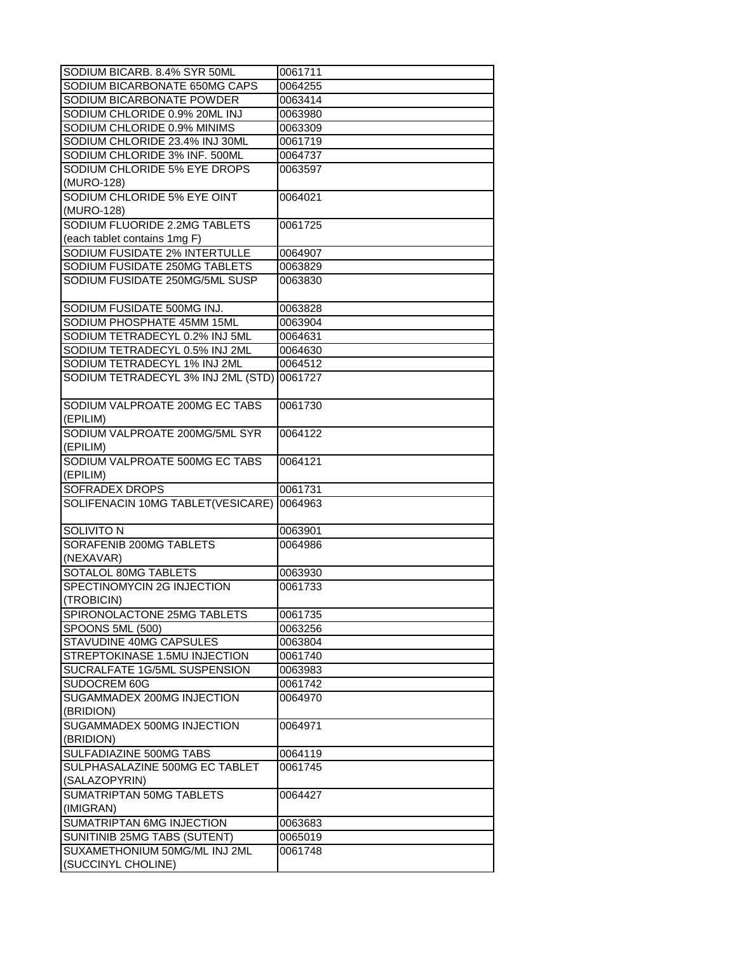| SODIUM BICARB. 8.4% SYR 50ML                        | 0061711 |
|-----------------------------------------------------|---------|
| SODIUM BICARBONATE 650MG CAPS                       | 0064255 |
| SODIUM BICARBONATE POWDER                           | 0063414 |
| SODIUM CHLORIDE 0.9% 20ML INJ                       | 0063980 |
| SODIUM CHLORIDE 0.9% MINIMS                         | 0063309 |
| SODIUM CHLORIDE 23.4% INJ 30ML                      | 0061719 |
| SODIUM CHLORIDE 3% INF. 500ML                       | 0064737 |
| SODIUM CHLORIDE 5% EYE DROPS                        | 0063597 |
| (MURO-128)                                          |         |
| SODIUM CHLORIDE 5% EYE OINT                         | 0064021 |
| (MURO-128)                                          |         |
| SODIUM FLUORIDE 2.2MG TABLETS                       | 0061725 |
| (each tablet contains 1mg F)                        |         |
| SODIUM FUSIDATE 2% INTERTULLE                       | 0064907 |
| SODIUM FUSIDATE 250MG TABLETS                       | 0063829 |
| SODIUM FUSIDATE 250MG/5ML SUSP                      | 0063830 |
|                                                     |         |
| SODIUM FUSIDATE 500MG INJ.                          | 0063828 |
| SODIUM PHOSPHATE 45MM 15ML                          | 0063904 |
| SODIUM TETRADECYL 0.2% INJ 5ML                      | 0064631 |
| SODIUM TETRADECYL 0.5% INJ 2ML                      | 0064630 |
| SODIUM TETRADECYL 1% INJ 2ML                        | 0064512 |
| SODIUM TETRADECYL 3% INJ 2ML (STD) 0061727          |         |
|                                                     |         |
| SODIUM VALPROATE 200MG EC TABS                      | 0061730 |
| (EPILIM)                                            |         |
| SODIUM VALPROATE 200MG/5ML SYR                      | 0064122 |
| (EPILIM)                                            |         |
| SODIUM VALPROATE 500MG EC TABS                      | 0064121 |
| (EPILIM)                                            |         |
|                                                     |         |
| SOFRADEX DROPS                                      | 0061731 |
| SOLIFENACIN 10MG TABLET(VESICARE)                   | 0064963 |
|                                                     |         |
| <b>SOLIVITO N</b>                                   | 0063901 |
| SORAFENIB 200MG TABLETS                             | 0064986 |
| (NEXAVAR)                                           |         |
| SOTALOL 80MG TABLETS                                | 0063930 |
| SPECTINOMYCIN 2G INJECTION                          | 0061733 |
| (TROBICIN)                                          |         |
| SPIRONOLACTONE 25MG TABLETS                         | 0061735 |
| SPOONS 5ML (500)                                    | 0063256 |
| STAVUDINE 40MG CAPSULES                             | 0063804 |
| STREPTOKINASE 1.5MU INJECTION                       | 0061740 |
| SUCRALFATE 1G/5ML SUSPENSION                        | 0063983 |
| SUDOCREM 60G                                        | 0061742 |
| SUGAMMADEX 200MG INJECTION                          | 0064970 |
| (BRIDION)                                           |         |
| SUGAMMADEX 500MG INJECTION                          | 0064971 |
| (BRIDION)                                           |         |
| SULFADIAZINE 500MG TABS                             | 0064119 |
| SULPHASALAZINE 500MG EC TABLET                      | 0061745 |
| (SALAZOPYRIN)                                       |         |
| SUMATRIPTAN 50MG TABLETS                            | 0064427 |
| (IMIGRAN)                                           |         |
| SUMATRIPTAN 6MG INJECTION                           | 0063683 |
| SUNITINIB 25MG TABS (SUTENT)                        | 0065019 |
| SUXAMETHONIUM 50MG/ML INJ 2ML<br>(SUCCINYL CHOLINE) | 0061748 |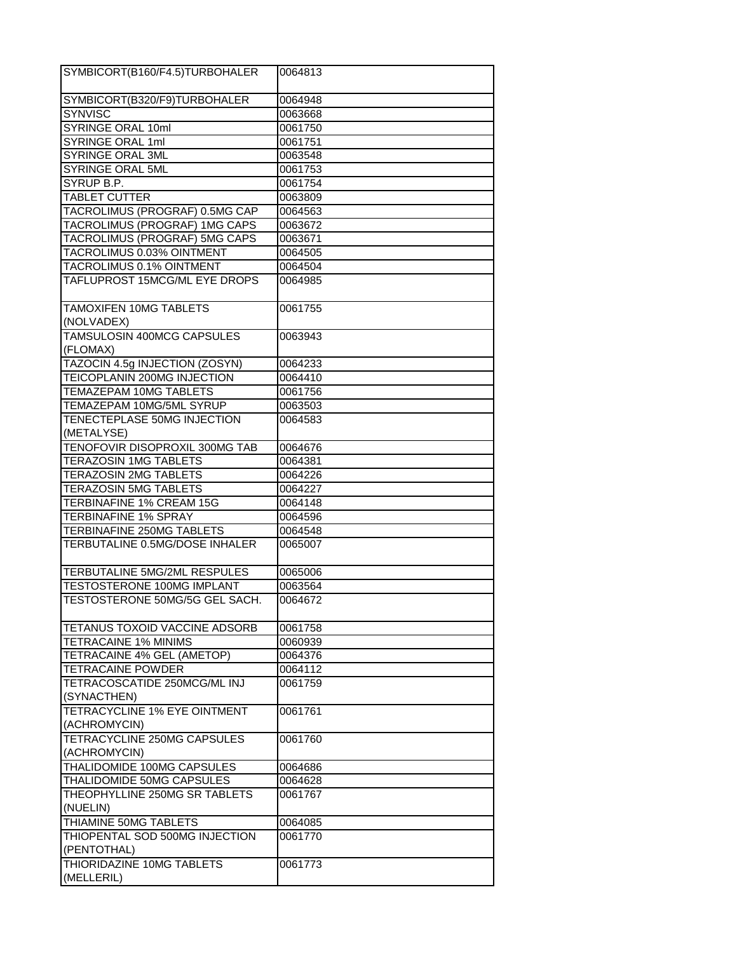| SYMBICORT(B160/F4.5)TURBOHALER            | 0064813 |
|-------------------------------------------|---------|
| SYMBICORT(B320/F9)TURBOHALER              | 0064948 |
| SYNVISC                                   | 0063668 |
| SYRINGE ORAL 10ml                         | 0061750 |
| SYRINGE ORAL 1ml                          | 0061751 |
| SYRINGE ORAL 3ML                          | 0063548 |
| SYRINGE ORAL 5ML                          | 0061753 |
| SYRUP B.P.                                | 0061754 |
| <b>TABLET CUTTER</b>                      | 0063809 |
| TACROLIMUS (PROGRAF) 0.5MG CAP            | 0064563 |
| TACROLIMUS (PROGRAF) 1MG CAPS             | 0063672 |
| TACROLIMUS (PROGRAF) 5MG CAPS             | 0063671 |
| TACROLIMUS 0.03% OINTMENT                 | 0064505 |
| TACROLIMUS 0.1% OINTMENT                  | 0064504 |
| TAFLUPROST 15MCG/ML EYE DROPS             | 0064985 |
| TAMOXIFEN 10MG TABLETS<br>(NOLVADEX)      | 0061755 |
| TAMSULOSIN 400MCG CAPSULES<br>(FLOMAX)    | 0063943 |
| TAZOCIN 4.5g INJECTION (ZOSYN)            | 0064233 |
| <b>TEICOPLANIN 200MG INJECTION</b>        | 0064410 |
| TEMAZEPAM 10MG TABLETS                    | 0061756 |
| TEMAZEPAM 10MG/5ML SYRUP                  | 0063503 |
| TENECTEPLASE 50MG INJECTION               | 0064583 |
| (METALYSE)                                |         |
| TENOFOVIR DISOPROXIL 300MG TAB            | 0064676 |
| TERAZOSIN 1MG TABLETS                     | 0064381 |
| TERAZOSIN 2MG TABLETS                     | 0064226 |
| <b>TERAZOSIN 5MG TABLETS</b>              | 0064227 |
| TERBINAFINE 1% CREAM 15G                  | 0064148 |
| <b>TERBINAFINE 1% SPRAY</b>               | 0064596 |
| TERBINAFINE 250MG TABLETS                 | 0064548 |
| TERBUTALINE 0.5MG/DOSE INHALER            | 0065007 |
| TERBUTALINE 5MG/2ML RESPULES              | 0065006 |
| TESTOSTERONE 100MG IMPLANT                | 0063564 |
| TESTOSTERONE 50MG/5G GEL SACH.            | 0064672 |
| TETANUS TOXOID VACCINE ADSORB             | 0061758 |
| <b>TETRACAINE 1% MINIMS</b>               | 0060939 |
| TETRACAINE 4% GEL (AMETOP)                | 0064376 |
| <b>TETRACAINE POWDER</b>                  | 0064112 |
| TETRACOSCATIDE 250MCG/ML INJ              | 0061759 |
| (SYNACTHEN)                               |         |
| TETRACYCLINE 1% EYE OINTMENT              | 0061761 |
| (ACHROMYCIN)                              |         |
| TETRACYCLINE 250MG CAPSULES               | 0061760 |
| (ACHROMYCIN)                              |         |
| THALIDOMIDE 100MG CAPSULES                | 0064686 |
| THALIDOMIDE 50MG CAPSULES                 | 0064628 |
| THEOPHYLLINE 250MG SR TABLETS<br>(NUELIN) | 0061767 |
| THIAMINE 50MG TABLETS                     | 0064085 |
| THIOPENTAL SOD 500MG INJECTION            | 0061770 |
| (PENTOTHAL)                               |         |
| THIORIDAZINE 10MG TABLETS                 | 0061773 |
| (MELLERIL)                                |         |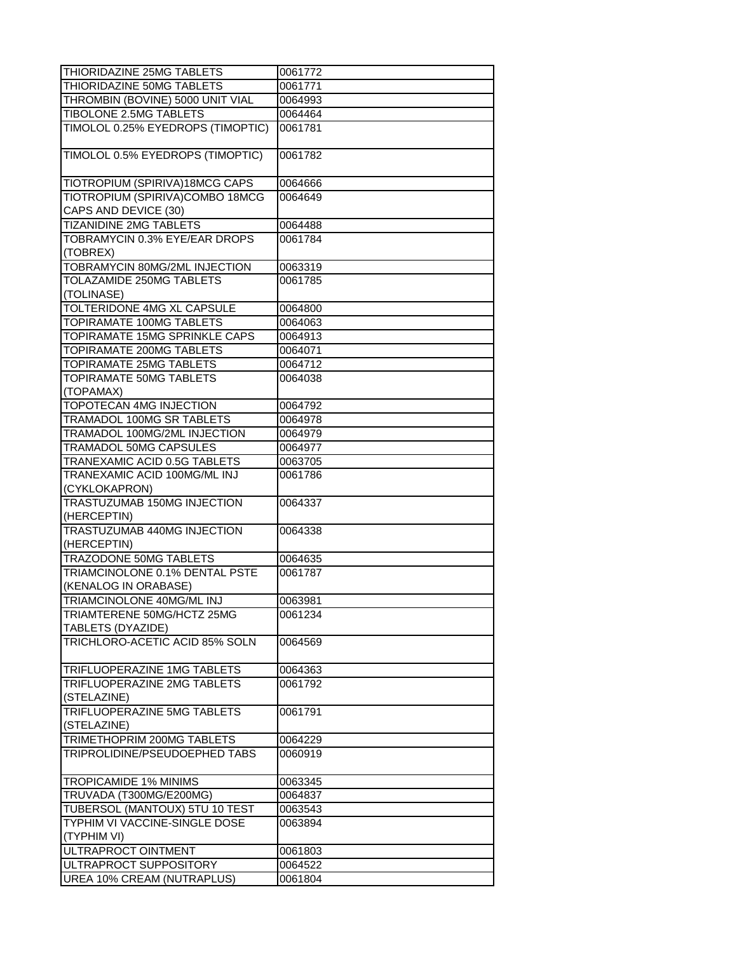| THIORIDAZINE 25MG TABLETS         | 0061772 |
|-----------------------------------|---------|
| THIORIDAZINE 50MG TABLETS         | 0061771 |
| THROMBIN (BOVINE) 5000 UNIT VIAL  | 0064993 |
| <b>TIBOLONE 2.5MG TABLETS</b>     | 0064464 |
| TIMOLOL 0.25% EYEDROPS (TIMOPTIC) | 0061781 |
|                                   |         |
| TIMOLOL 0.5% EYEDROPS (TIMOPTIC)  | 0061782 |
|                                   |         |
| TIOTROPIUM (SPIRIVA)18MCG CAPS    | 0064666 |
| TIOTROPIUM (SPIRIVA)COMBO 18MCG   | 0064649 |
| CAPS AND DEVICE (30)              |         |
| <b>TIZANIDINE 2MG TABLETS</b>     | 0064488 |
| TOBRAMYCIN 0.3% EYE/EAR DROPS     | 0061784 |
| (TOBREX)                          |         |
| TOBRAMYCIN 80MG/2ML INJECTION     | 0063319 |
| TOLAZAMIDE 250MG TABLETS          | 0061785 |
| (TOLINASE)                        |         |
|                                   |         |
| TOLTERIDONE 4MG XL CAPSULE        | 0064800 |
| TOPIRAMATE 100MG TABLETS          | 0064063 |
| TOPIRAMATE 15MG SPRINKLE CAPS     | 0064913 |
| TOPIRAMATE 200MG TABLETS          | 0064071 |
| TOPIRAMATE 25MG TABLETS           | 0064712 |
| TOPIRAMATE 50MG TABLETS           | 0064038 |
| (TOPAMAX)                         |         |
| TOPOTECAN 4MG INJECTION           | 0064792 |
| TRAMADOL 100MG SR TABLETS         | 0064978 |
| TRAMADOL 100MG/2ML INJECTION      | 0064979 |
| TRAMADOL 50MG CAPSULES            | 0064977 |
| TRANEXAMIC ACID 0.5G TABLETS      | 0063705 |
| TRANEXAMIC ACID 100MG/ML INJ      | 0061786 |
| (CYKLOKAPRON)                     |         |
| TRASTUZUMAB 150MG INJECTION       | 0064337 |
| (HERCEPTIN)                       |         |
| TRASTUZUMAB 440MG INJECTION       | 0064338 |
| (HERCEPTIN)                       |         |
| TRAZODONE 50MG TABLETS            | 0064635 |
| TRIAMCINOLONE 0.1% DENTAL PSTE    | 0061787 |
| (KENALOG IN ORABASE)              |         |
| TRIAMCINOLONE 40MG/ML INJ         | 0063981 |
| TRIAMTERENE 50MG/HCTZ 25MG        | 0061234 |
| TABLETS (DYAZIDE)                 |         |
| TRICHLORO-ACETIC ACID 85% SOLN    | 0064569 |
|                                   |         |
| TRIFLUOPERAZINE 1MG TABLETS       | 0064363 |
| TRIFLUOPERAZINE 2MG TABLETS       | 0061792 |
| (STELAZINE)                       |         |
| TRIFLUOPERAZINE 5MG TABLETS       | 0061791 |
| (STELAZINE)                       |         |
| TRIMETHOPRIM 200MG TABLETS        | 0064229 |
| TRIPROLIDINE/PSEUDOEPHED TABS     | 0060919 |
|                                   |         |
| TROPICAMIDE 1% MINIMS             | 0063345 |
| TRUVADA (T300MG/E200MG)           |         |
|                                   | 0064837 |
| TUBERSOL (MANTOUX) 5TU 10 TEST    | 0063543 |
| TYPHIM VI VACCINE-SINGLE DOSE     | 0063894 |
| (TYPHIM VI)                       |         |
| ULTRAPROCT OINTMENT               | 0061803 |
| ULTRAPROCT SUPPOSITORY            | 0064522 |
| UREA 10% CREAM (NUTRAPLUS)        | 0061804 |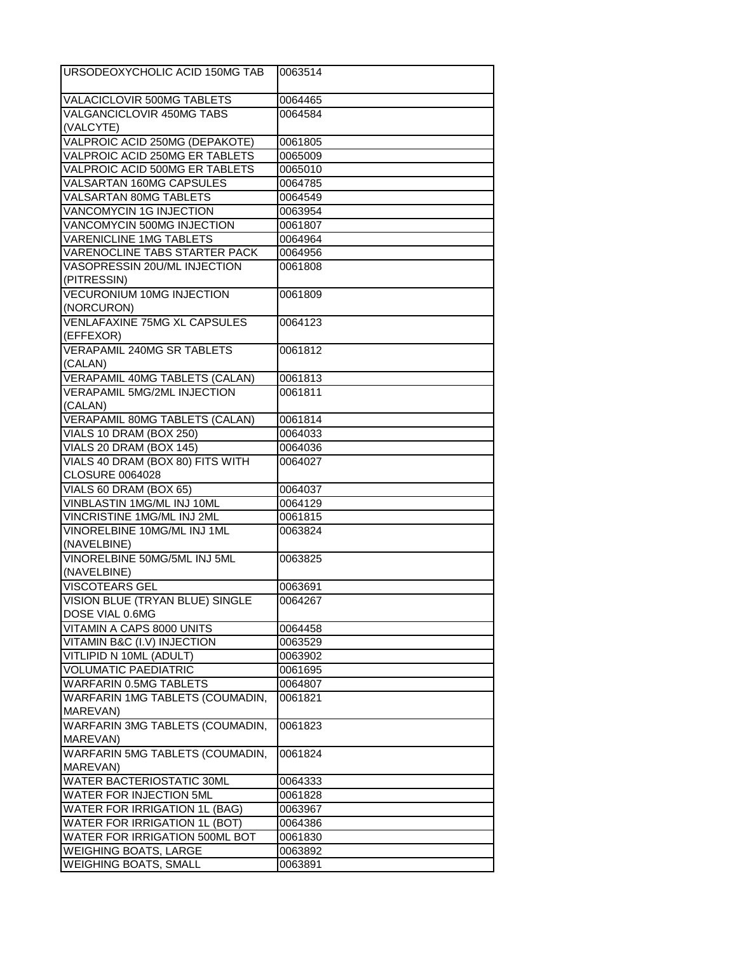| URSODEOXYCHOLIC ACID 150MG TAB                               | 0063514 |
|--------------------------------------------------------------|---------|
| <b>VALACICLOVIR 500MG TABLETS</b>                            | 0064465 |
| <b>VALGANCICLOVIR 450MG TABS</b>                             | 0064584 |
| (VALCYTE)                                                    |         |
| VALPROIC ACID 250MG (DEPAKOTE)                               | 0061805 |
| VALPROIC ACID 250MG ER TABLETS                               | 0065009 |
| VALPROIC ACID 500MG ER TABLETS                               | 0065010 |
| VALSARTAN 160MG CAPSULES                                     | 0064785 |
| VALSARTAN 80MG TABLETS                                       | 0064549 |
| VANCOMYCIN 1G INJECTION                                      | 0063954 |
| VANCOMYCIN 500MG INJECTION                                   | 0061807 |
| VARENICLINE 1MG TABLETS                                      | 0064964 |
| <b>VARENOCLINE TABS STARTER PACK</b>                         | 0064956 |
| VASOPRESSIN 20U/ML INJECTION                                 | 0061808 |
| (PITRESSIN)                                                  |         |
| <b>VECURONIUM 10MG INJECTION</b>                             | 0061809 |
| (NORCURON)                                                   |         |
| VENLAFAXINE 75MG XL CAPSULES                                 | 0064123 |
| (EFFEXOR)                                                    |         |
| <b>VERAPAMIL 240MG SR TABLETS</b>                            | 0061812 |
| (CALAN)                                                      |         |
| VERAPAMIL 40MG TABLETS (CALAN)                               | 0061813 |
| <b>VERAPAMIL 5MG/2ML INJECTION</b>                           | 0061811 |
| (CALAN)                                                      |         |
| <b>VERAPAMIL 80MG TABLETS (CALAN)</b>                        | 0061814 |
| VIALS 10 DRAM (BOX 250)                                      | 0064033 |
| VIALS 20 DRAM (BOX 145)                                      | 0064036 |
| VIALS 40 DRAM (BOX 80) FITS WITH                             | 0064027 |
| <b>CLOSURE 0064028</b>                                       |         |
| VIALS 60 DRAM (BOX 65)                                       | 0064037 |
| VINBLASTIN 1MG/ML INJ 10ML                                   | 0064129 |
| VINCRISTINE 1MG/ML INJ 2ML                                   | 0061815 |
| VINORELBINE 10MG/ML INJ 1ML                                  | 0063824 |
| (NAVELBINE)                                                  |         |
| VINORELBINE 50MG/5ML INJ 5ML                                 | 0063825 |
| (NAVELBINE)                                                  |         |
| <b>VISCOTEARS GEL</b>                                        | 0063691 |
| VISION BLUE (TRYAN BLUE) SINGLE                              | 0064267 |
| DOSE VIAL 0.6MG                                              |         |
| VITAMIN A CAPS 8000 UNITS                                    | 0064458 |
| VITAMIN B&C (I.V) INJECTION                                  | 0063529 |
| VITLIPID N 10ML (ADULT)                                      | 0063902 |
| <b>VOLUMATIC PAEDIATRIC</b>                                  | 0061695 |
| <b>WARFARIN 0.5MG TABLETS</b>                                | 0064807 |
| WARFARIN 1MG TABLETS (COUMADIN,                              | 0061821 |
| MAREVAN)                                                     |         |
| WARFARIN 3MG TABLETS (COUMADIN,                              | 0061823 |
| MAREVAN)                                                     |         |
| WARFARIN 5MG TABLETS (COUMADIN,                              | 0061824 |
| MAREVAN)                                                     |         |
| WATER BACTERIOSTATIC 30ML                                    | 0064333 |
| WATER FOR INJECTION 5ML                                      | 0061828 |
| WATER FOR IRRIGATION 1L (BAG)                                | 0063967 |
| WATER FOR IRRIGATION 1L (BOT)                                | 0064386 |
| WATER FOR IRRIGATION 500ML BOT                               | 0061830 |
| <b>WEIGHING BOATS, LARGE</b><br><b>WEIGHING BOATS, SMALL</b> | 0063892 |
|                                                              | 0063891 |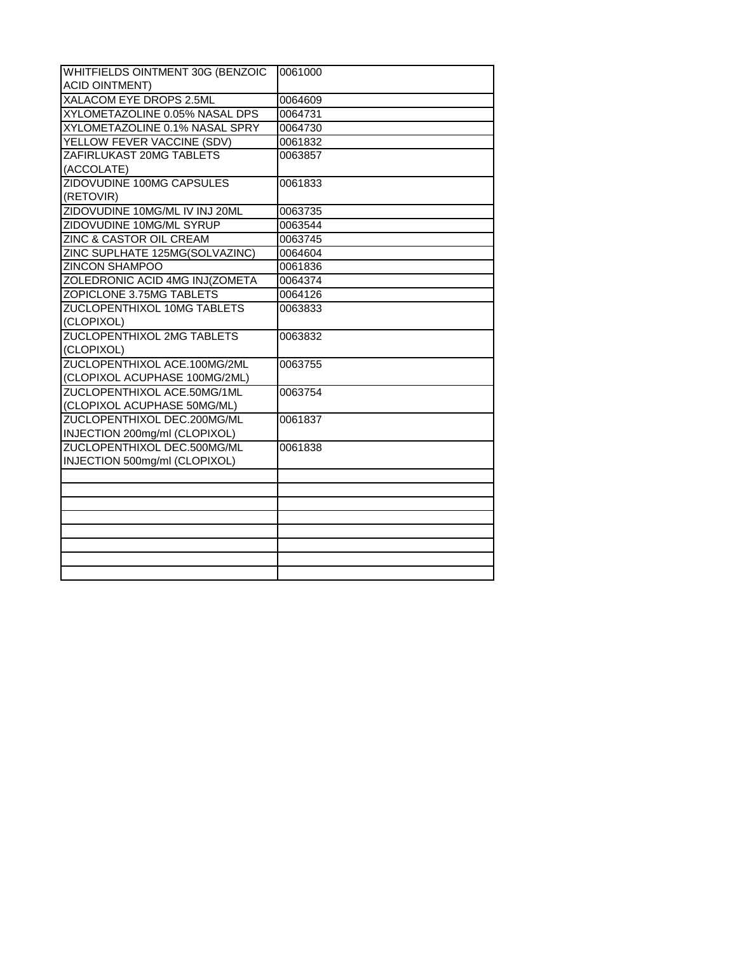| WHITFIELDS OINTMENT 30G (BENZOIC   | 0061000 |
|------------------------------------|---------|
| <b>ACID OINTMENT)</b>              |         |
| XALACOM EYE DROPS 2.5ML            | 0064609 |
| XYLOMETAZOLINE 0.05% NASAL DPS     | 0064731 |
| XYLOMETAZOLINE 0.1% NASAL SPRY     | 0064730 |
| YELLOW FEVER VACCINE (SDV)         | 0061832 |
| ZAFIRLUKAST 20MG TABLETS           | 0063857 |
| (ACCOLATE)                         |         |
| ZIDOVUDINE 100MG CAPSULES          | 0061833 |
| (RETOVIR)                          |         |
| ZIDOVUDINE 10MG/ML IV INJ 20ML     | 0063735 |
| ZIDOVUDINE 10MG/ML SYRUP           | 0063544 |
| ZINC & CASTOR OIL CREAM            | 0063745 |
| ZINC SUPLHATE 125MG(SOLVAZINC)     | 0064604 |
| <b>ZINCON SHAMPOO</b>              | 0061836 |
| ZOLEDRONIC ACID 4MG INJ(ZOMETA     | 0064374 |
| ZOPICLONE 3.75MG TABLETS           | 0064126 |
| <b>ZUCLOPENTHIXOL 10MG TABLETS</b> | 0063833 |
| (CLOPIXOL)                         |         |
| <b>ZUCLOPENTHIXOL 2MG TABLETS</b>  | 0063832 |
| (CLOPIXOL)                         |         |
| ZUCLOPENTHIXOL ACE.100MG/2ML       | 0063755 |
| (CLOPIXOL ACUPHASE 100MG/2ML)      |         |
| ZUCLOPENTHIXOL ACE.50MG/1ML        | 0063754 |
| (CLOPIXOL ACUPHASE 50MG/ML)        |         |
| ZUCLOPENTHIXOL DEC.200MG/ML        | 0061837 |
| INJECTION 200mg/ml (CLOPIXOL)      |         |
| ZUCLOPENTHIXOL DEC.500MG/ML        | 0061838 |
| INJECTION 500mg/ml (CLOPIXOL)      |         |
|                                    |         |
|                                    |         |
|                                    |         |
|                                    |         |
|                                    |         |
|                                    |         |
|                                    |         |
|                                    |         |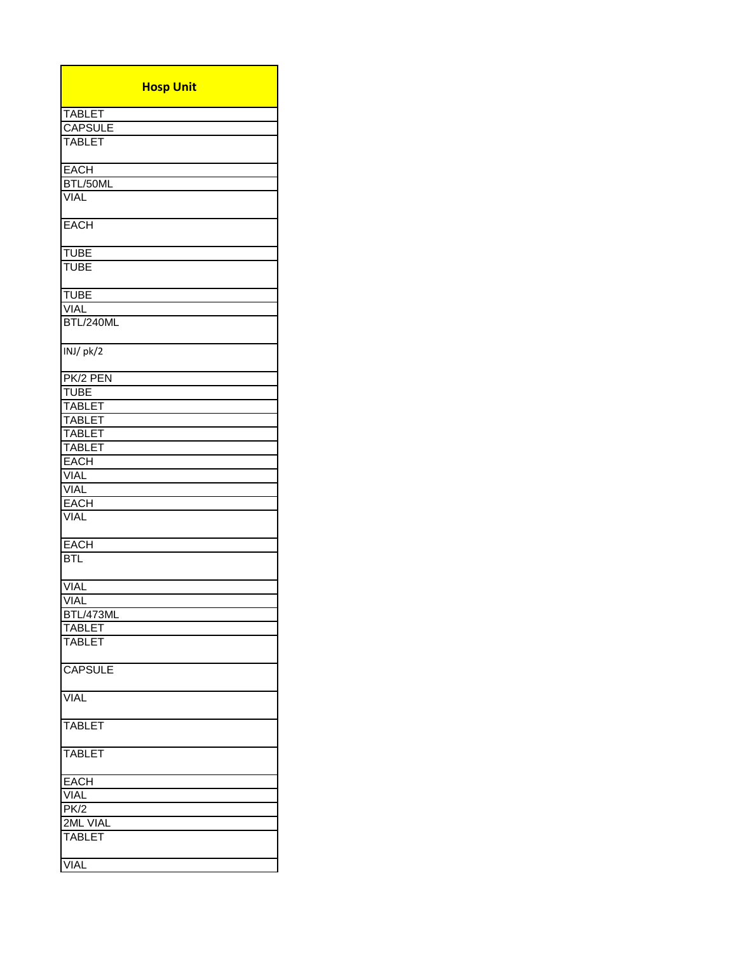| <b>Hosp Unit</b> |
|------------------|
| <b>TABLET</b>    |
| <b>CAPSULE</b>   |
| <b>TABLET</b>    |
|                  |
| <b>EACH</b>      |
| BTL/50ML         |
| <b>VIAL</b>      |
| <b>EACH</b>      |
| <b>TUBE</b>      |
| <b>TUBE</b>      |
|                  |
| <b>TUBE</b>      |
| <b>VIAL</b>      |
| BTL/240ML        |
| INJ/pk/2         |
| PK/2 PEN         |
| <b>TUBE</b>      |
| <b>TABLET</b>    |
| <b>TABLET</b>    |
| <b>TABLET</b>    |
| <b>TABLET</b>    |
|                  |
| <b>EACH</b>      |
| <b>VIAL</b>      |
| <b>VIAL</b>      |
| <b>EACH</b>      |
| <b>VIAL</b>      |
| <b>EACH</b>      |
| BTL              |
| <b>VIAL</b>      |
| <b>VIAL</b>      |
| BTL/473ML        |
| <b>TABLET</b>    |
| <b>TABLET</b>    |
|                  |
| <b>CAPSULE</b>   |
| <b>VIAL</b>      |
| <b>TABLET</b>    |
| <b>TABLET</b>    |
| <b>EACH</b>      |
| <b>VIAL</b>      |
| PK/2             |
| 2ML VIAL         |
| <b>TABLET</b>    |
|                  |
| <b>VIAL</b>      |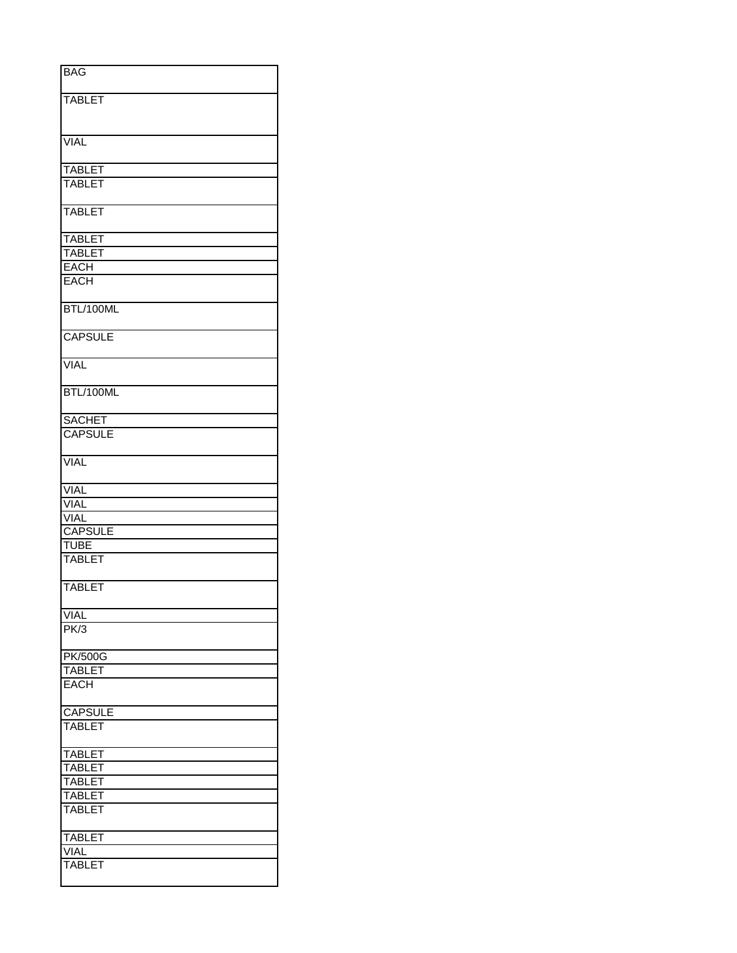| <b>BAG</b>                     |
|--------------------------------|
| <b>TABLET</b>                  |
|                                |
|                                |
| <b>VIAL</b>                    |
|                                |
| <b>TABLET</b>                  |
| <b>TABLET</b>                  |
| <b>TABLET</b>                  |
|                                |
| <b>TABLET</b>                  |
| <b>TABLET</b>                  |
| <b>EACH</b>                    |
| <b>EACH</b>                    |
| BTL/100ML                      |
| <b>CAPSULE</b>                 |
| <b>VIAL</b>                    |
| BTL/100ML                      |
| <b>SACHET</b>                  |
| <b>CAPSULE</b>                 |
| <b>VIAL</b>                    |
| <b>VIAL</b>                    |
| <b>VIAL</b>                    |
| <b>VIAL</b>                    |
| <b>CAPSULE</b>                 |
| <b>TUBE</b>                    |
| <b>TABLET</b>                  |
| <b>TABLET</b>                  |
| <b>VIAL</b>                    |
| PK/3                           |
| <b>PK/500G</b>                 |
| <b>TABLET</b>                  |
| <b>EACH</b>                    |
| <b>CAPSULE</b>                 |
| <b>TABLET</b>                  |
|                                |
| <b>TABLET</b>                  |
| <b>TABLET</b>                  |
| <b>TABLET</b>                  |
| <b>TABLET</b><br><b>TABLET</b> |
|                                |
| <b>TABLET</b>                  |
| <b>VIAL</b>                    |
| TABLET                         |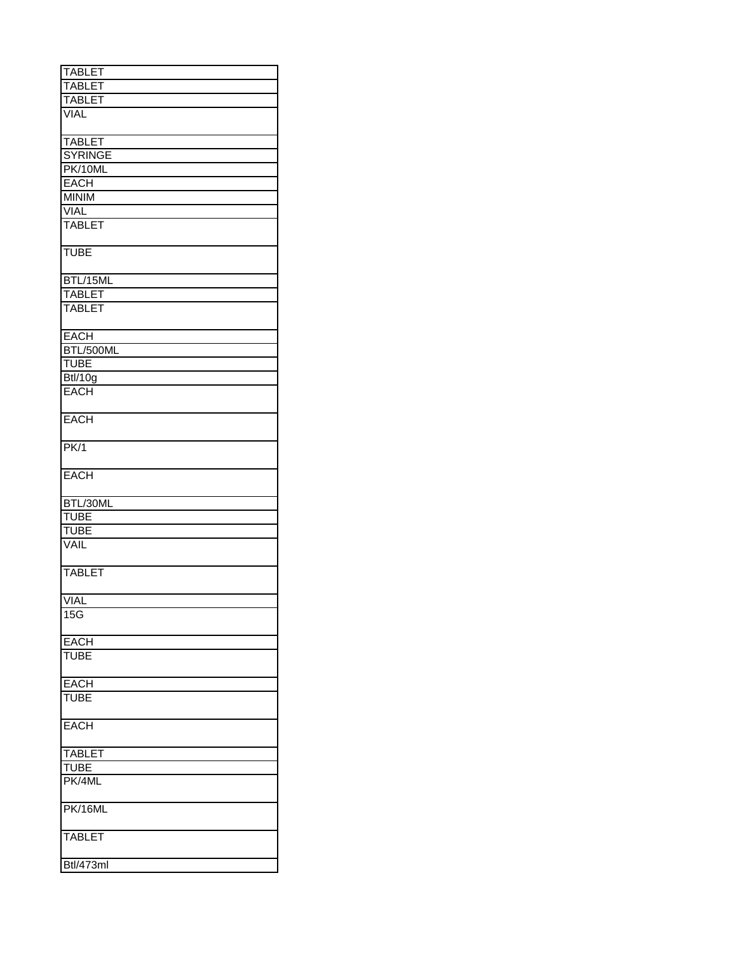| <b>TABLET</b>  |
|----------------|
| <b>TABLET</b>  |
| <b>TABLET</b>  |
| <b>VIAL</b>    |
|                |
| <b>TABLET</b>  |
| <b>SYRINGE</b> |
| PK/10ML        |
| <b>EACH</b>    |
| <b>MINIM</b>   |
| VIAL           |
| <b>TABLET</b>  |
|                |
| <b>TUBE</b>    |
| BTL/15ML       |
| <b>TABLET</b>  |
| <b>TABLET</b>  |
|                |
| <b>EACH</b>    |
| BTL/500ML      |
| <b>TUBE</b>    |
| Btl/10g        |
| <b>EACH</b>    |
|                |
| <b>EACH</b>    |
| PK/1           |
| <b>EACH</b>    |
| BTL/30ML       |
| <b>TUBE</b>    |
|                |
| <b>TUBE</b>    |
| <b>VAIL</b>    |
| <b>TABLET</b>  |
| <b>VIAI</b>    |
| 15G            |
|                |
| <b>EACH</b>    |
| <b>TUBE</b>    |
| <b>EACH</b>    |
| <b>TUBE</b>    |
| <b>EACH</b>    |
| <b>TABLET</b>  |
| TUBE           |
| PK/4ML         |
| PK/16ML        |
| TABLET         |
|                |
| Btl/473ml      |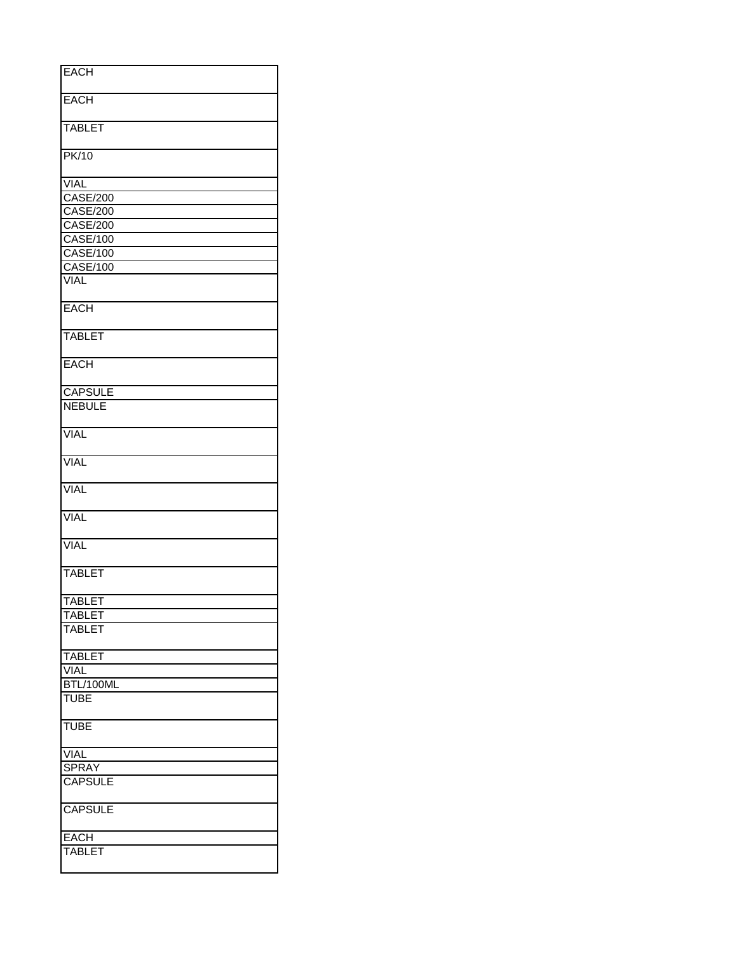| <b>EACH</b>     |
|-----------------|
|                 |
|                 |
| <b>EACH</b>     |
|                 |
| <b>TABLET</b>   |
|                 |
|                 |
| <b>PK/10</b>    |
|                 |
| <b>VIAL</b>     |
| <b>CASE/200</b> |
|                 |
| <b>CASE/200</b> |
| <b>CASE/200</b> |
| <b>CASE/100</b> |
| <b>CASE/100</b> |
|                 |
| <b>CASE/100</b> |
| <b>VIAL</b>     |
|                 |
| <b>EACH</b>     |
|                 |
|                 |
| <b>TABLET</b>   |
|                 |
| <b>EACH</b>     |
|                 |
|                 |
| <b>CAPSULE</b>  |
| <b>NEBULE</b>   |
|                 |
|                 |
| <b>VIAL</b>     |
|                 |
| <b>VIAL</b>     |
|                 |
|                 |
| <b>VIAL</b>     |
|                 |
| <b>VIAL</b>     |
|                 |
| <b>VIAL</b>     |
|                 |
|                 |
| <b>TABLET</b>   |
|                 |
|                 |
| <b>TABLET</b>   |
| <b>TABLET</b>   |
| <b>TABLET</b>   |
|                 |
|                 |
| <b>TABLET</b>   |
| <b>VIAL</b>     |
| BTL/100ML       |
| <b>TUBE</b>     |
|                 |
|                 |
| <b>TUBE</b>     |
|                 |
| <b>VIAL</b>     |
| <b>SPRAY</b>    |
|                 |
| <b>CAPSULE</b>  |
|                 |
| <b>CAPSULE</b>  |
|                 |
|                 |
| <b>EACH</b>     |
| <b>TABLET</b>   |
|                 |
|                 |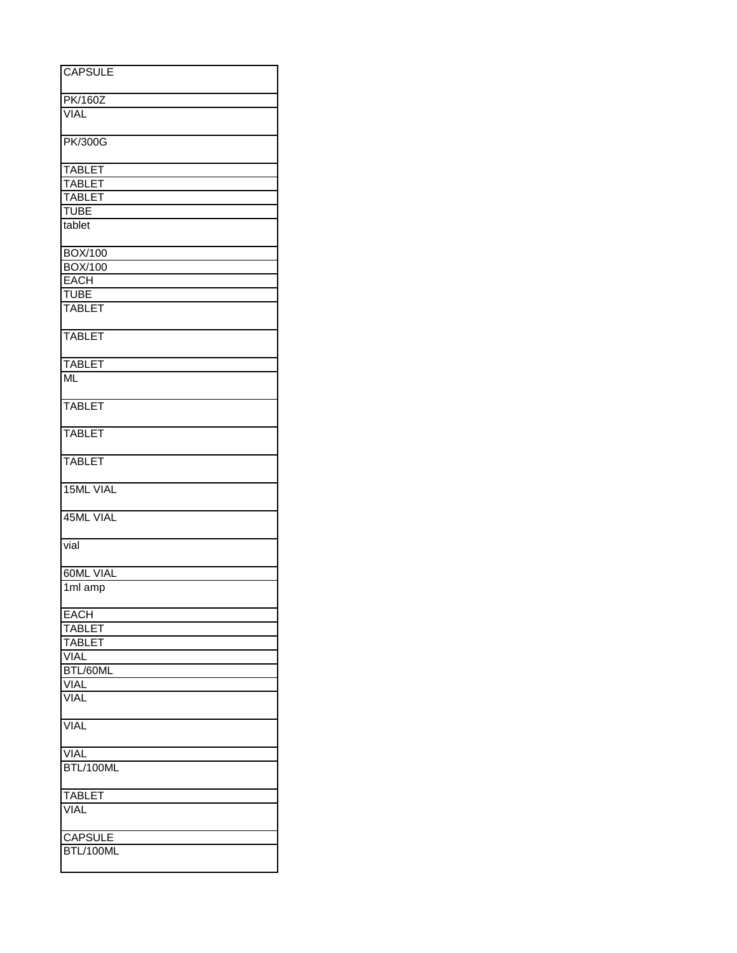| <b>CAPSULE</b>   |
|------------------|
|                  |
| <b>PK/160Z</b>   |
| <b>VIAL</b>      |
|                  |
| <b>PK/300G</b>   |
|                  |
| <b>TABLET</b>    |
| <b>TABLET</b>    |
| <b>TABLET</b>    |
| <b>TUBE</b>      |
| tablet           |
| <b>BOX/100</b>   |
| <b>BOX/100</b>   |
| <b>EACH</b>      |
| <b>TUBE</b>      |
| <b>TABLET</b>    |
|                  |
| <b>TABLET</b>    |
| <b>TABLET</b>    |
| <b>ML</b>        |
|                  |
| <b>TABLET</b>    |
|                  |
| <b>TABLET</b>    |
| <b>TABLET</b>    |
|                  |
| <b>15ML VIAL</b> |
| 45ML VIAL        |
|                  |
| vial             |
|                  |
| <b>60ML VIAL</b> |
| 1ml amp          |
| <b>EACH</b>      |
| <b>TABLET</b>    |
| <b>TABLET</b>    |
| <b>VIAL</b>      |
| BTL/60ML         |
| <b>VIAL</b>      |
| <b>VIAL</b>      |
| <b>VIAL</b>      |
|                  |
| <b>VIAL</b>      |
| BTL/100ML        |
|                  |
| <b>TABLET</b>    |
| <b>VIAL</b>      |
| CAPSULE          |
| BTL/100ML        |
|                  |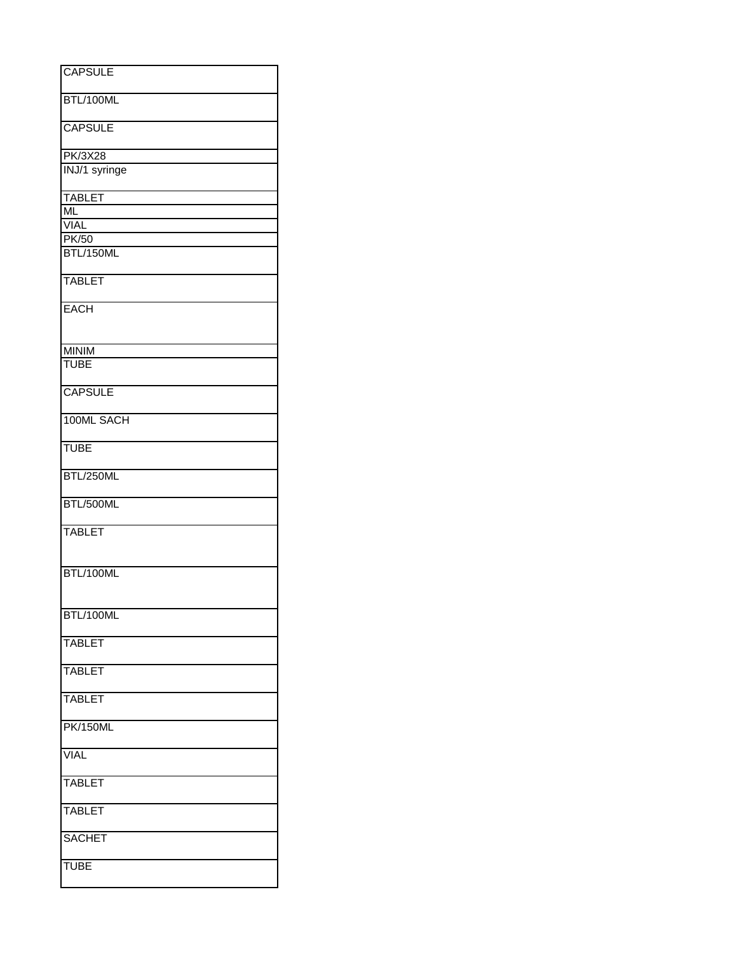| <b>CAPSULE</b>         |
|------------------------|
|                        |
| BTL/100ML              |
| <b>CAPSULE</b>         |
| PK/3X28                |
| INJ/1 syringe          |
| <b>TABLET</b>          |
| $\overline{\text{ML}}$ |
| <b>VIAL</b>            |
| PK/50<br>BTL/150ML     |
|                        |
| <b>TABLET</b>          |
| <b>EACH</b>            |
| <b>MINIM</b>           |
| <b>TUBE</b>            |
| <b>CAPSULE</b>         |
| 100ML SACH             |
| <b>TUBE</b>            |
| BTL/250ML              |
| BTL/500ML              |
| <b>TABLET</b>          |
| BTL/100ML              |
|                        |
| BTL/100ML              |
| <b>TABLET</b>          |
| <b>TABLET</b>          |
| <b>TABLET</b>          |
| <b>PK/150ML</b>        |
| <b>VIAL</b>            |
| <b>TABLET</b>          |
| <b>TABLET</b>          |
| <b>SACHET</b>          |
| <b>TUBE</b>            |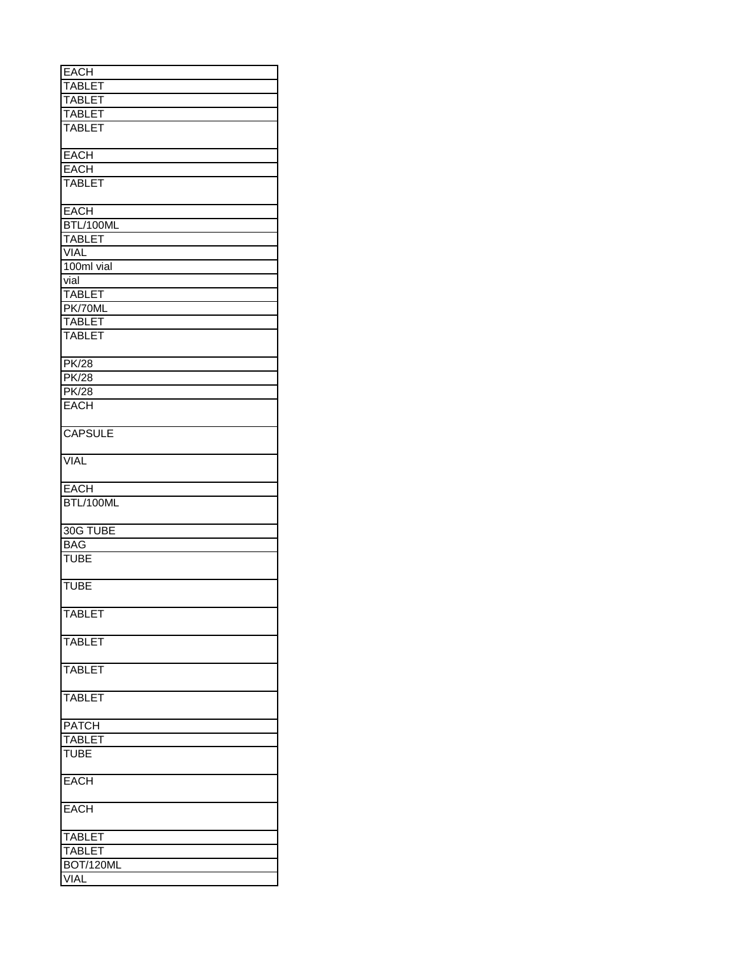| <b>EACH</b>      |
|------------------|
| <b>TABLET</b>    |
| <b>TABLET</b>    |
| <b>TABLET</b>    |
|                  |
| <b>TABLET</b>    |
|                  |
| <b>EACH</b>      |
| <b>EACH</b>      |
| <b>TABLET</b>    |
| <b>EACH</b>      |
| BTL/100ML        |
| <b>TABLET</b>    |
| <b>VIAL</b>      |
| 100ml vial       |
| vial             |
| <b>TABLET</b>    |
|                  |
| PK/70ML          |
| <b>TABLET</b>    |
| <b>TABLET</b>    |
| <b>PK/28</b>     |
|                  |
| <b>PK/28</b>     |
| <b>PK/28</b>     |
| <b>EACH</b>      |
| <b>CAPSULE</b>   |
| <b>VIAL</b>      |
| <b>EACH</b>      |
| BTL/100ML        |
|                  |
| 30G TUBE         |
|                  |
| <b>BAG</b>       |
| <b>TUBE</b>      |
| <b>TUBE</b>      |
|                  |
| <b>TABLET</b>    |
| <b>TABLET</b>    |
|                  |
| <b>TABLET</b>    |
| <b>TABLET</b>    |
| <b>PATCH</b>     |
| <b>TABLET</b>    |
| <b>TUBE</b>      |
|                  |
| <b>EACH</b>      |
| <b>EACH</b>      |
|                  |
| <b>TABLET</b>    |
| <b>TABLET</b>    |
| <b>BOT/120ML</b> |
| <b>VIAL</b>      |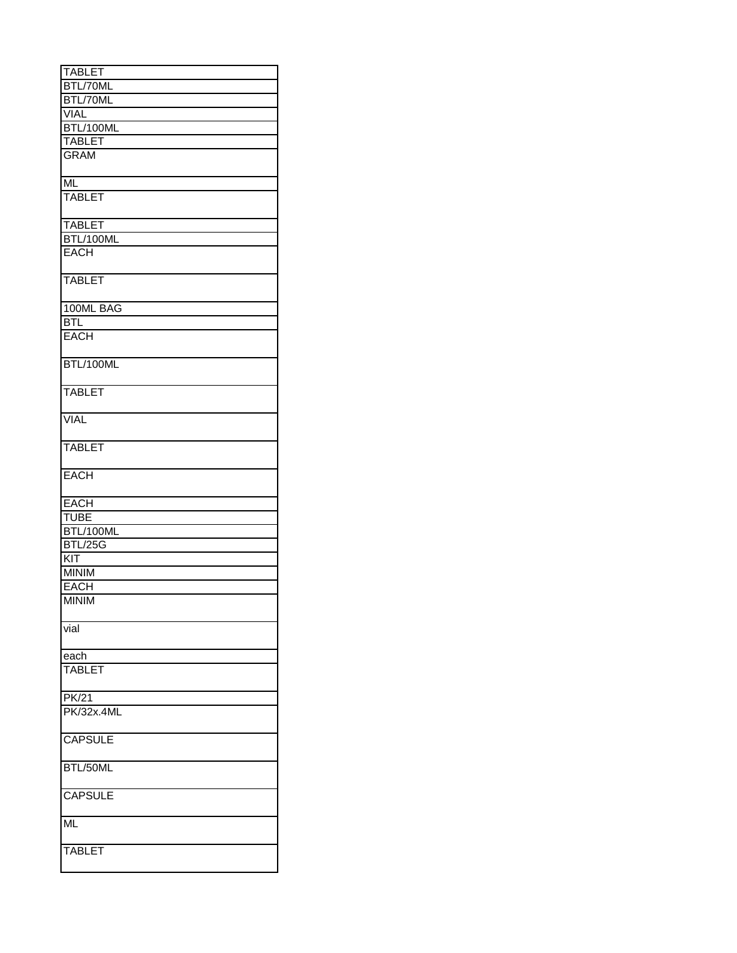| <b>TABLET</b>     |
|-------------------|
| BTL/70ML          |
| BTL/70ML          |
| <b>VIAL</b>       |
| BTL/100ML         |
| <b>TABLET</b>     |
| <b>GRAM</b>       |
|                   |
| <b>ML</b>         |
| <b>TABLET</b>     |
|                   |
| <b>TABLET</b>     |
| BTL/100ML         |
| <b>EACH</b>       |
|                   |
| <b>TABLET</b>     |
|                   |
| 100ML BAG         |
| <b>BTL</b>        |
| <b>EACH</b>       |
|                   |
| BTL/100ML         |
|                   |
| <b>TABLET</b>     |
| VIAL              |
|                   |
| <b>TABLET</b>     |
|                   |
| <b>EACH</b>       |
|                   |
| <b>EACH</b>       |
| <b>TUBE</b>       |
| BTL/100ML         |
| <b>BTL/25G</b>    |
| KIT               |
| <b>MINIM</b>      |
| <b>EACH</b>       |
| <b>MINIM</b>      |
|                   |
| vial              |
|                   |
| each              |
| <b>TABLET</b>     |
|                   |
| PK/21             |
| <b>PK/32x.4ML</b> |
|                   |
|                   |
|                   |
| <b>CAPSULE</b>    |
|                   |
| BTL/50ML          |
|                   |
| <b>CAPSULE</b>    |
|                   |
| <b>ML</b>         |
| <b>TABLET</b>     |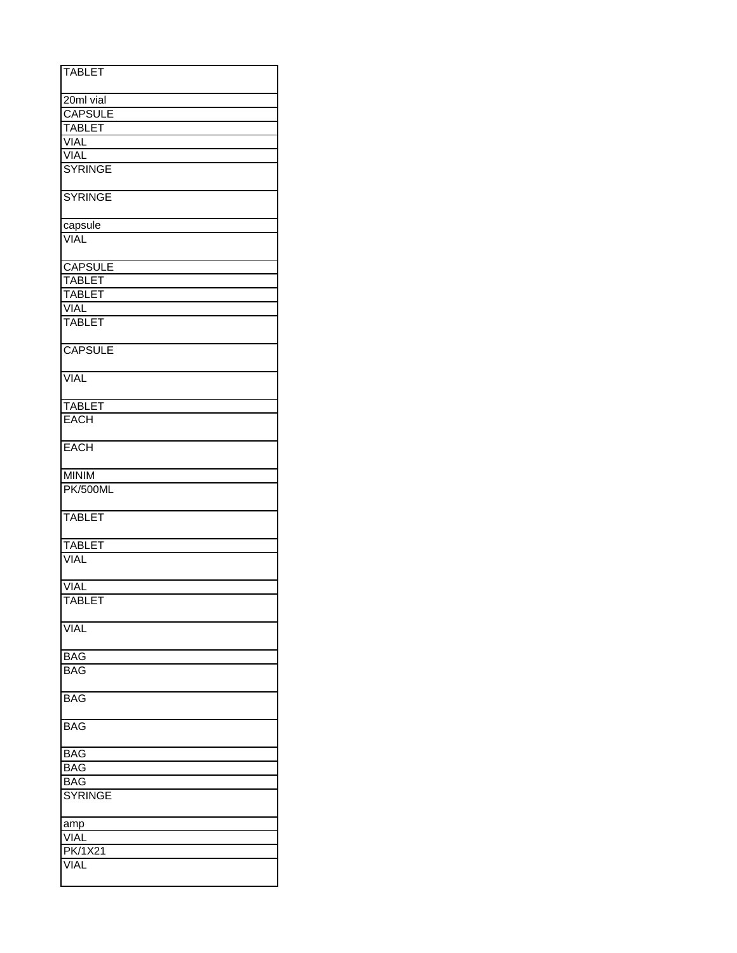| <b>TABLET</b>   |
|-----------------|
| 20ml vial       |
| <b>CAPSULE</b>  |
| <b>TABLET</b>   |
| <b>VIAL</b>     |
| <b>VIAL</b>     |
| <b>SYRINGE</b>  |
|                 |
| <b>SYRINGE</b>  |
| capsule         |
| <b>VIAL</b>     |
| <b>CAPSULE</b>  |
| <b>TABLET</b>   |
| <b>TABLET</b>   |
| <b>VIAL</b>     |
|                 |
| <b>TABLET</b>   |
| <b>CAPSULE</b>  |
| <b>VIAL</b>     |
| <b>TABLET</b>   |
| <b>EACH</b>     |
| <b>EACH</b>     |
|                 |
| <b>MINIM</b>    |
| <b>PK/500ML</b> |
| <b>TABLET</b>   |
| <b>TABLET</b>   |
| <b>VIAL</b>     |
| <b>VIAL</b>     |
| <b>TABLET</b>   |
|                 |
| <b>VIAL</b>     |
| <b>BAG</b>      |
| <b>BAG</b>      |
| <b>BAG</b>      |
| <b>BAG</b>      |
| <b>BAG</b>      |
| BAG             |
|                 |
| <b>BAG</b>      |
| <b>SYRINGE</b>  |
| <u>amp</u>      |
| VIAL            |
| PK/1X21         |
| VIAL            |
|                 |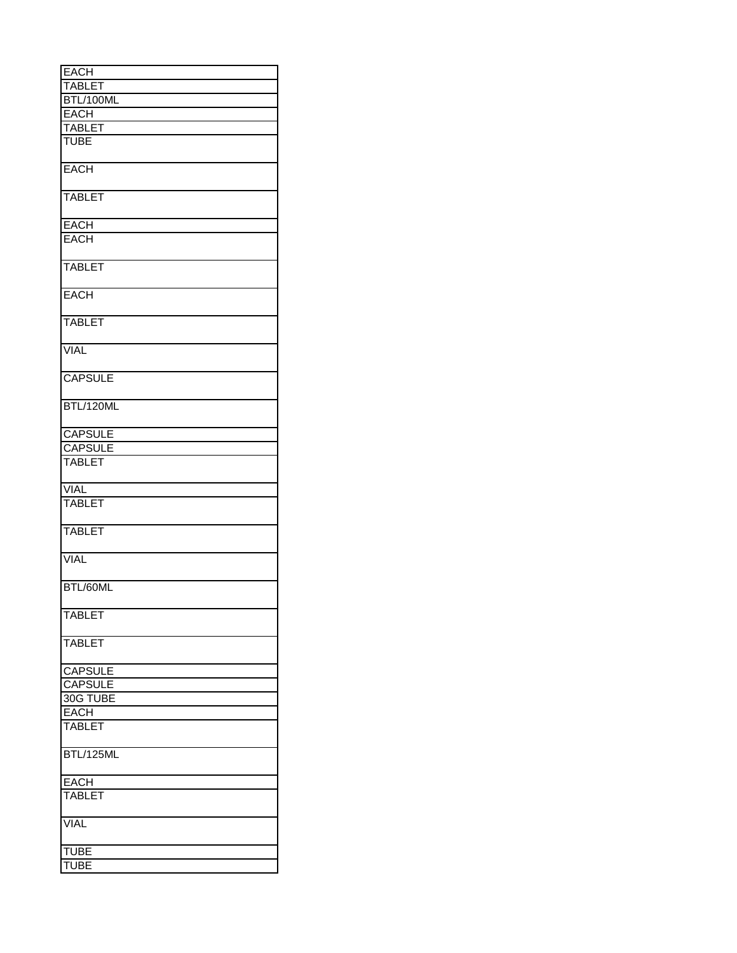| <b>EACH</b>    |
|----------------|
| <b>TABLET</b>  |
| BTL/100ML      |
| <b>EACH</b>    |
| <b>TABLET</b>  |
| <b>TUBE</b>    |
|                |
| <b>EACH</b>    |
| <b>TABLET</b>  |
| <b>EACH</b>    |
| <b>EACH</b>    |
| <b>TABLET</b>  |
| <b>EACH</b>    |
| <b>TABLET</b>  |
| <b>VIAL</b>    |
| <b>CAPSULE</b> |
| BTL/120ML      |
| <b>CAPSULE</b> |
| <b>CAPSULE</b> |
| <b>TABLET</b>  |
| <b>VIAL</b>    |
| <b>TABLET</b>  |
| <b>TABLET</b>  |
| <b>VIAL</b>    |
| BTL/60ML       |
| <b>TABLET</b>  |
| <b>TABLET</b>  |
| <b>CAPSULE</b> |
| <b>CAPSULE</b> |
| 30G TUBE       |
| <b>EACH</b>    |
| <b>TABLET</b>  |
| BTL/125ML      |
| <b>EACH</b>    |
| <b>TABLET</b>  |
| <b>VIAL</b>    |
| TUBE           |
| <b>TUBE</b>    |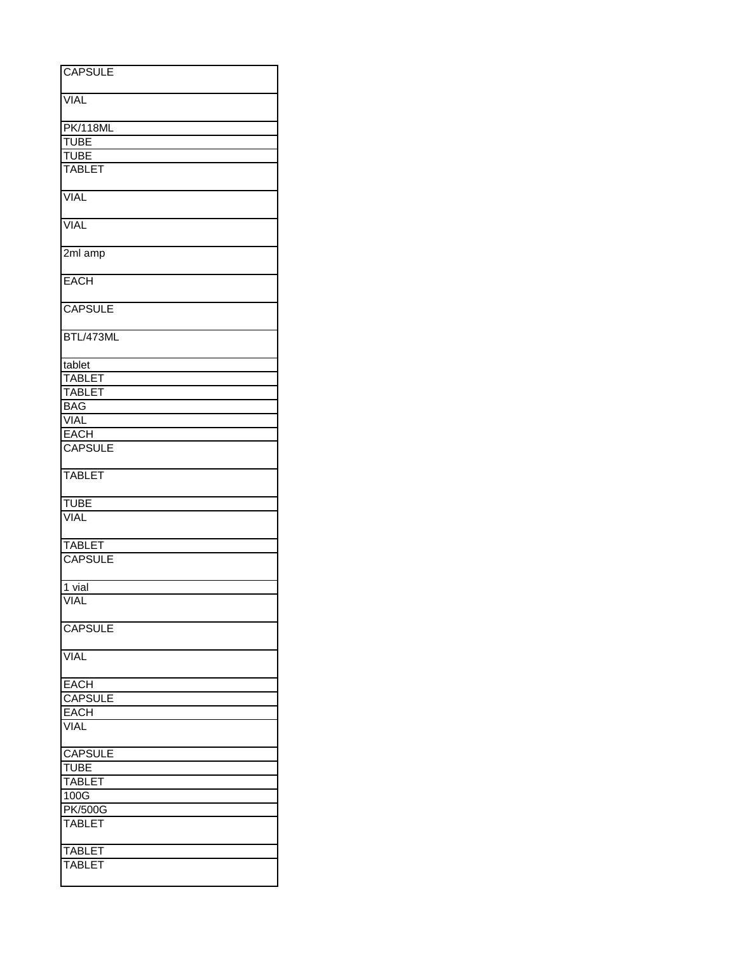| <b>CAPSULE</b>  |
|-----------------|
|                 |
|                 |
| <b>VIAL</b>     |
|                 |
|                 |
| <b>PK/118ML</b> |
| <b>TUBE</b>     |
| <b>TUBE</b>     |
|                 |
| <b>TABLET</b>   |
|                 |
| <b>VIAL</b>     |
|                 |
|                 |
| <b>VIAL</b>     |
|                 |
|                 |
| 2ml amp         |
|                 |
|                 |
| <b>EACH</b>     |
|                 |
| <b>CAPSULE</b>  |
|                 |
|                 |
| BTL/473ML       |
|                 |
|                 |
| tablet          |
| <b>TABLET</b>   |
|                 |
| <b>TABLET</b>   |
| <b>BAG</b>      |
|                 |
| <b>VIAL</b>     |
| <b>EACH</b>     |
| <b>CAPSULE</b>  |
|                 |
|                 |
| <b>TABLET</b>   |
|                 |
|                 |
| <b>TUBE</b>     |
| VIAL            |
|                 |
|                 |
| <b>TABLET</b>   |
| <b>CAPSULE</b>  |
|                 |
|                 |
| 1 vial          |
| <b>VIAL</b>     |
|                 |
|                 |
| <b>CAPSULE</b>  |
|                 |
|                 |
| <b>VIAL</b>     |
|                 |
|                 |
| <b>EACH</b>     |
| <b>CAPSULE</b>  |
| <b>EACH</b>     |
|                 |
| <b>VIAL</b>     |
|                 |
| CAPSULE         |
|                 |
| <b>TUBE</b>     |
| <b>TABLET</b>   |
|                 |
| 100G            |
| <b>PK/500G</b>  |
| <b>TABLET</b>   |
|                 |
|                 |
| <b>TABLET</b>   |
| <b>TABLET</b>   |
|                 |
|                 |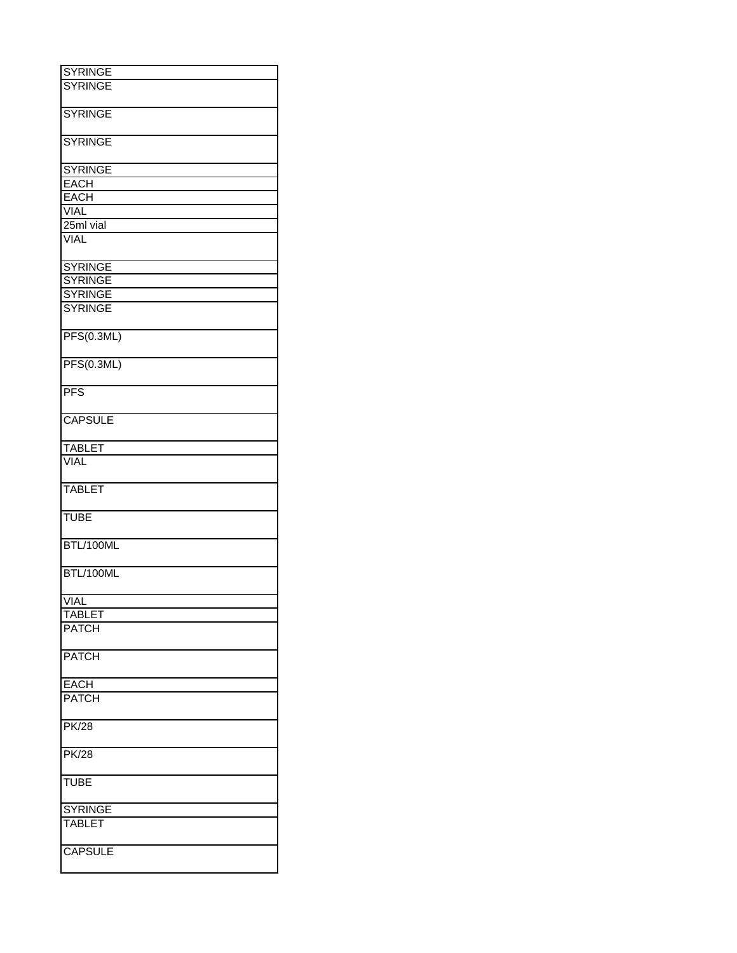| <b>SYRINGE</b>    |
|-------------------|
| <b>SYRINGE</b>    |
|                   |
|                   |
| <b>SYRINGE</b>    |
|                   |
| <b>SYRINGE</b>    |
| <b>SYRINGE</b>    |
| <b>EACH</b>       |
|                   |
| <b>EACH</b>       |
| <b>VIAL</b>       |
| 25ml vial         |
| <b>VIAL</b>       |
| <b>SYRINGE</b>    |
|                   |
| <b>SYRINGE</b>    |
| <b>SYRINGE</b>    |
| <b>SYRINGE</b>    |
| PFS(0.3ML)        |
| <b>PFS(0.3ML)</b> |
| <b>PFS</b>        |
| <b>CAPSULE</b>    |
| <b>TABLET</b>     |
| <b>VIAL</b>       |
|                   |
| <b>TABLET</b>     |
| <b>TUBE</b>       |
| BTL/100ML         |
| BTL/100ML         |
| <b>VIAL</b>       |
| <b>TABLET</b>     |
| <b>PATCH</b>      |
|                   |
| <b>PATCH</b>      |
| <b>EACH</b>       |
| <b>PATCH</b>      |
|                   |
| <b>PK/28</b>      |
| <b>PK/28</b>      |
| <b>TUBE</b>       |
| <b>SYRINGE</b>    |
| <b>TABLET</b>     |
|                   |
| <b>CAPSULE</b>    |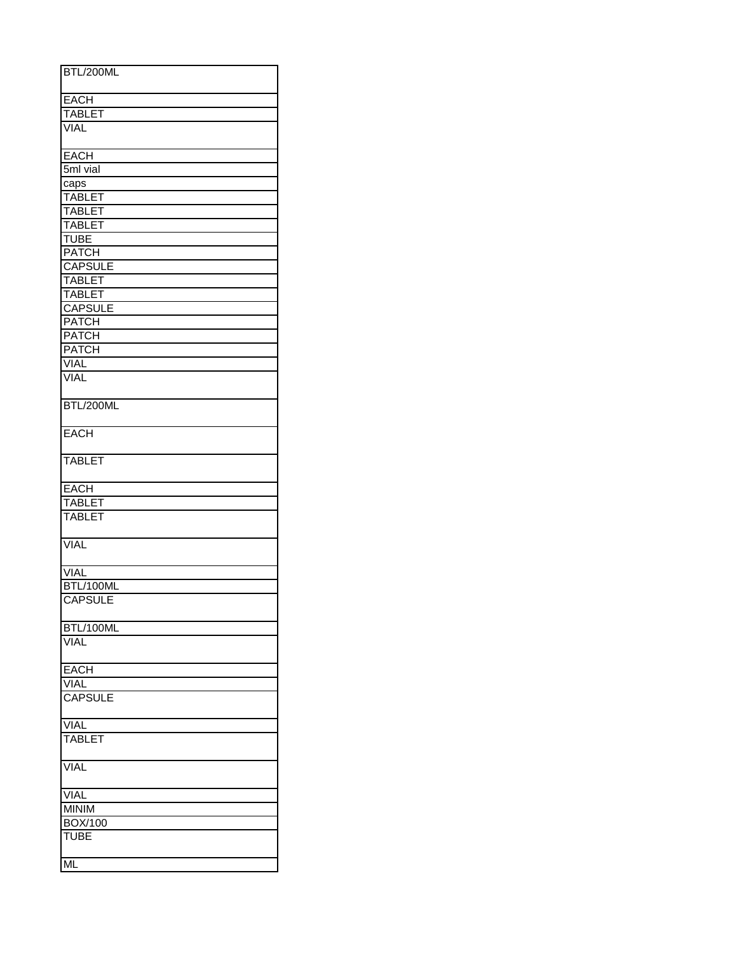| BTL/200ML                |  |
|--------------------------|--|
|                          |  |
|                          |  |
| <b>EACH</b>              |  |
| <b>TABLET</b>            |  |
| <b>VIAL</b>              |  |
| <b>EACH</b>              |  |
| 5ml vial                 |  |
| caps                     |  |
| <b>TABLET</b>            |  |
|                          |  |
| <b>TABLET</b>            |  |
| <b>TABLET</b>            |  |
| <b>TUBE</b>              |  |
| <b>PATCH</b>             |  |
| <b>CAPSULE</b>           |  |
| <b>TABLET</b>            |  |
| <b>TABLET</b>            |  |
| <b>CAPSULE</b>           |  |
| <b>PATCH</b>             |  |
| <b>PATCH</b>             |  |
| <b>PATCH</b>             |  |
| VIAL                     |  |
| <b>VIAL</b>              |  |
|                          |  |
| BTL/200ML                |  |
| <b>EACH</b>              |  |
| <b>TABLET</b>            |  |
| <b>EACH</b>              |  |
|                          |  |
| TABLET<br>TABLET         |  |
|                          |  |
| VIAL                     |  |
| <b>VIAL</b>              |  |
| BTL/100ML                |  |
| <b>CAPSULE</b>           |  |
|                          |  |
| BTL/100ML<br><b>VIAL</b> |  |
|                          |  |
| EACH                     |  |
| <b>VIAL</b>              |  |
| <b>CAPSULE</b>           |  |
|                          |  |
| <b>VIAL</b>              |  |
| <b>TABLET</b>            |  |
|                          |  |
| <b>VIAL</b>              |  |
| <b>VIAL</b>              |  |
| <b>MINIM</b>             |  |
| <b>BOX/100</b>           |  |
| <b>TUBE</b>              |  |
| <b>ML</b>                |  |
|                          |  |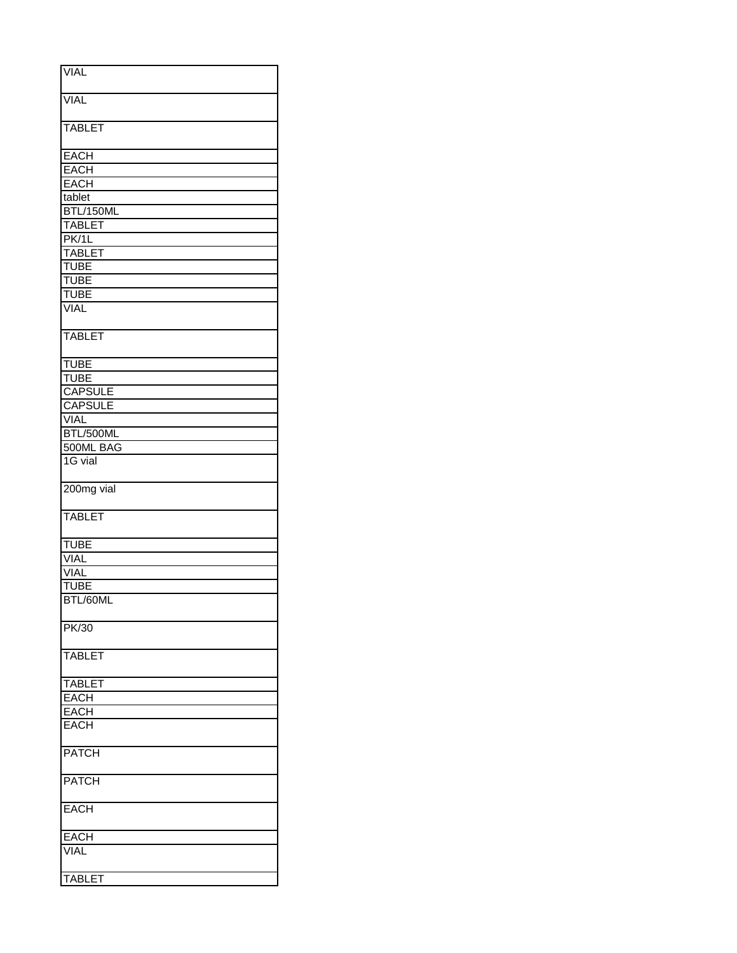| <b>VIAL</b>    |
|----------------|
|                |
|                |
|                |
| <b>VIAL</b>    |
|                |
|                |
| <b>TABLET</b>  |
|                |
|                |
| <b>EACH</b>    |
| <b>EACH</b>    |
| <b>EACH</b>    |
|                |
| tablet         |
| BTL/150ML      |
|                |
| <b>TABLET</b>  |
| PK/1L          |
|                |
| <b>TABLET</b>  |
| <b>TUBE</b>    |
| <b>TUBE</b>    |
|                |
| <b>TUBE</b>    |
| <b>VIAL</b>    |
|                |
|                |
| <b>TABLET</b>  |
|                |
|                |
| <b>TUBE</b>    |
|                |
| <b>TUBE</b>    |
| <b>CAPSULE</b> |
| <b>CAPSULE</b> |
|                |
| <b>VIAL</b>    |
| BTL/500ML      |
|                |
| 500ML BAG      |
| 1G vial        |
|                |
|                |
| 200mg vial     |
|                |
|                |
|                |
| <b>TABLET</b>  |
|                |
|                |
| <b>TUBE</b>    |
|                |
| <b>VIAL</b>    |
| <b>VIAL</b>    |
|                |
| <b>TUBE</b>    |
| BTL/60ML       |
|                |
|                |
| PK/30          |
|                |
|                |
| <b>TABLET</b>  |
|                |
|                |
| <b>TABLET</b>  |
| <b>EACH</b>    |
| <b>EACH</b>    |
|                |
| <b>EACH</b>    |
|                |
|                |
| <b>PATCH</b>   |
|                |
|                |
| <b>PATCH</b>   |
|                |
| <b>EACH</b>    |
|                |
|                |
| <b>EACH</b>    |
|                |
| <b>VIAL</b>    |
|                |
| TABLET         |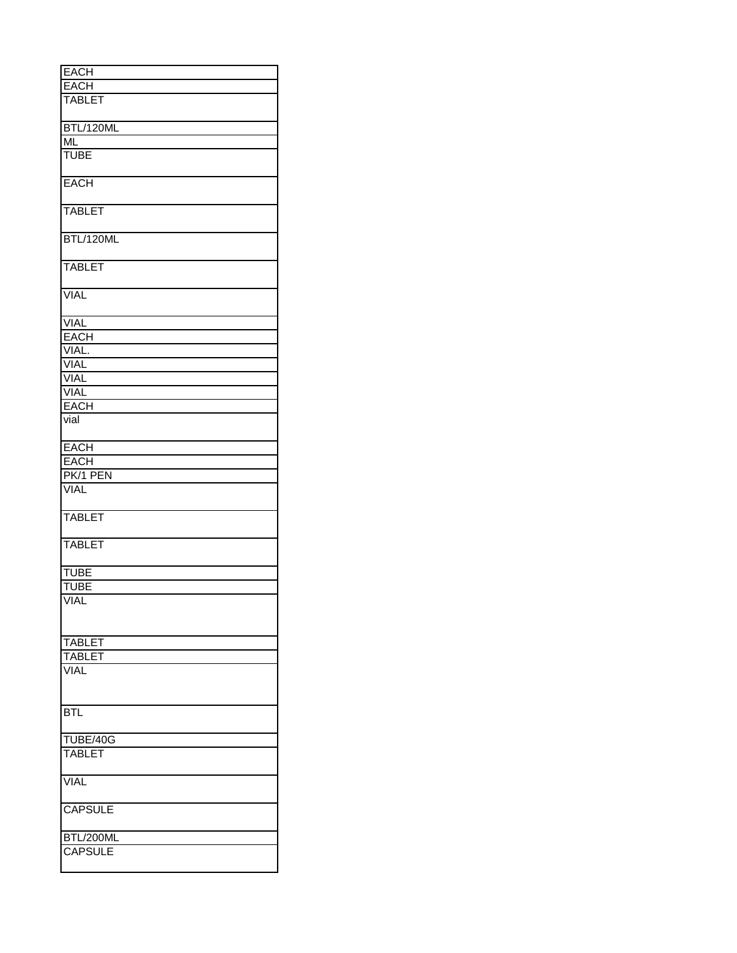| <b>EACH</b>            |
|------------------------|
| <b>EACH</b>            |
| <b>TABLET</b>          |
|                        |
|                        |
| BTL/120ML              |
| $\overline{\text{ML}}$ |
| <b>TUBE</b>            |
|                        |
|                        |
| <b>EACH</b>            |
|                        |
| <b>TABLET</b>          |
|                        |
|                        |
| BTL/120ML              |
|                        |
|                        |
| <b>TABLET</b>          |
|                        |
| <b>VIAL</b>            |
|                        |
|                        |
| <b>VIAL</b>            |
| <b>EACH</b>            |
| VIAL.                  |
| VIAL                   |
|                        |
| <b>VIAL</b>            |
| VIAL                   |
| <b>EACH</b>            |
|                        |
| vial                   |
|                        |
| <b>EACH</b>            |
| <b>EACH</b>            |
|                        |
| PK/1 PEN               |
| <b>VIAL</b>            |
|                        |
|                        |
| <b>TABLET</b>          |
|                        |
| <b>TABLET</b>          |
|                        |
|                        |
| <b>TUBE</b>            |
| <b>TUBE</b>            |
| <b>VIAL</b>            |
|                        |
|                        |
|                        |
| <b>TABLET</b>          |
| <b>TABLET</b>          |
|                        |
| <b>VIAL</b>            |
|                        |
|                        |
| <b>BTL</b>             |
|                        |
|                        |
| TUBE/40G               |
| <b>TABLET</b>          |
|                        |
|                        |
| <b>VIAL</b>            |
|                        |
| <b>CAPSULE</b>         |
|                        |
|                        |
| BTL/200ML              |
| <b>CAPSULE</b>         |
|                        |
|                        |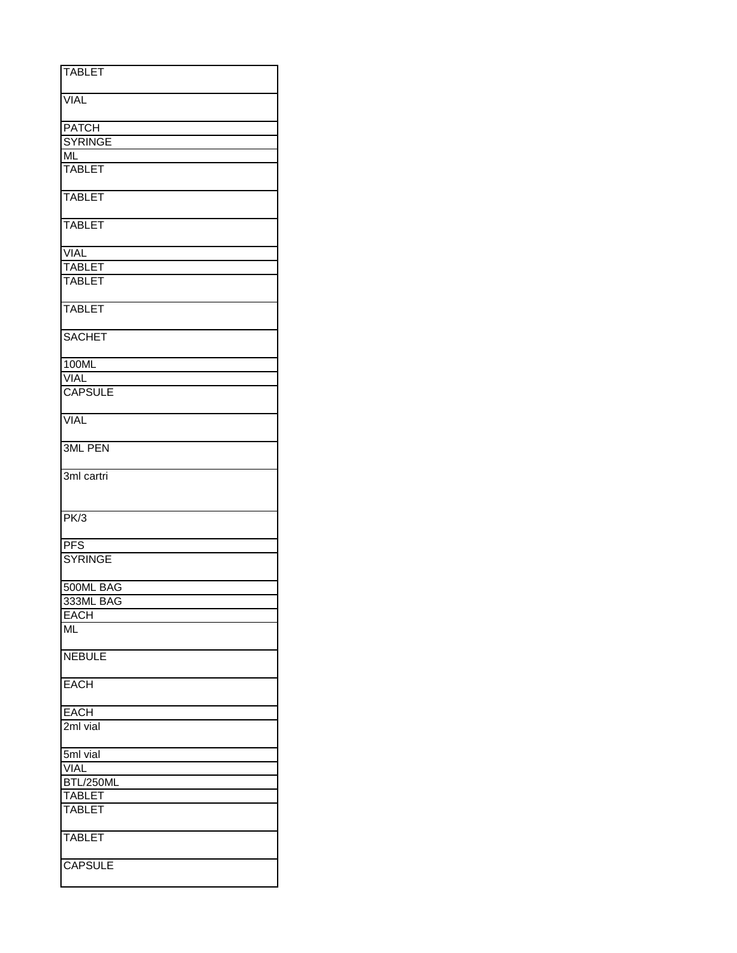| <b>TABLET</b>  |
|----------------|
|                |
| <b>VIAL</b>    |
| <b>PATCH</b>   |
| <b>SYRINGE</b> |
| ML             |
| <b>TABLET</b>  |
| <b>TABLET</b>  |
| <b>TABLET</b>  |
| <b>VIAL</b>    |
| <b>TABLET</b>  |
| <b>TABLET</b>  |
| <b>TABLET</b>  |
| <b>SACHET</b>  |
| 100ML          |
| <b>VIAL</b>    |
| <b>CAPSULE</b> |
| <b>VIAL</b>    |
| <b>3ML PEN</b> |
| 3ml cartri     |
| PK/3           |
| PFS            |
| <b>SYRINGE</b> |
| 500ML BAG      |
| 333ML BAG      |
| <b>EACH</b>    |
| ML             |
| <b>NEBULE</b>  |
| <b>EACH</b>    |
| <b>EACH</b>    |
| 2ml vial       |
| 5ml vial       |
| <b>VIAL</b>    |
| BTL/250ML      |
| <b>TABLET</b>  |
| <b>TABLET</b>  |
| <b>TABLET</b>  |
| <b>CAPSULE</b> |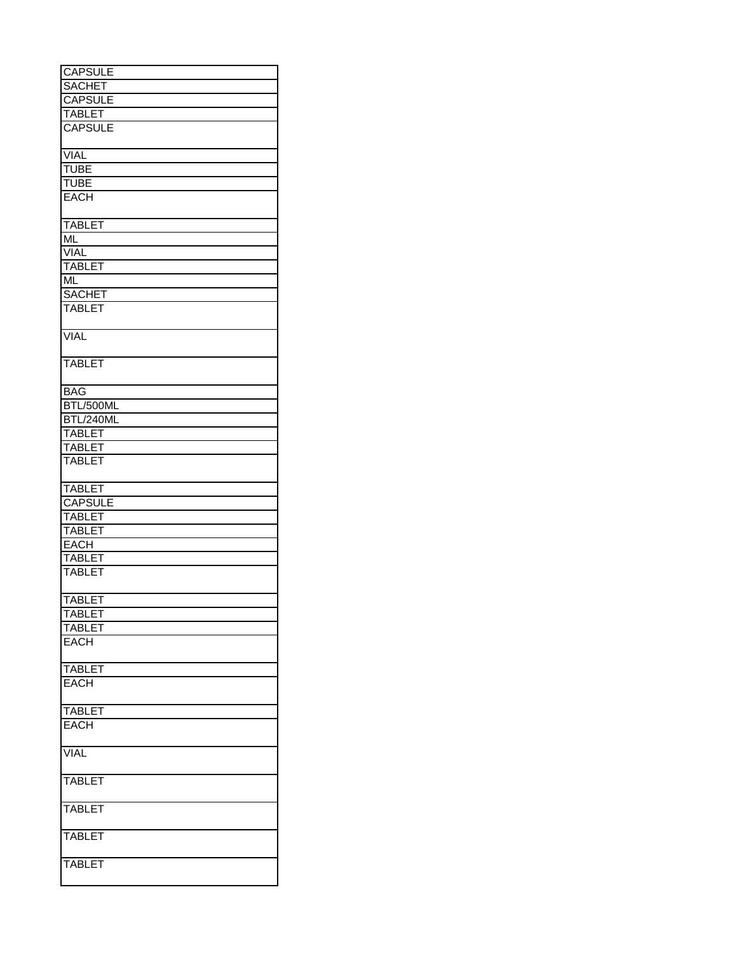| <b>CAPSULE</b>   |
|------------------|
| <b>SACHET</b>    |
| <b>CAPSULE</b>   |
|                  |
| <b>TABLET</b>    |
| <b>CAPSULE</b>   |
| <b>VIAL</b>      |
| <b>TUBE</b>      |
| <b>TUBE</b>      |
|                  |
| <b>EACH</b>      |
| <b>TABLET</b>    |
| <b>ML</b>        |
| <b>VIAL</b>      |
| <b>TABLET</b>    |
|                  |
| <b>ML</b>        |
| <b>SACHET</b>    |
| <b>TABLET</b>    |
| <b>VIAL</b>      |
|                  |
| <b>TABLET</b>    |
| <b>BAG</b>       |
| BTL/500ML        |
| <b>BTL/240ML</b> |
|                  |
| <b>TABLET</b>    |
| <b>TABLET</b>    |
| <b>TABLET</b>    |
| <b>TABLET</b>    |
| <b>CAPSULE</b>   |
| <b>TABLET</b>    |
| <b>TABLET</b>    |
|                  |
| <b>EACH</b>      |
| <b>TABLET</b>    |
| <b>TABLET</b>    |
| <b>TABLET</b>    |
| <b>TABLET</b>    |
| <b>TABLET</b>    |
|                  |
| <b>EACH</b>      |
| <b>TABLET</b>    |
| <b>EACH</b>      |
| <b>TABLET</b>    |
| <b>EACH</b>      |
|                  |
| <b>VIAL</b>      |
| <b>TABLET</b>    |
| <b>TABLET</b>    |
| <b>TABLET</b>    |
| <b>TABLET</b>    |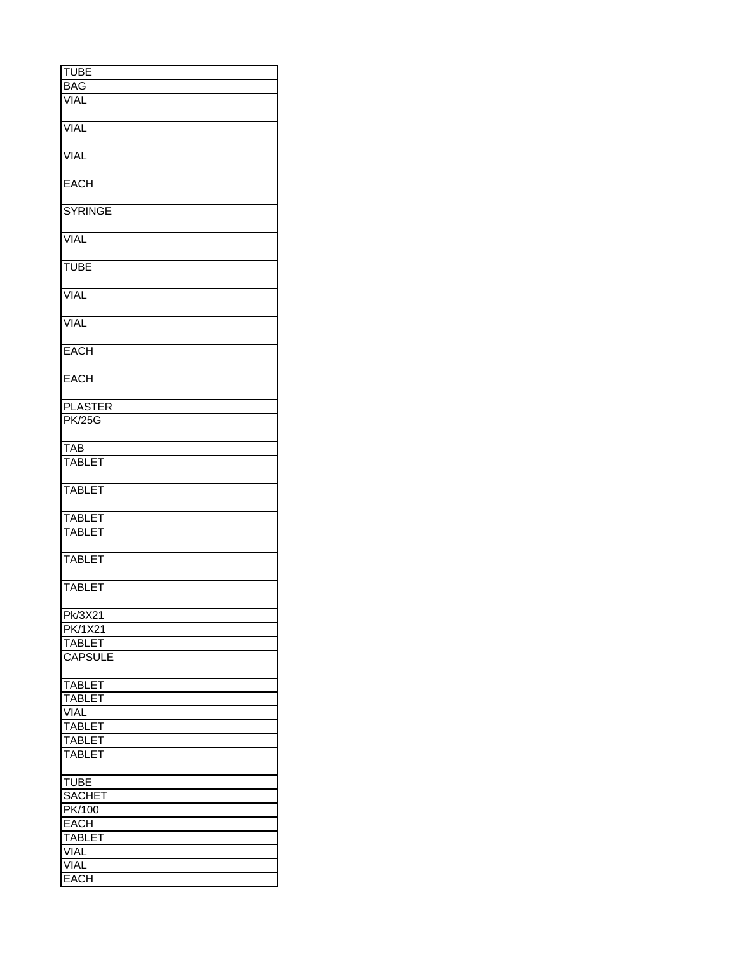| <b>TUBE</b>    |
|----------------|
| <b>BAG</b>     |
| <b>VIAL</b>    |
|                |
|                |
| <b>VIAL</b>    |
|                |
|                |
| <b>VIAL</b>    |
|                |
|                |
| <b>EACH</b>    |
|                |
|                |
| <b>SYRINGE</b> |
|                |
|                |
| <b>VIAL</b>    |
|                |
| <b>TUBE</b>    |
|                |
|                |
| <b>VIAL</b>    |
|                |
|                |
| <b>VIAL</b>    |
|                |
|                |
| <b>EACH</b>    |
|                |
|                |
| <b>EACH</b>    |
|                |
|                |
| <b>PLASTER</b> |
| <b>PK/25G</b>  |
|                |
|                |
| <b>TAB</b>     |
| <b>TABLET</b>  |
|                |
|                |
| <b>TABLET</b>  |
|                |
|                |
| <b>TABLET</b>  |
| <b>TABLET</b>  |
|                |
|                |
| <b>TABLET</b>  |
|                |
|                |
| <b>TABLET</b>  |
|                |
|                |
| <b>Pk/3X21</b> |
| <b>PK/1X21</b> |
|                |
| <b>TABLET</b>  |
| <b>CAPSULE</b> |
|                |
|                |
| <b>TABLET</b>  |
| <b>TABLET</b>  |
|                |
| <b>VIAL</b>    |
| <b>TABLET</b>  |
|                |
| <b>TABLET</b>  |
| <b>TABLET</b>  |
|                |
|                |
| <b>TUBE</b>    |
| <b>SACHET</b>  |
|                |
| PK/100         |
| <b>EACH</b>    |
|                |
| <b>TABLET</b>  |
| <b>VIAL</b>    |
| VIAL           |
|                |
| <b>EACH</b>    |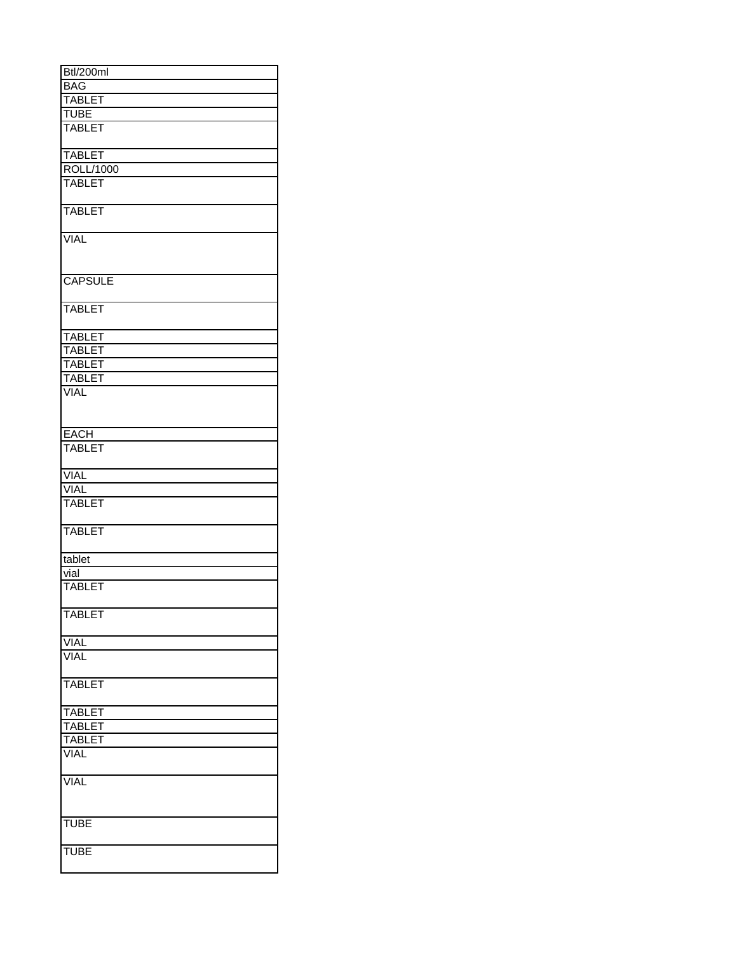| Btl/200ml      |
|----------------|
| <b>BAG</b>     |
| <b>TABLET</b>  |
|                |
| <b>TUBE</b>    |
| <b>TABLET</b>  |
| <b>TABLET</b>  |
| ROLL/1000      |
|                |
| <b>TABLET</b>  |
| <b>TABLET</b>  |
| <b>VIAL</b>    |
| <b>CAPSULE</b> |
| <b>TABLET</b>  |
| <b>TABLET</b>  |
| <b>TABLET</b>  |
| <b>TABLET</b>  |
|                |
| <b>TABLET</b>  |
| <b>VIAL</b>    |
| <b>EACH</b>    |
| <b>TABLET</b>  |
| <b>VIAL</b>    |
|                |
| <b>VIAL</b>    |
| <b>TABLET</b>  |
| <b>TABLET</b>  |
| tablet         |
| vial           |
| <b>TABLET</b>  |
|                |
| <b>TABLET</b>  |
| <b>VIAL</b>    |
| VIAL           |
| <b>TABLET</b>  |
|                |
| <b>TABLET</b>  |
| <b>TABLET</b>  |
| <b>TABLET</b>  |
| <b>VIAL</b>    |
| <b>VIAL</b>    |
| <b>TUBE</b>    |
|                |
| <b>TUBE</b>    |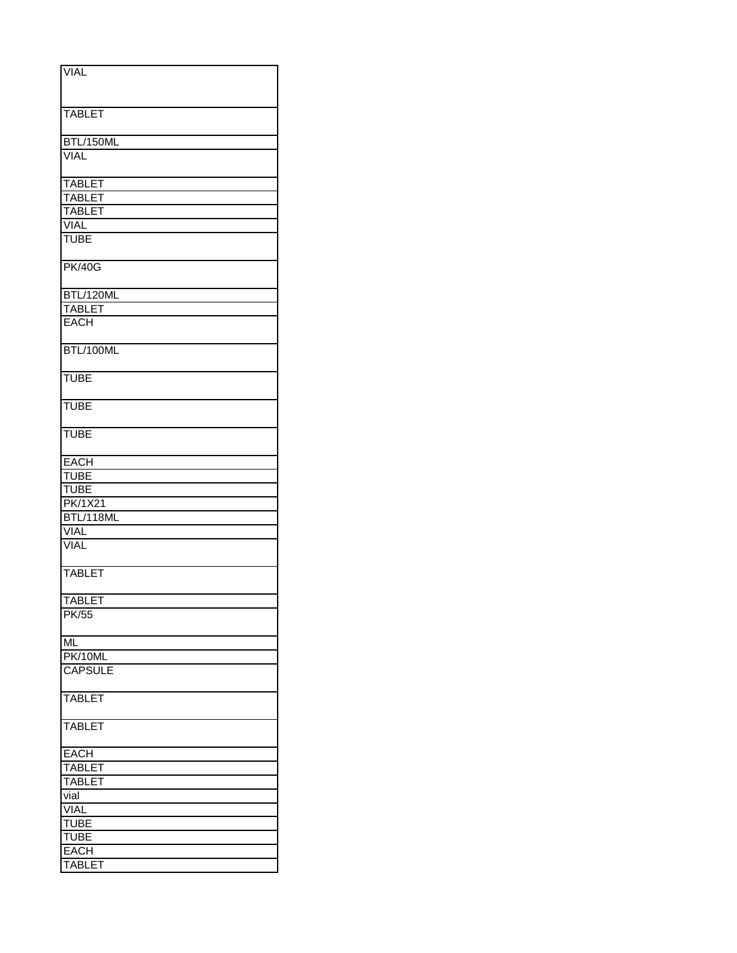| <b>VIAL</b>    |
|----------------|
|                |
|                |
|                |
| <b>TABLET</b>  |
|                |
| BTL/150ML      |
| <b>VIAL</b>    |
|                |
| <b>TABLET</b>  |
| <b>TABLET</b>  |
|                |
| <b>TABLET</b>  |
| <b>VIAL</b>    |
| <b>TUBE</b>    |
|                |
| <b>PK/40G</b>  |
|                |
| BTL/120ML      |
| <b>TABLET</b>  |
| <b>EACH</b>    |
|                |
| BTL/100ML      |
|                |
|                |
| <b>TUBE</b>    |
|                |
| <b>TUBE</b>    |
|                |
| <b>TUBE</b>    |
|                |
| <b>EACH</b>    |
| <b>TUBE</b>    |
| <b>TUBE</b>    |
|                |
| PK/1X21        |
| BTL/118ML      |
| <b>VIAL</b>    |
| <b>VIAL</b>    |
|                |
| <b>TABLET</b>  |
|                |
| <b>TABLET</b>  |
| PK/55          |
|                |
| <b>ML</b>      |
|                |
| PK/10ML        |
| <b>CAPSULE</b> |
|                |
| <b>TABLET</b>  |
|                |
| <b>TABLET</b>  |
|                |
| <b>EACH</b>    |
| <b>TABLET</b>  |
| <b>TABLET</b>  |
|                |
| vial           |
| <b>VIAL</b>    |
| <b>TUBE</b>    |
| <b>TUBE</b>    |
| <b>EACH</b>    |
| <b>TABLET</b>  |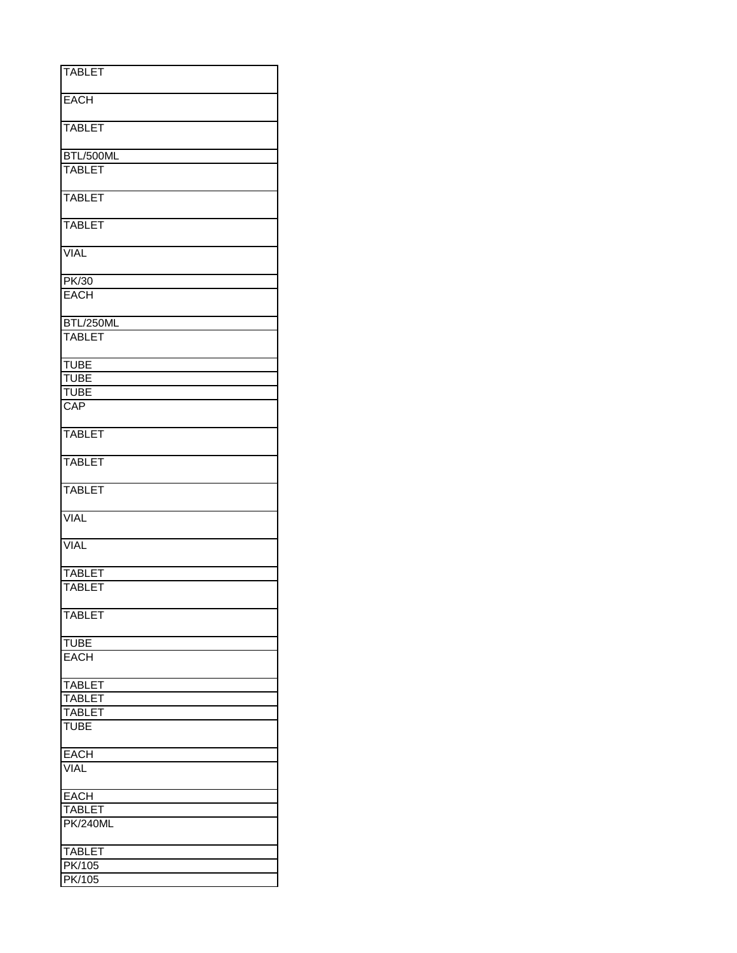| <b>TABLET</b>   |
|-----------------|
|                 |
| <b>EACH</b>     |
|                 |
|                 |
| <b>TABLET</b>   |
|                 |
|                 |
| BTL/500ML       |
| <b>TABLET</b>   |
|                 |
| <b>TABLET</b>   |
|                 |
|                 |
| <b>TABLET</b>   |
|                 |
| <b>VIAL</b>     |
|                 |
|                 |
| PK/30           |
| <b>EACH</b>     |
|                 |
|                 |
| BTL/250ML       |
| <b>TABLET</b>   |
|                 |
|                 |
| <b>TUBE</b>     |
| <b>TUBE</b>     |
| <b>TUBE</b>     |
| CAP             |
|                 |
|                 |
| <b>TABLET</b>   |
|                 |
|                 |
| <b>TABLET</b>   |
|                 |
| <b>TABLET</b>   |
|                 |
|                 |
| <b>VIAL</b>     |
|                 |
| <b>VIAL</b>     |
|                 |
|                 |
| <b>TABLET</b>   |
| <b>TABLET</b>   |
|                 |
|                 |
| <b>TABLET</b>   |
|                 |
| <b>TUBE</b>     |
|                 |
| <b>EACH</b>     |
|                 |
| <b>TABLET</b>   |
| <b>TABLET</b>   |
|                 |
| <b>TABLET</b>   |
| <b>TUBE</b>     |
|                 |
|                 |
| <b>EACH</b>     |
| <b>VIAL</b>     |
|                 |
| <b>EACH</b>     |
|                 |
| <b>TABLET</b>   |
| <b>PK/240ML</b> |
|                 |
|                 |
| <b>TABLET</b>   |
| <b>PK/105</b>   |
| <b>PK/105</b>   |
|                 |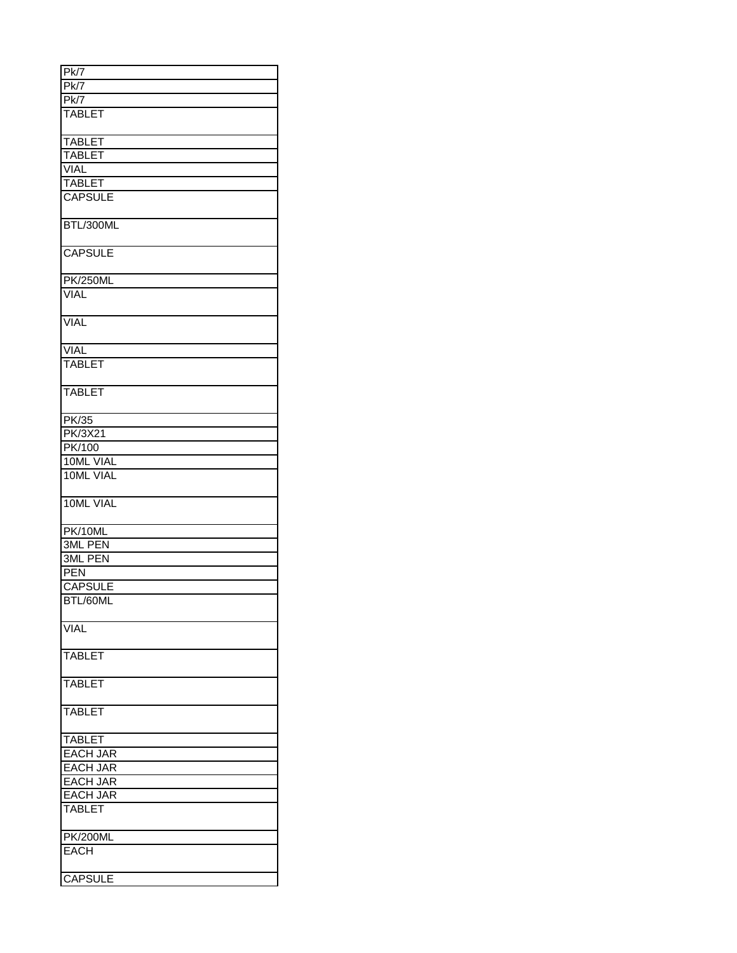| PK7             |
|-----------------|
| Pk/7            |
|                 |
| PK/7            |
| <b>TABLET</b>   |
|                 |
| <b>TABLET</b>   |
| <b>TABLET</b>   |
| <b>VIAL</b>     |
| <b>TABLET</b>   |
| <b>CAPSULE</b>  |
|                 |
| BTL/300ML       |
|                 |
| <b>CAPSULE</b>  |
|                 |
| <b>PK/250ML</b> |
| <b>VIAL</b>     |
| VIAL            |
|                 |
| <b>VIAL</b>     |
| <b>TABLET</b>   |
|                 |
| <b>TABLET</b>   |
| <b>PK/35</b>    |
| <b>PK/3X21</b>  |
|                 |
| PK/100          |
| 10ML VIAL       |
| 10ML VIAL       |
| 10ML VIAL       |
| PK/10ML         |
| 3ML PEN         |
|                 |
| 3ML PEN         |
| <b>PEN</b>      |
| <b>CAPSULE</b>  |
| BTL/60ML        |
| <b>VIAL</b>     |
|                 |
| <b>TABLET</b>   |
|                 |
| <b>TABLET</b>   |
| <b>TABLET</b>   |
|                 |
| <b>TABLET</b>   |
| <b>EACH JAR</b> |
| <b>EACH JAR</b> |
| <b>EACH JAR</b> |
|                 |
| <b>EACH JAR</b> |
| <b>TABLET</b>   |
| <b>PK/200ML</b> |
| <b>EACH</b>     |
|                 |
| <b>CAPSULE</b>  |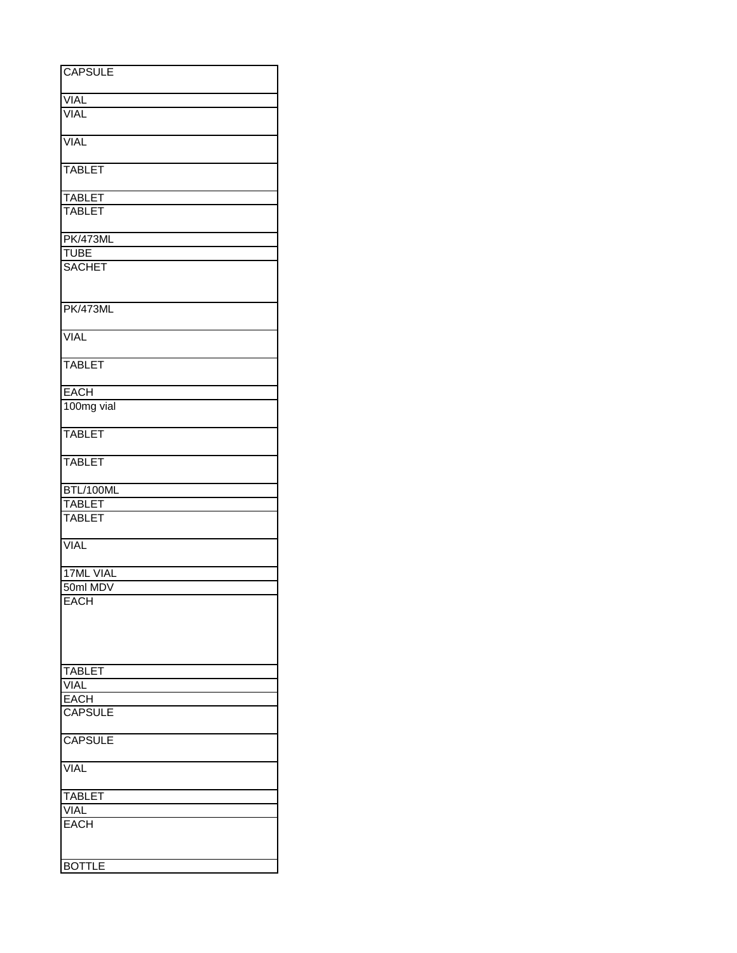| <b>CAPSULE</b>             |
|----------------------------|
| <b>VIAL</b>                |
| <b>VIAL</b>                |
|                            |
| <b>VIAL</b>                |
| <b>TABLET</b>              |
| <b>TABLET</b>              |
| TABLET                     |
|                            |
| <b>PK/473ML</b>            |
| <b>TUBE</b>                |
| <b>SACHET</b>              |
| <b>PK/473ML</b>            |
|                            |
| <b>VIAL</b>                |
| <b>TABLET</b>              |
| <b>EACH</b>                |
| 100mg vial                 |
| <b>TABLET</b>              |
| <b>TABLET</b>              |
| BTL/100ML                  |
| <b>TABLET</b>              |
| <b>TABLET</b>              |
| <b>VIAL</b>                |
| 17ML VIAL                  |
| 50ml MDV                   |
| <b>EACH</b>                |
|                            |
|                            |
|                            |
| <b>TABLET</b>              |
| <b>VIAL</b><br><b>EACH</b> |
| <b>CAPSULE</b>             |
|                            |
| <b>CAPSULE</b>             |
| VIAL                       |
| <b>TABLET</b>              |
| VIAL                       |
| <b>EACH</b>                |
| <b>BOTTLE</b>              |
|                            |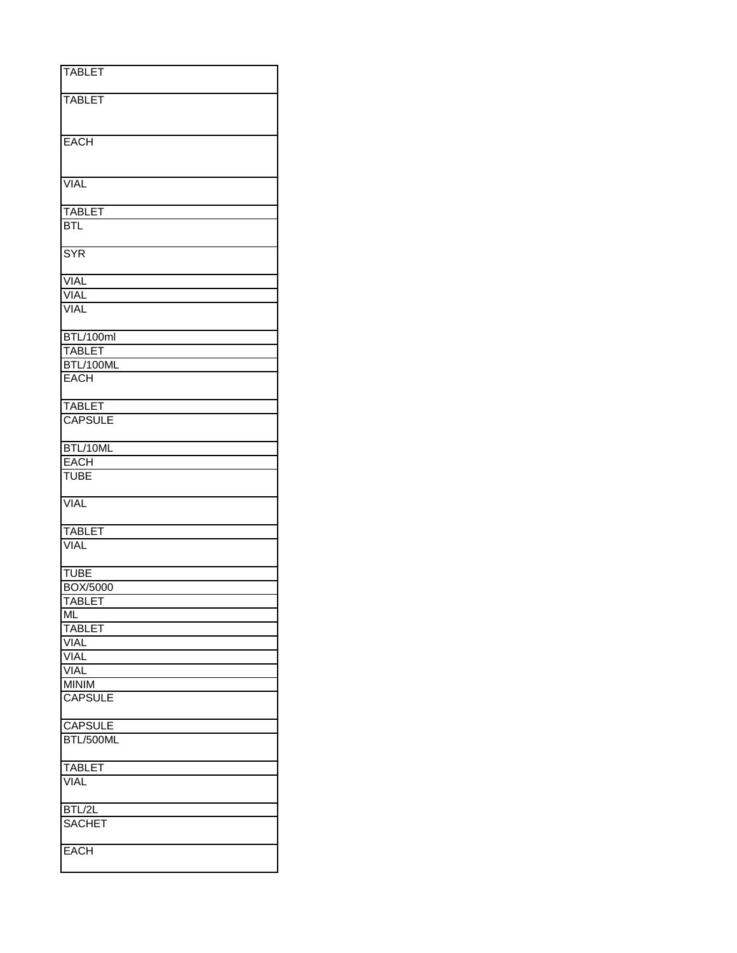| <b>TABLET</b><br><b>TABLET</b>                                   |
|------------------------------------------------------------------|
|                                                                  |
|                                                                  |
|                                                                  |
|                                                                  |
| <b>EACH</b>                                                      |
|                                                                  |
|                                                                  |
| <b>VIAL</b>                                                      |
|                                                                  |
| <b>TABLET</b>                                                    |
| <b>BTL</b>                                                       |
|                                                                  |
| <b>SYR</b>                                                       |
|                                                                  |
| <b>VIAL</b>                                                      |
| <b>VIAL</b>                                                      |
| <b>VIAL</b>                                                      |
|                                                                  |
| BTL/100ml                                                        |
| <b>TABLET</b>                                                    |
| BTL/100ML<br><b>EACH</b>                                         |
|                                                                  |
| <b>TABLET</b>                                                    |
| <b>CAPSULE</b>                                                   |
|                                                                  |
| BTL/10ML                                                         |
| <b>EACH</b>                                                      |
| <b>TUBE</b>                                                      |
|                                                                  |
| <b>VIAL</b>                                                      |
|                                                                  |
| <b>TABLET</b>                                                    |
| <b>VIAL</b>                                                      |
|                                                                  |
|                                                                  |
|                                                                  |
| BOX/5000                                                         |
|                                                                  |
|                                                                  |
| <b>TABLET</b>                                                    |
|                                                                  |
| <b>VIAL</b>                                                      |
| <b>VIAL</b>                                                      |
| <b>MINIM</b><br><b>CAPSULE</b>                                   |
|                                                                  |
| <b>CAPSULE</b>                                                   |
| BTL/500ML                                                        |
|                                                                  |
| <b>TABLET</b>                                                    |
| <b>VIAL</b>                                                      |
|                                                                  |
| BTL/2L                                                           |
| <b>SACHET</b>                                                    |
| <b>TUBE</b><br><b>TABLET</b><br>ML<br><b>VIAL</b><br><b>EACH</b> |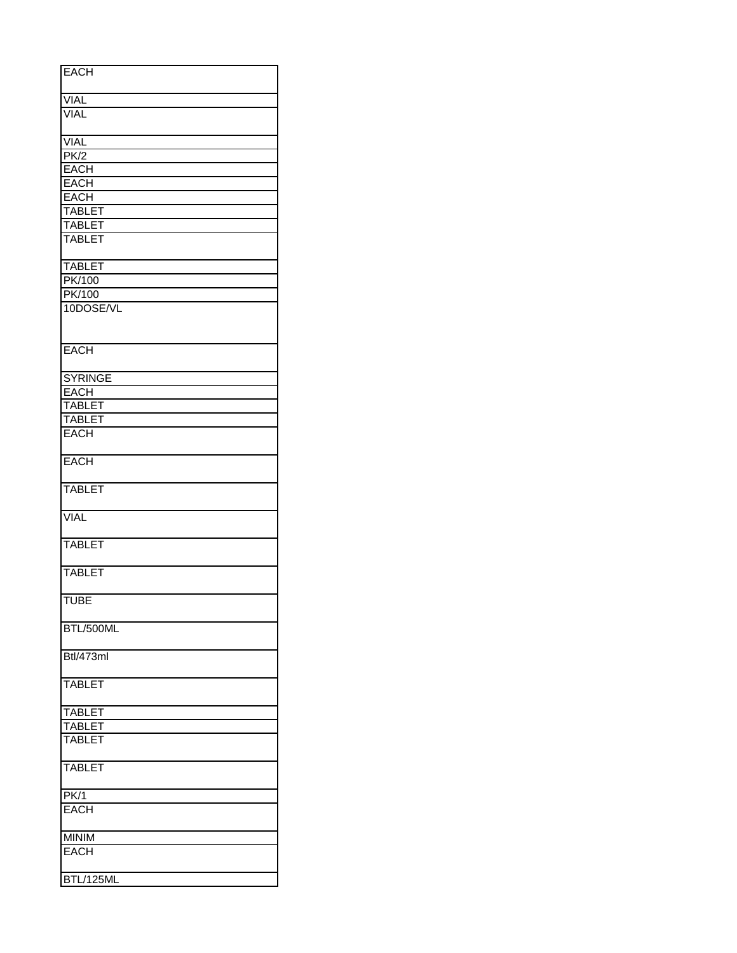| <b>EACH</b>                    |  |  |
|--------------------------------|--|--|
| <b>VIAL</b>                    |  |  |
| <b>VIAL</b>                    |  |  |
|                                |  |  |
| <b>VIAL</b><br>PK/2            |  |  |
| <b>EACH</b>                    |  |  |
| <b>EACH</b>                    |  |  |
| <b>EACH</b>                    |  |  |
| <b>TABLET</b>                  |  |  |
| <b>TABLET</b><br><b>TABLET</b> |  |  |
|                                |  |  |
| <b>TABLET</b>                  |  |  |
| <b>PK/100</b>                  |  |  |
| PK/100<br>10DOSE/VL            |  |  |
|                                |  |  |
|                                |  |  |
| EACH                           |  |  |
|                                |  |  |
| <b>SYRINGE</b><br><b>EACH</b>  |  |  |
| <b>TABLET</b>                  |  |  |
| <b>TABLET</b>                  |  |  |
| <b>EACH</b>                    |  |  |
| <b>EACH</b>                    |  |  |
| <b>TABLET</b>                  |  |  |
| <b>VIAL</b>                    |  |  |
|                                |  |  |
| <b>TABLET</b>                  |  |  |
| <b>TABLET</b>                  |  |  |
| <b>TUBE</b>                    |  |  |
| BTL/500ML                      |  |  |
|                                |  |  |
| Btl/473ml                      |  |  |
| <b>TABLET</b>                  |  |  |
| <b>TABLET</b>                  |  |  |
| <b>TABLET</b>                  |  |  |
| <b>TABLET</b>                  |  |  |
| <b>TABLET</b>                  |  |  |
| PK/1                           |  |  |
| <b>EACH</b>                    |  |  |
| <b>MINIM</b>                   |  |  |
| EACH                           |  |  |
| BTL/125ML                      |  |  |
|                                |  |  |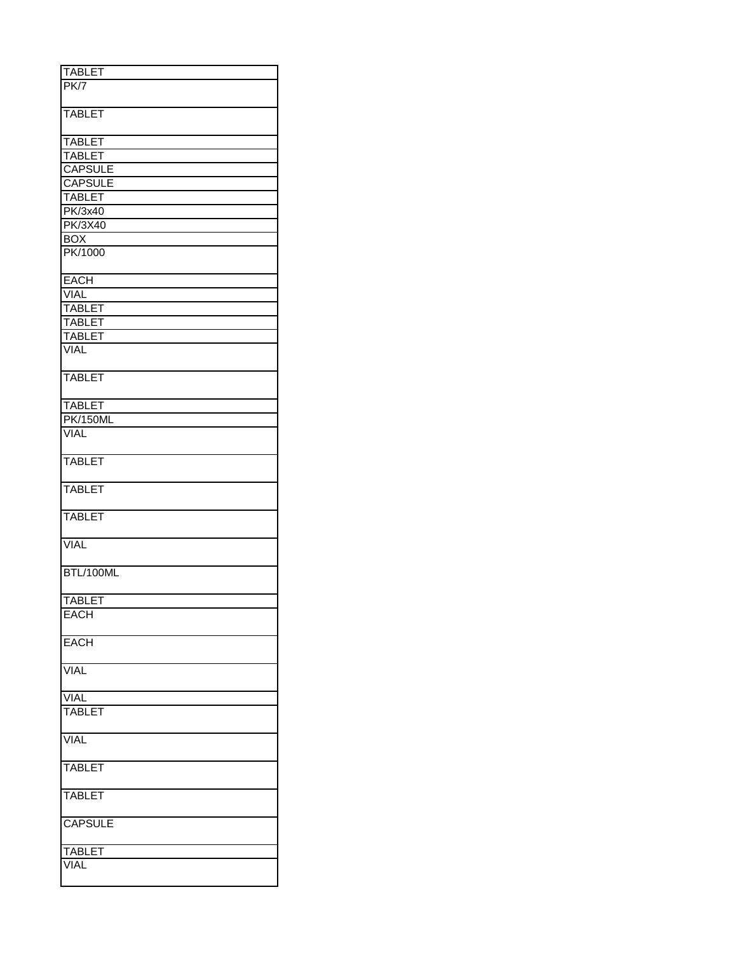| <b>TABLET</b>   |
|-----------------|
|                 |
| PK7             |
|                 |
| <b>TABLET</b>   |
|                 |
|                 |
| <b>TABLET</b>   |
| <b>TABLET</b>   |
|                 |
| <b>CAPSULE</b>  |
| <b>CAPSULE</b>  |
| <b>TABLET</b>   |
| <b>PK/3x40</b>  |
|                 |
| <b>PK/3X40</b>  |
| <b>BOX</b>      |
| PK/1000         |
|                 |
|                 |
| <b>EACH</b>     |
| <b>VIAL</b>     |
| <b>TABLET</b>   |
|                 |
| <b>TABLET</b>   |
| <b>TABLET</b>   |
| <b>VIAL</b>     |
|                 |
|                 |
| <b>TABLET</b>   |
|                 |
| <b>TABLET</b>   |
|                 |
| <b>PK/150ML</b> |
| <b>VIAL</b>     |
|                 |
| <b>TABLET</b>   |
|                 |
|                 |
| <b>TABLET</b>   |
|                 |
|                 |
| <b>TABLET</b>   |
|                 |
| <b>VIAL</b>     |
|                 |
|                 |
| BTL/100ML       |
|                 |
| <b>TABLET</b>   |
|                 |
| <b>EACH</b>     |
|                 |
| <b>EACH</b>     |
|                 |
|                 |
| <b>VIAL</b>     |
|                 |
|                 |
| <b>VIAL</b>     |
| <b>TABLET</b>   |
|                 |
| <b>VIAL</b>     |
|                 |
|                 |
| <b>TABLET</b>   |
|                 |
|                 |
| <b>TABLET</b>   |
|                 |
| <b>CAPSULE</b>  |
|                 |
|                 |
| <b>TABLET</b>   |
| <b>VIAL</b>     |
|                 |
|                 |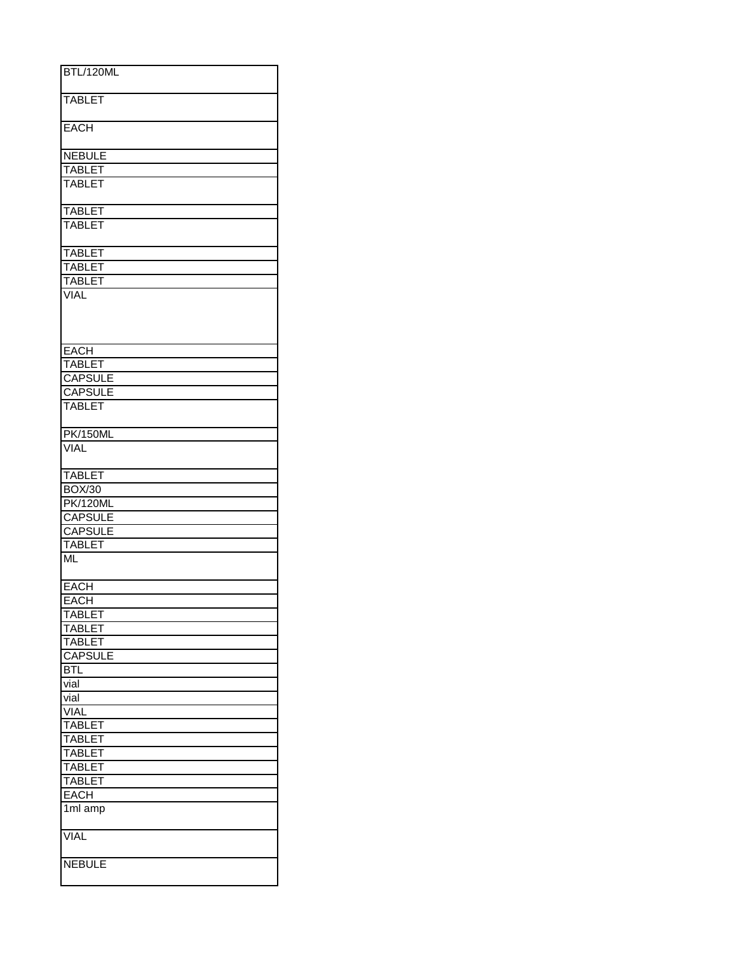| BTL/120ML           |
|---------------------|
|                     |
| <b>TABLET</b>       |
|                     |
|                     |
| <b>EACH</b>         |
|                     |
|                     |
| <b>NEBULE</b>       |
| <b>TABLET</b>       |
| <b>TABLET</b>       |
|                     |
|                     |
| <b>TABLET</b>       |
| <b>TABLET</b>       |
|                     |
| <b>TABLET</b>       |
|                     |
| <b>TABLET</b>       |
| <b>TABLET</b>       |
| <b>VIAL</b>         |
|                     |
|                     |
|                     |
|                     |
| <b>EACH</b>         |
| <b>TABLET</b>       |
| <b>CAPSULE</b>      |
|                     |
| <b>CAPSULE</b>      |
| <b>TABLET</b>       |
|                     |
|                     |
| <b>PK/150ML</b>     |
| <b>VIAL</b>         |
|                     |
| <b>TABLET</b>       |
|                     |
| <b>BOX/30</b>       |
| <b>PK/120ML</b>     |
| <b>CAPSULE</b>      |
| <b>CAPSULE</b>      |
|                     |
| <b>TABLET</b>       |
| <b>ML</b>           |
|                     |
| <b>EACH</b>         |
|                     |
| <b>EACH</b>         |
| TABLET              |
| <b>TABLET</b>       |
| <b>TABLET</b>       |
|                     |
| <b>CAPSULE</b>      |
| BTL                 |
| vial                |
| vial                |
|                     |
| <b>VIAL</b>         |
| <b>TABLET</b>       |
| <b>TABLET</b>       |
| <b>TABLE</b><br>ΕТ  |
| <b>TABLET</b>       |
|                     |
| <b>TABLET</b>       |
| <b>EACH</b>         |
| 1 <sub>ml</sub> amp |
|                     |
|                     |
| <b>VIAL</b>         |
|                     |
| <b>NEBULE</b>       |
|                     |
|                     |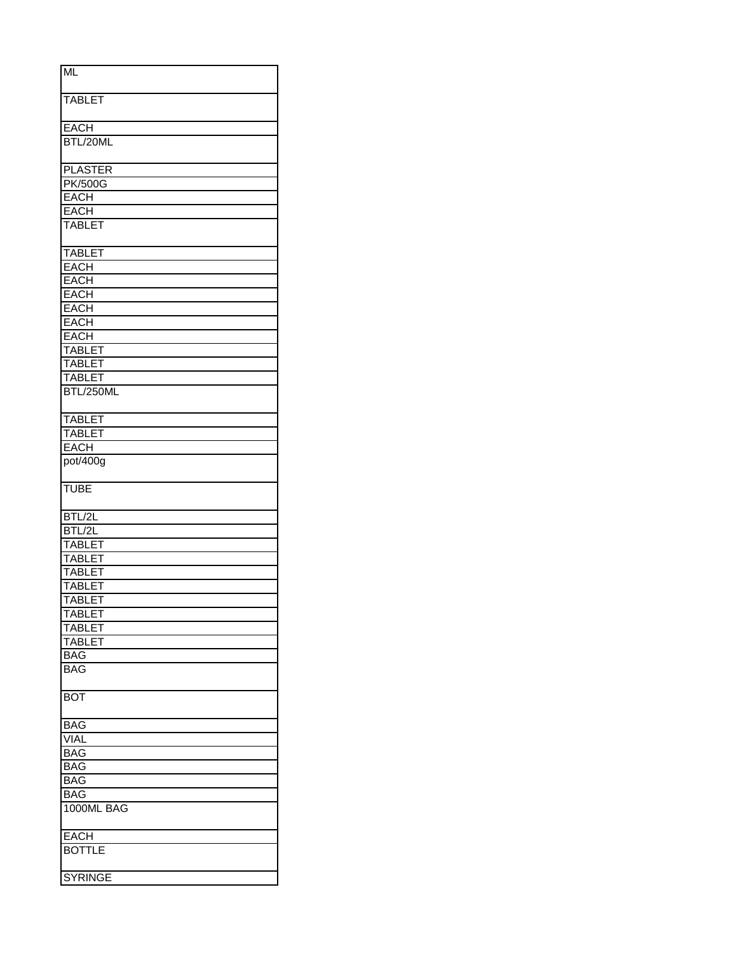| ML             |
|----------------|
|                |
| <b>TABLET</b>  |
| <b>EACH</b>    |
| BTL/20ML       |
|                |
| <b>PLASTER</b> |
| <b>PK/500G</b> |
| <b>EACH</b>    |
| <b>EACH</b>    |
| <b>TABLET</b>  |
| <b>TABLET</b>  |
| <b>EACH</b>    |
| <b>EACH</b>    |
| <b>EACH</b>    |
| <b>EACH</b>    |
| EACH           |
| <b>EACH</b>    |
| <b>TABLET</b>  |
| <b>TABLET</b>  |
| <b>TABLET</b>  |
| BTL/250ML      |
|                |
| <b>TABLET</b>  |
| <b>TABLET</b>  |
| <b>EACH</b>    |
| pot/400g       |
| <b>TUBE</b>    |
| BTL/2L         |
| BTL/2L         |
| <b>TABLET</b>  |
| <b>TABLET</b>  |
| <b>TABLET</b>  |
| <b>TABLET</b>  |
| <b>TABLET</b>  |
| <b>TABLET</b>  |
| <b>TABLET</b>  |
| <b>TABLET</b>  |
| <b>BAG</b>     |
| <b>BAG</b>     |
| <b>BOT</b>     |
| <b>BAG</b>     |
| VIAL           |
| <b>BAG</b>     |
| BAG            |
| <b>BAG</b>     |
| <b>BAG</b>     |
| 1000ML BAG     |
|                |
| EACH           |
| <b>BOTTLE</b>  |
| <b>SYRINGE</b> |
|                |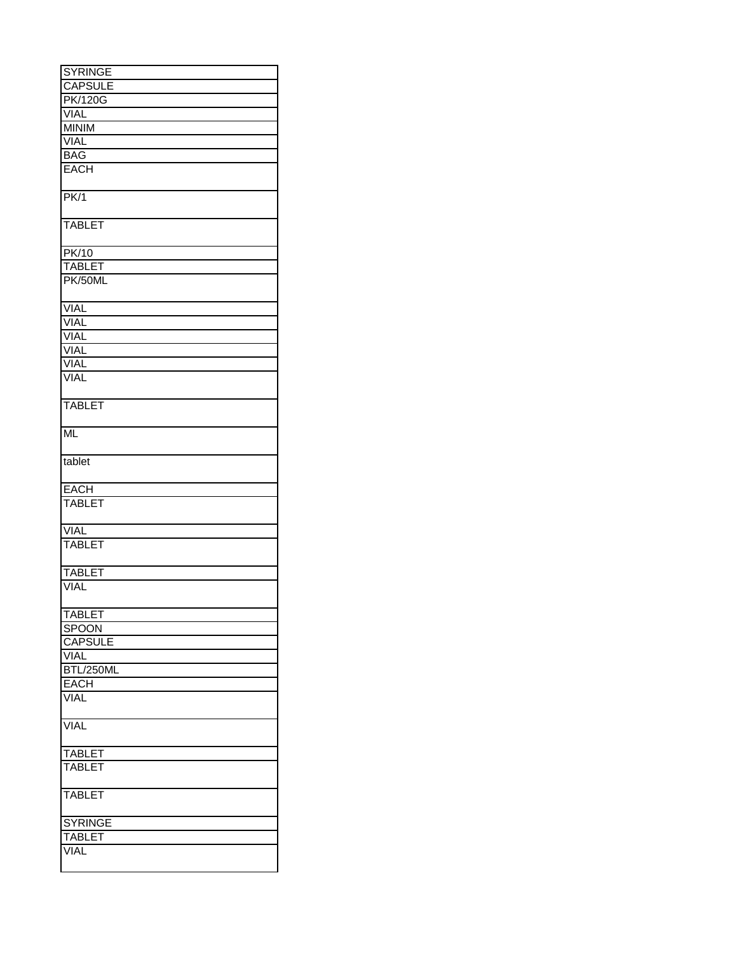| <b>SYRINGE</b> |
|----------------|
| <b>CAPSULE</b> |
| <b>PK/120G</b> |
| <b>VIAL</b>    |
|                |
| <b>MINIM</b>   |
| <b>VIAL</b>    |
| <b>BAG</b>     |
| <b>EACH</b>    |
| PK/1           |
|                |
| <b>TABLET</b>  |
| <b>PK/10</b>   |
| <b>TABLET</b>  |
| PK/50ML        |
|                |
| <b>VIAL</b>    |
| <b>VIAL</b>    |
| <b>VIAL</b>    |
| VIAL           |
| <b>VIAL</b>    |
| <b>VIAL</b>    |
|                |
| <b>TABLET</b>  |
| <b>ML</b>      |
| tablet         |
| <b>EACH</b>    |
| <b>TABLET</b>  |
| VIAL           |
| <b>TABLET</b>  |
|                |
| <b>TABLET</b>  |
| <b>VIAL</b>    |
| <b>TABLET</b>  |
| <b>SPOON</b>   |
| <b>CAPSULE</b> |
|                |
| <b>VIAL</b>    |
| BTL/250ML      |
| <b>EACH</b>    |
| <b>VIAL</b>    |
| <b>VIAL</b>    |
| <b>TABLET</b>  |
| <b>TABLET</b>  |
|                |
| <b>TABLET</b>  |
| <b>SYRINGE</b> |
| <b>TABLET</b>  |
| <b>VIAL</b>    |
|                |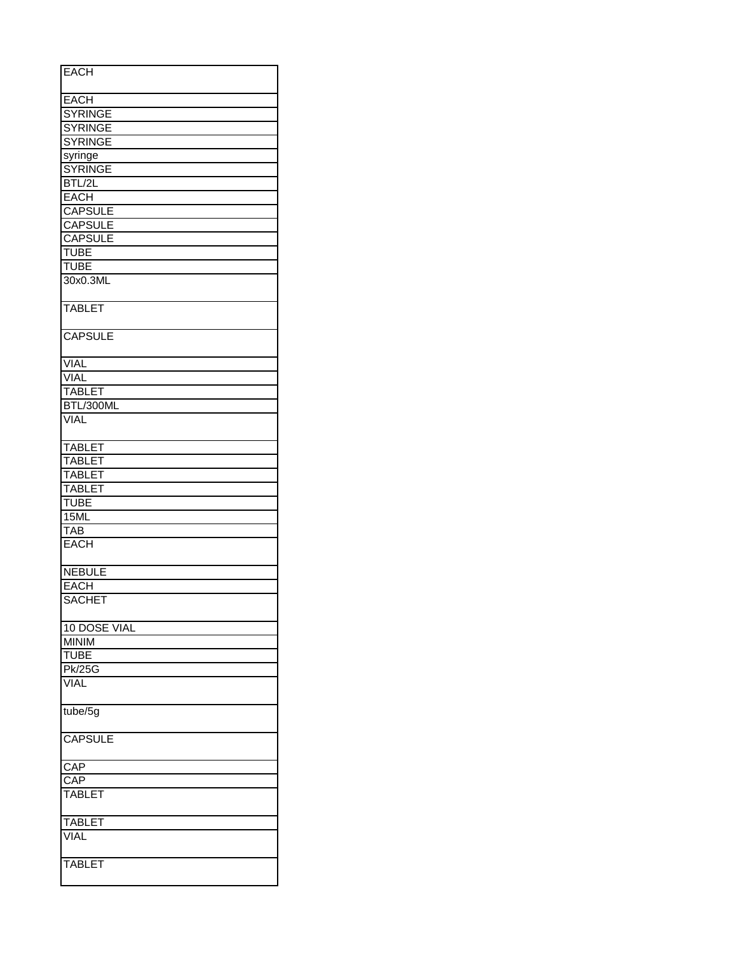| <b>EACH</b>    |
|----------------|
| <b>EACH</b>    |
| <b>SYRINGE</b> |
| <b>SYRINGE</b> |
| <b>SYRINGE</b> |
|                |
| syringe        |
| <b>SYRINGE</b> |
| BTL/2L         |
| <b>EACH</b>    |
| <b>CAPSULE</b> |
| <b>CAPSULE</b> |
| <b>CAPSULE</b> |
| <b>TUBE</b>    |
| <b>TUBE</b>    |
| 30x0.3ML       |
|                |
| <b>TABLET</b>  |
| <b>CAPSULE</b> |
| <b>VIAL</b>    |
| <b>VIAL</b>    |
| <b>TABLET</b>  |
| BTL/300ML      |
| <b>VIAL</b>    |
|                |
| <b>TABLET</b>  |
| <b>TABLET</b>  |
| <b>TABLET</b>  |
| <b>TABLET</b>  |
| <b>TUBE</b>    |
| 15ML           |
| <b>TAB</b>     |
| <b>EACH</b>    |
|                |
| <b>NEBULE</b>  |
| <b>EACH</b>    |
| <b>SACHET</b>  |
|                |
| 10 DOSE VIAL   |
| <b>MINIM</b>   |
| <b>TUBE</b>    |
| <b>Pk/25G</b>  |
| <b>VIAL</b>    |
|                |
| tube/5g        |
| <b>CAPSULE</b> |
| CAP            |
|                |
| CAP            |
| TABLET         |
| <b>TABLET</b>  |
| <b>VIAL</b>    |
| <b>TABLET</b>  |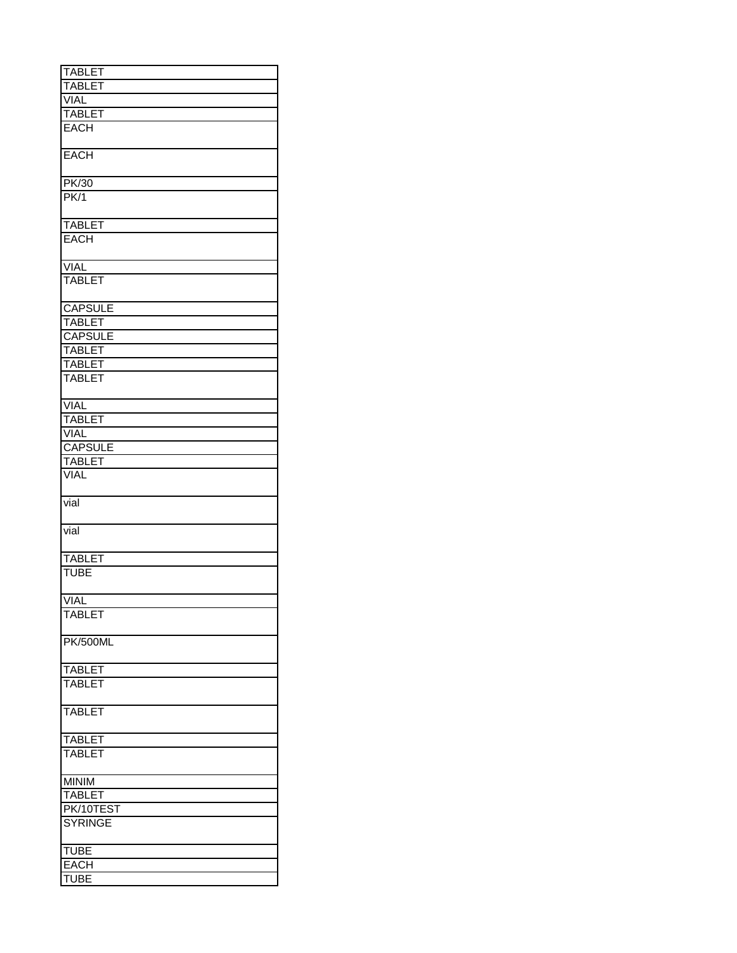| <b>TABLET</b>   |
|-----------------|
| <b>TABLET</b>   |
| <b>VIAL</b>     |
|                 |
| <b>TABLET</b>   |
| <b>EACH</b>     |
| <b>EACH</b>     |
| PK/30           |
| PK/1            |
|                 |
| <b>TABLET</b>   |
| <b>EACH</b>     |
| <b>VIAL</b>     |
| <b>TABLET</b>   |
|                 |
| <b>CAPSULE</b>  |
| <b>TABLET</b>   |
| <b>CAPSULE</b>  |
| <b>TABLET</b>   |
| <b>TABLET</b>   |
| <b>TABLET</b>   |
|                 |
| <b>VIAL</b>     |
| <b>TABLET</b>   |
| VIAL            |
| <b>CAPSULE</b>  |
| <b>TABLET</b>   |
| <b>VIAL</b>     |
|                 |
| vial            |
| vial            |
| <b>TABLET</b>   |
| <b>TUBE</b>     |
|                 |
| <b>VIAL</b>     |
| <b>TABLET</b>   |
| <b>PK/500ML</b> |
|                 |
| <b>TABLET</b>   |
| <b>TABLET</b>   |
| <b>TABLET</b>   |
| <b>TABLET</b>   |
|                 |
| <b>TABLET</b>   |
| <b>MINIM</b>    |
| <b>TABLET</b>   |
| PK/10TEST       |
| <b>SYRINGE</b>  |
|                 |
| <b>TUBE</b>     |
| EACH            |
| <b>TUBE</b>     |
|                 |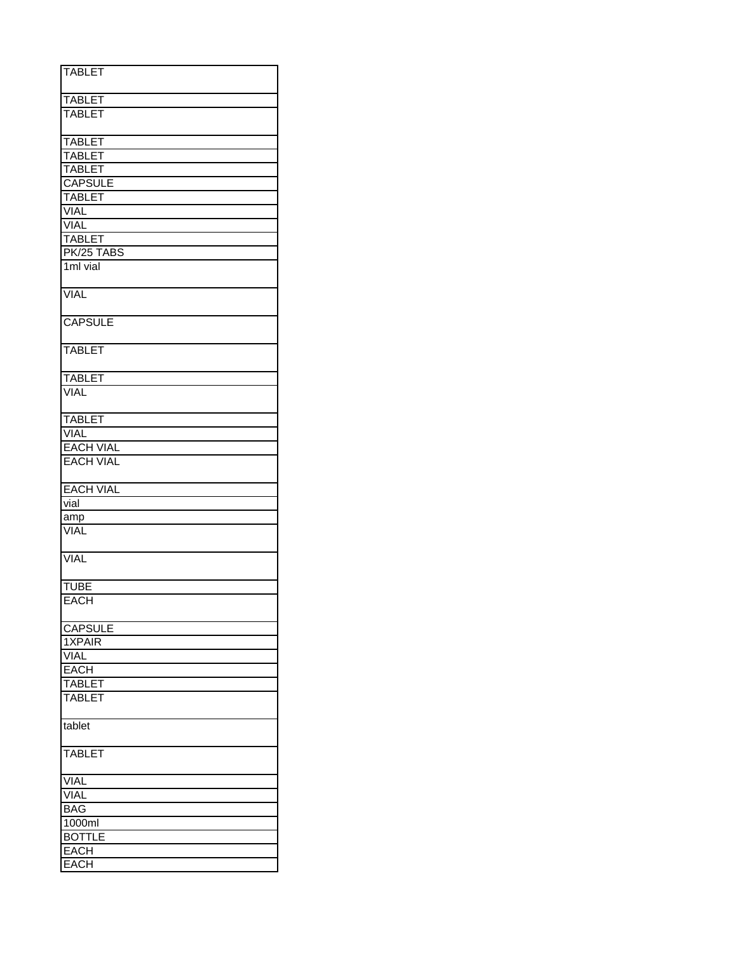| <b>TABLET</b>      |
|--------------------|
|                    |
| <b>TABLET</b>      |
| <b>TABLET</b>      |
|                    |
| <b>TABLET</b>      |
| <b>TABLET</b>      |
| <b>TABLET</b>      |
|                    |
| <b>CAPSULE</b>     |
| <b>TABLET</b>      |
| <b>VIAL</b>        |
| <b>VIAL</b>        |
| <b>TABLET</b>      |
| PK/25 TABS         |
| 1ml vial           |
|                    |
| <b>VIAL</b>        |
|                    |
| <b>CAPSULE</b>     |
| <b>TABLET</b>      |
|                    |
| <b>TABLET</b>      |
| <b>VIAL</b>        |
|                    |
| <b>TABLET</b>      |
| <b>VIAL</b>        |
| <b>EACH VIAL</b>   |
| <b>EACH VIAL</b>   |
|                    |
| <b>EACH VIAL</b>   |
| vial               |
|                    |
| amp<br><b>VIAL</b> |
|                    |
| <b>VIAL</b>        |
|                    |
| <b>TUBE</b>        |
| <b>EACH</b>        |
|                    |
| <b>CAPSULE</b>     |
|                    |
| 1XPAIR             |
| <b>VIAL</b>        |
| <b>EACH</b>        |
| <b>TABLET</b>      |
| <b>TABLET</b>      |
| tablet             |
|                    |
| <b>TABLET</b>      |
| <b>VIAL</b>        |
| <b>VIAL</b>        |
| <b>BAG</b>         |
|                    |
| 1000ml             |
| <b>BOTTLE</b>      |
| <b>EACH</b>        |
| <b>EACH</b>        |